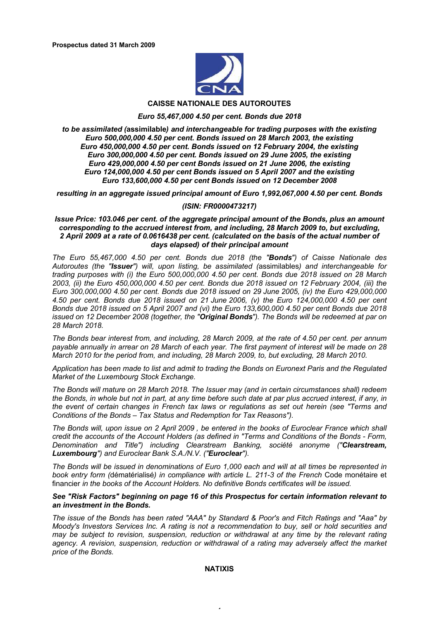

#### **CAISSE NATIONALE DES AUTOROUTES**

#### *Euro 55,467,000 4.50 per cent. Bonds due 2018*

*to be assimilated (***assimilable***) and interchangeable for trading purposes with the existing Euro 500,000,000 4.50 per cent. Bonds issued on 28 March 2003, the existing Euro 450,000,000 4.50 per cent. Bonds issued on 12 February 2004, the existing Euro 300,000,000 4.50 per cent. Bonds issued on 29 June 2005, the existing Euro 429,000,000 4.50 per cent Bonds issued on 21 June 2006, the existing Euro 124,000,000 4.50 per cent Bonds issued on 5 April 2007 and the existing Euro 133,600,000 4.50 per cent Bonds issued on 12 December 2008* 

*resulting in an aggregate issued principal amount of Euro 1,992,067,000 4.50 per cent. Bonds*

#### *(ISIN: FR0000473217)*

#### *Issue Price: 103.046 per cent. of the aggregate principal amount of the Bonds, plus an amount corresponding to the accrued interest from, and including, 28 March 2009 to, but excluding, 2 April 2009 at a rate of 0.0616438 per cent. (calculated on the basis of the actual number of days elapsed) of their principal amount*

*The Euro 55,467,000 4.50 per cent. Bonds due 2018 (the "Bonds") of Caisse Nationale des Autoroutes (the "Issuer") will, upon listing, be assimilated (*assimilables*) and interchangeable for trading purposes with (i) the Euro 500,000,000 4.50 per cent. Bonds due 2018 issued on 28 March 2003, (ii) the Euro 450,000,000 4.50 per cent. Bonds due 2018 issued on 12 February 2004, (iii) the Euro 300,000,000 4.50 per cent. Bonds due 2018 issued on 29 June 2005, (iv) the Euro 429,000,000 4.50 per cent. Bonds due 2018 issued on 21 June 2006, (v) the Euro 124,000,000 4.50 per cent Bonds due 2018 issued on 5 April 2007 and (vi) the Euro 133,600,000 4.50 per cent Bonds due 2018 issued on 12 December 2008 (together, the "Original Bonds"). The Bonds will be redeemed at par on 28 March 2018.*

*The Bonds bear interest from, and including, 28 March 2009, at the rate of 4.50 per cent. per annum payable annually in arrear on 28 March of each year. The first payment of interest will be made on 28 March 2010 for the period from, and including, 28 March 2009, to, but excluding, 28 March 2010.*

*Application has been made to list and admit to trading the Bonds on Euronext Paris and the Regulated Market of the Luxembourg Stock Exchange.*

*The Bonds will mature on 28 March 2018. The Issuer may (and in certain circumstances shall) redeem the Bonds, in whole but not in part, at any time before such date at par plus accrued interest, if any, in the event of certain changes in French tax laws or regulations as set out herein (see "Terms and Conditions of the Bonds – Tax Status and Redemption for Tax Reasons").*

*The Bonds will, upon issue on 2 April 2009 , be entered in the books of Euroclear France which shall credit the accounts of the Account Holders (as defined in "Terms and Conditions of the Bonds - Form, Denomination and Title") including Clearstream Banking, société anonyme ("Clearstream, Luxembourg") and Euroclear Bank S.A./N.V. ("Euroclear").*

*The Bonds will be issued in denominations of Euro 1,000 each and will at all times be represented in book entry form (*dématérialisé*) in compliance with article L. 211-3 of the French* Code monétaire et financier *in the books of the Account Holders. No definitive Bonds certificates will be issued.*

# *See "Risk Factors" beginning on page 16 of this Prospectus for certain information relevant to an investment in the Bonds.*

*The issue of the Bonds has been rated "AAA" by Standard & Poor's and Fitch Ratings and "Aaa" by Moody's Investors Services Inc. A rating is not a recommendation to buy, sell or hold securities and may be subject to revision, suspension, reduction or withdrawal at any time by the relevant rating*  agency. A revision, suspension, reduction or withdrawal of a rating may adversely affect the market *price of the Bonds.*

#### **NATIXIS**

 $\ddot{\phantom{1}}$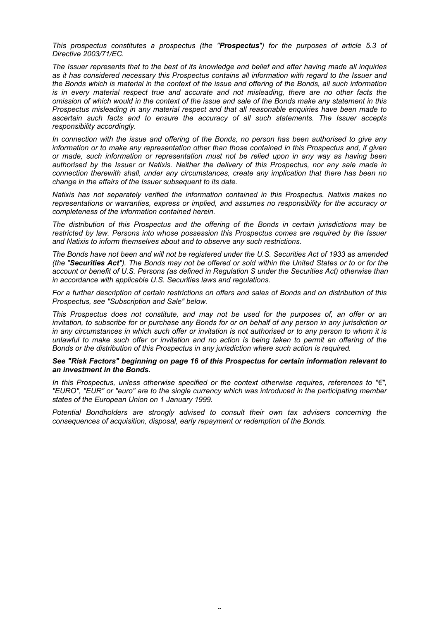*This prospectus constitutes a prospectus (the "Prospectus") for the purposes of article 5.3 of Directive 2003/71/EC.*

*The Issuer represents that to the best of its knowledge and belief and after having made all inquiries as it has considered necessary this Prospectus contains all information with regard to the Issuer and the Bonds which is material in the context of the issue and offering of the Bonds, all such information is in every material respect true and accurate and not misleading, there are no other facts the omission of which would in the context of the issue and sale of the Bonds make any statement in this Prospectus misleading in any material respect and that all reasonable enquiries have been made to ascertain such facts and to ensure the accuracy of all such statements. The Issuer accepts responsibility accordingly.*

*In connection with the issue and offering of the Bonds, no person has been authorised to give any information or to make any representation other than those contained in this Prospectus and, if given or made, such information or representation must not be relied upon in any way as having been authorised by the Issuer or Natixis. Neither the delivery of this Prospectus, nor any sale made in connection therewith shall, under any circumstances, create any implication that there has been no change in the affairs of the Issuer subsequent to its date.*

*Natixis has not separately verified the information contained in this Prospectus. Natixis makes no representations or warranties, express or implied, and assumes no responsibility for the accuracy or completeness of the information contained herein.*

*The distribution of this Prospectus and the offering of the Bonds in certain jurisdictions may be restricted by law. Persons into whose possession this Prospectus comes are required by the Issuer and Natixis to inform themselves about and to observe any such restrictions.* 

*The Bonds have not been and will not be registered under the U.S. Securities Act of 1933 as amended (the "Securities Act"). The Bonds may not be offered or sold within the United States or to or for the account or benefit of U.S. Persons (as defined in Regulation S under the Securities Act) otherwise than in accordance with applicable U.S. Securities laws and regulations.*

*For a further description of certain restrictions on offers and sales of Bonds and on distribution of this Prospectus, see "Subscription and Sale" below.*

*This Prospectus does not constitute, and may not be used for the purposes of, an offer or an invitation, to subscribe for or purchase any Bonds for or on behalf of any person in any jurisdiction or in any circumstances in which such offer or invitation is not authorised or to any person to whom it is unlawful to make such offer or invitation and no action is being taken to permit an offering of the Bonds or the distribution of this Prospectus in any jurisdiction where such action is required.*

#### *See "Risk Factors" beginning on page 16 of this Prospectus for certain information relevant to an investment in the Bonds.*

*In this Prospectus, unless otherwise specified or the context otherwise requires, references to "€", "EURO", "EUR" or "euro" are to the single currency which was introduced in the participating member states of the European Union on 1 January 1999.*

*Potential Bondholders are strongly advised to consult their own tax advisers concerning the consequences of acquisition, disposal, early repayment or redemption of the Bonds.*

 $\tilde{ }$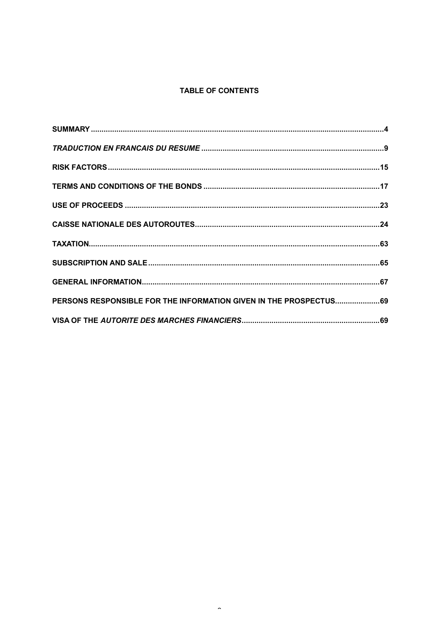# **TABLE OF CONTENTS**

| PERSONS RESPONSIBLE FOR THE INFORMATION GIVEN IN THE PROSPECTUS 69 |  |
|--------------------------------------------------------------------|--|
|                                                                    |  |

 $\hat{\phantom{a}}$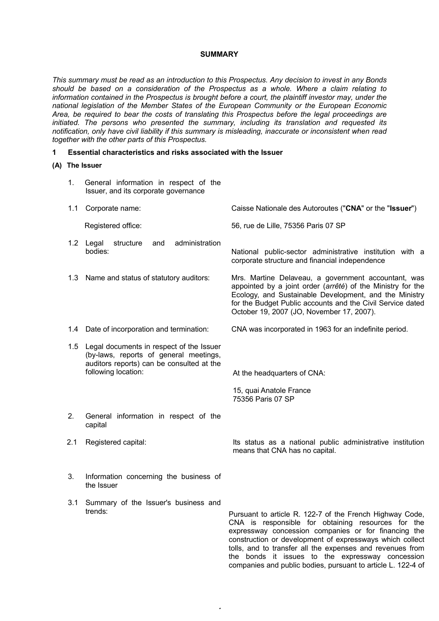# **SUMMARY**

*This summary must be read as an introduction to this Prospectus. Any decision to invest in any Bonds should be based on a consideration of the Prospectus as a whole. Where a claim relating to information contained in the Prospectus is brought before a court, the plaintiff investor may, under the national legislation of the Member States of the European Community or the European Economic Area, be required to bear the costs of translating this Prospectus before the legal proceedings are initiated. The persons who presented the summary, including its translation and requested its notification, only have civil liability if this summary is misleading, inaccurate or inconsistent when read together with the other parts of this Prospectus.*

#### **1 Essential characteristics and risks associated with the Issuer**

#### **(A) The Issuer**

- 1. General information in respect of the Issuer, and its corporate governance
- 1.1 Corporate name: Caisse Nationale des Autoroutes ("**CNA**" or the "**Issuer**")

- 1.2 Legal structure and administration
- 
- 
- 1.5 Legal documents in respect of the Issuer (by-laws, reports of general meetings, auditors reports) can be consulted at the following location:  $\begin{aligned} \text{At the headquarters of CNA:} \end{aligned}$

Registered office: 56, rue de Lille, 75356 Paris 07 SP

National public-sector administrative institution with a corporate structure and financial independence

1.3 Name and status of statutory auditors: Mrs. Martine Delaveau, a government accountant, was appointed by a joint order (*arrêté*) of the Ministry for the Ecology, and Sustainable Development, and the Ministry for the Budget Public accounts and the Civil Service dated October 19, 2007 (JO, November 17, 2007).

1.4 Date of incorporation and termination: CNA was incorporated in 1963 for an indefinite period.

15, quai Anatole France 75356 Paris 07 SP

- 2. General information in respect of the capital
- 

2.1 Registered capital: Its status as a national public administrative institution means that CNA has no capital.

- 3. Information concerning the business of the Issuer
- 3.1 Summary of the Issuer's business and

4

trends: Pursuant to article R. 122-7 of the French Highway Code, CNA is responsible for obtaining resources for the expressway concession companies or for financing the construction or development of expressways which collect tolls, and to transfer all the expenses and revenues from the bonds it issues to the expressway concession companies and public bodies, pursuant to article L. 122-4 of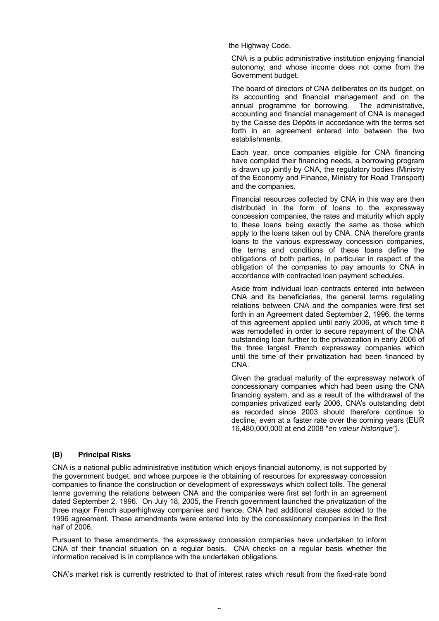the Highway Code.

CNA is a public administrative institution enjoying financial autonomy, and whose income does not come from the Government budget.

The board of directors of CNA deliberates on its budget, on its accounting and financial management and on the annual programme for borrowing. The administrative, accounting and financial management of CNA is managed by the Caisse des Dépôts in accordance with the terms set forth in an agreement entered into between the two establishments.

Each year, once companies eligible for CNA financing have compiled their financing needs, a borrowing program is drawn up jointly by CNA, the regulatory bodies (Ministry of the Economy and Finance, Ministry for Road Transport) and the companies.

Financial resources collected by CNA in this way are then distributed in the form of loans to the expressway concession companies, the rates and maturity which apply to these loans being exactly the same as those which apply to the loans taken out by CNA. CNA therefore grants loans to the various expressway concession companies, the terms and conditions of these loans define the obligations of both parties, in particular in respect of the obligation of the companies to pay amounts to CNA in accordance with contracted loan payment schedules.

Aside from individual loan contracts entered into between CNA and its beneficiaries, the general terms regulating relations between CNA and the companies were first set forth in an Agreement dated September 2, 1996, the terms of this agreement applied until early 2006, at which time it was remodelled in order to secure repayment of the CNA outstanding loan further to the privatization in early 2006 of the three largest French expressway companies which until the time of their privatization had been financed by CNA.

Given the gradual maturity of the expressway network of concessionary companies which had been using the CNA financing system, and as a result of the withdrawal of the companies privatized early 2006, CNA's outstanding debt as recorded since 2003 should therefore continue to decline, even at a faster rate over the coming years (EUR 16,480,000,000 at end 2008 "*en valeur historique")*.

# **(B) Principal Risks**

CNA is a national public administrative institution which enjoys financial autonomy, is not supported by the government budget, and whose purpose is the obtaining of resources for expressway concession companies to finance the construction or development of expressways which collect tolls. The general terms governing the relations between CNA and the companies were first set forth in an agreement dated September 2, 1996. On July 18, 2005, the French government launched the privatization of the three major French superhighway companies and hence, CNA had additional clauses added to the 1996 agreement. These amendments were entered into by the concessionary companies in the first half of 2006.

Pursuant to these amendments, the expressway concession companies have undertaken to inform CNA of their financial situation on a regular basis. CNA checks on a regular basis whether the information received is in compliance with the undertaken obligations.

CNA's market risk is currently restricted to that of interest rates which result from the fixed-rate bond

5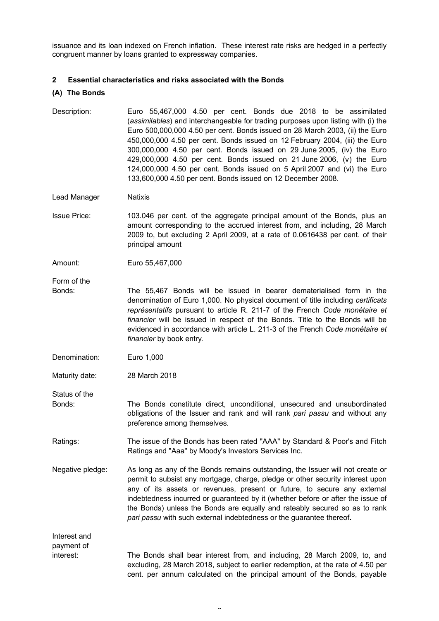issuance and its loan indexed on French inflation. These interest rate risks are hedged in a perfectly congruent manner by loans granted to expressway companies.

# **2 Essential characteristics and risks associated with the Bonds**

# **(A) The Bonds**

Description: Euro 55,467,000 4.50 per cent. Bonds due 2018 to be assimilated (*assimilables*) and interchangeable for trading purposes upon listing with (i) the Euro 500,000,000 4.50 per cent. Bonds issued on 28 March 2003, (ii) the Euro 450,000,000 4.50 per cent. Bonds issued on 12 February 2004, (iii) the Euro 300,000,000 4.50 per cent. Bonds issued on 29 June 2005, (iv) the Euro 429,000,000 4.50 per cent. Bonds issued on 21 June 2006, (v) the Euro 124,000,000 4.50 per cent. Bonds issued on 5 April 2007 and (vi) the Euro 133,600,000 4.50 per cent. Bonds issued on 12 December 2008.

Lead Manager Natixis

Issue Price: 103.046 per cent. of the aggregate principal amount of the Bonds, plus an amount corresponding to the accrued interest from, and including, 28 March 2009 to, but excluding 2 April 2009, at a rate of 0.0616438 per cent. of their principal amount

Amount: Euro 55,467,000

Form of the

- Bonds: The 55,467 Bonds will be issued in bearer dematerialised form in the denomination of Euro 1,000. No physical document of title including *certificats représentatifs* pursuant to article R. 211-7 of the French *Code monétaire et financier* will be issued in respect of the Bonds. Title to the Bonds will be evidenced in accordance with article L. 211-3 of the French *Code monétaire et financier* by book entry.
- Denomination: Euro 1,000

Maturity date: 28 March 2018

Status of the

Bonds: The Bonds constitute direct, unconditional, unsecured and unsubordinated obligations of the Issuer and rank and will rank *pari passu* and without any preference among themselves.

- Ratings: The issue of the Bonds has been rated "AAA" by Standard & Poor's and Fitch Ratings and "Aaa" by Moody's Investors Services Inc.
- Negative pledge: As long as any of the Bonds remains outstanding, the Issuer will not create or permit to subsist any mortgage, charge, pledge or other security interest upon any of its assets or revenues, present or future, to secure any external indebtedness incurred or guaranteed by it (whether before or after the issue of the Bonds) unless the Bonds are equally and rateably secured so as to rank *pari passu* with such external indebtedness or the guarantee thereof**.**

Interest and payment of interest: The Bonds shall bear interest from, and including, 28 March 2009, to, and excluding, 28 March 2018, subject to earlier redemption, at the rate of 4.50 per cent. per annum calculated on the principal amount of the Bonds, payable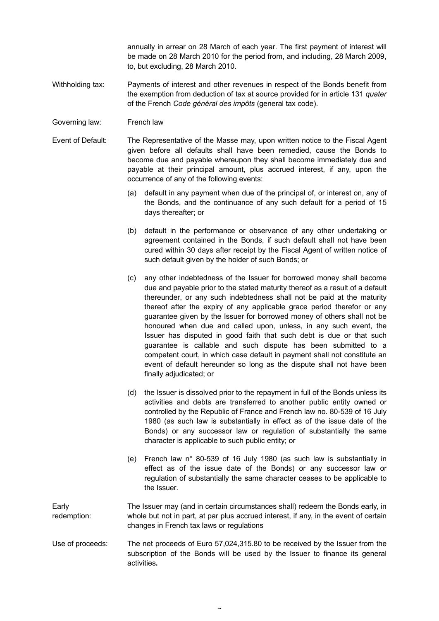annually in arrear on 28 March of each year. The first payment of interest will be made on 28 March 2010 for the period from, and including, 28 March 2009, to, but excluding, 28 March 2010.

- Withholding tax: Payments of interest and other revenues in respect of the Bonds benefit from the exemption from deduction of tax at source provided for in article 131 *quater* of the French *Code général des impôts* (general tax code).
- Governing law: French law
- Event of Default: The Representative of the Masse may, upon written notice to the Fiscal Agent given before all defaults shall have been remedied, cause the Bonds to become due and payable whereupon they shall become immediately due and payable at their principal amount, plus accrued interest, if any, upon the occurrence of any of the following events:
	- (a) default in any payment when due of the principal of, or interest on, any of the Bonds, and the continuance of any such default for a period of 15 days thereafter; or
	- (b) default in the performance or observance of any other undertaking or agreement contained in the Bonds, if such default shall not have been cured within 30 days after receipt by the Fiscal Agent of written notice of such default given by the holder of such Bonds; or
	- (c) any other indebtedness of the Issuer for borrowed money shall become due and payable prior to the stated maturity thereof as a result of a default thereunder, or any such indebtedness shall not be paid at the maturity thereof after the expiry of any applicable grace period therefor or any guarantee given by the Issuer for borrowed money of others shall not be honoured when due and called upon, unless, in any such event, the Issuer has disputed in good faith that such debt is due or that such guarantee is callable and such dispute has been submitted to a competent court, in which case default in payment shall not constitute an event of default hereunder so long as the dispute shall not have been finally adjudicated; or
	- (d) the Issuer is dissolved prior to the repayment in full of the Bonds unless its activities and debts are transferred to another public entity owned or controlled by the Republic of France and French law no. 80-539 of 16 July 1980 (as such law is substantially in effect as of the issue date of the Bonds) or any successor law or regulation of substantially the same character is applicable to such public entity; or
	- (e) French law n° 80-539 of 16 July 1980 (as such law is substantially in effect as of the issue date of the Bonds) or any successor law or regulation of substantially the same character ceases to be applicable to the Issuer.
- Early redemption: The Issuer may (and in certain circumstances shall) redeem the Bonds early, in whole but not in part, at par plus accrued interest, if any, in the event of certain changes in French tax laws or regulations
- Use of proceeds: The net proceeds of Euro 57,024,315.80 to be received by the Issuer from the subscription of the Bonds will be used by the Issuer to finance its general activities**.**

7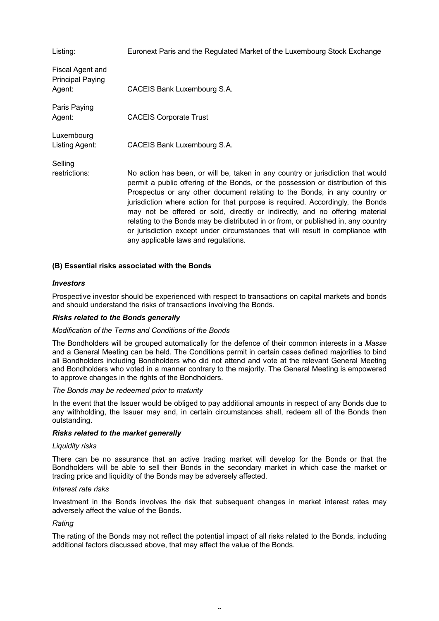| Listing:                                              | Euronext Paris and the Regulated Market of the Luxembourg Stock Exchange                                                                                                                                                                                                                                                                                                                                                                                                                                                                                                                                                          |
|-------------------------------------------------------|-----------------------------------------------------------------------------------------------------------------------------------------------------------------------------------------------------------------------------------------------------------------------------------------------------------------------------------------------------------------------------------------------------------------------------------------------------------------------------------------------------------------------------------------------------------------------------------------------------------------------------------|
| Fiscal Agent and<br><b>Principal Paying</b><br>Agent: | CACEIS Bank Luxembourg S.A.                                                                                                                                                                                                                                                                                                                                                                                                                                                                                                                                                                                                       |
| Paris Paying<br>Agent:                                | <b>CACEIS Corporate Trust</b>                                                                                                                                                                                                                                                                                                                                                                                                                                                                                                                                                                                                     |
| Luxembourg<br>Listing Agent:                          | CACEIS Bank Luxembourg S.A.                                                                                                                                                                                                                                                                                                                                                                                                                                                                                                                                                                                                       |
| Selling<br>restrictions:                              | No action has been, or will be, taken in any country or jurisdiction that would<br>permit a public offering of the Bonds, or the possession or distribution of this<br>Prospectus or any other document relating to the Bonds, in any country or<br>jurisdiction where action for that purpose is required. Accordingly, the Bonds<br>may not be offered or sold, directly or indirectly, and no offering material<br>relating to the Bonds may be distributed in or from, or published in, any country<br>or jurisdiction except under circumstances that will result in compliance with<br>any applicable laws and regulations. |

# **(B) Essential risks associated with the Bonds**

# *Investors*

Prospective investor should be experienced with respect to transactions on capital markets and bonds and should understand the risks of transactions involving the Bonds.

# *Risks related to the Bonds generally*

#### *Modification of the Terms and Conditions of the Bonds*

The Bondholders will be grouped automatically for the defence of their common interests in a *Masse* and a General Meeting can be held. The Conditions permit in certain cases defined majorities to bind all Bondholders including Bondholders who did not attend and vote at the relevant General Meeting and Bondholders who voted in a manner contrary to the majority. The General Meeting is empowered to approve changes in the rights of the Bondholders.

#### *The Bonds may be redeemed prior to maturity*

In the event that the Issuer would be obliged to pay additional amounts in respect of any Bonds due to any withholding, the Issuer may and, in certain circumstances shall, redeem all of the Bonds then outstanding.

#### *Risks related to the market generally*

#### *Liquidity risks*

There can be no assurance that an active trading market will develop for the Bonds or that the Bondholders will be able to sell their Bonds in the secondary market in which case the market or trading price and liquidity of the Bonds may be adversely affected.

#### *Interest rate risks*

Investment in the Bonds involves the risk that subsequent changes in market interest rates may adversely affect the value of the Bonds.

#### *Rating*

The rating of the Bonds may not reflect the potential impact of all risks related to the Bonds, including additional factors discussed above, that may affect the value of the Bonds.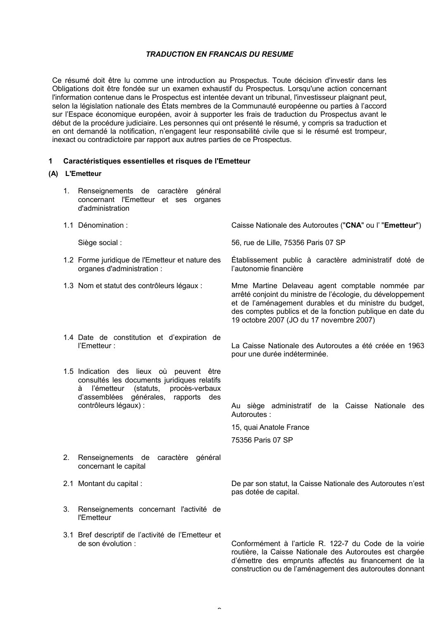# *TRADUCTION EN FRANCAIS DU RESUME*

Ce résumé doit être lu comme une introduction au Prospectus. Toute décision d'investir dans les Obligations doit être fondée sur un examen exhaustif du Prospectus. Lorsqu'une action concernant l'information contenue dans le Prospectus est intentée devant un tribunal, l'investisseur plaignant peut, selon la législation nationale des États membres de la Communauté européenne ou parties à l'accord sur l'Espace économique européen, avoir à supporter les frais de traduction du Prospectus avant le début de la procédure judiciaire. Les personnes qui ont présenté le résumé, y compris sa traduction et en ont demandé la notification, n'engagent leur responsabilité civile que si le résumé est trompeur, inexact ou contradictoire par rapport aux autres parties de ce Prospectus.

# **1 Caractéristiques essentielles et risques de l'Emetteur**

# **(A) L'Emetteur**

- 1. Renseignements de caractère général concernant l'Emetteur et ses organes d'administration
- 1.1 Dénomination : Caisse Nationale des Autoroutes ("**CNA**" ou l' "**Emetteur**") Siège social : 56, rue de Lille, 75356 Paris 07 SP 1.2 Forme juridique de l'Emetteur et nature des organes d'administration : Établissement public à caractère administratif doté de l'autonomie financière 1.3 Nom et statut des contrôleurs légaux : Mme Martine Delaveau agent comptable nommée par arrêté conjoint du ministre de l'écologie, du développement et de l'aménagement durables et du ministre du budget, des comptes publics et de la fonction publique en date du 19 octobre 2007 (JO du 17 novembre 2007) 1.4 Date de constitution et d'expiration de l'Emetteur : La Caisse Nationale des Autoroutes a été créée en 1963 pour une durée indéterminée. 1.5 Indication des lieux où peuvent être consultés les documents juridiques relatifs à l'émetteur (statuts, procès-verbaux d'assemblées générales, rapports des contrôleurs légaux) : Au siège administratif de la Caisse Nationale des Autoroutes : 15, quai Anatole France 75356 Paris 07 SP

 $\hat{ }$ 

- 2. Renseignements de caractère général concernant le capital
- 
- 3. Renseignements concernant l'activité de l'Emetteur
- 3.1 Bref descriptif de l'activité de l'Emetteur et

2.1 Montant du capital : De par son statut, la Caisse Nationale des Autoroutes n'est pas dotée de capital.

de son évolution : Conformément à l'article R. 122-7 du Code de la voirie routière, la Caisse Nationale des Autoroutes est chargée d'émettre des emprunts affectés au financement de la construction ou de l'aménagement des autoroutes donnant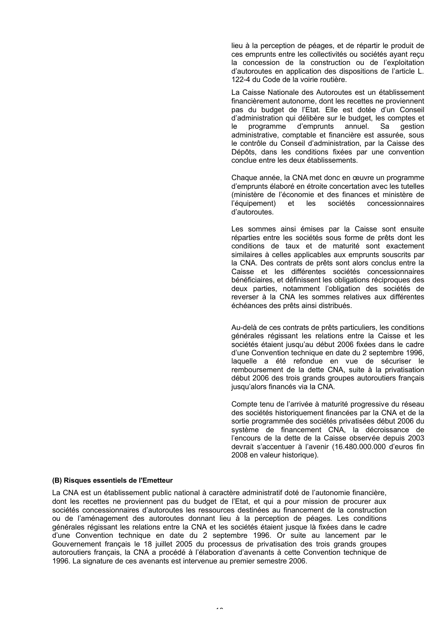lieu à la perception de péages, et de répartir le produit de ces emprunts entre les collectivités ou sociétés ayant reçu la concession de la construction ou de l'exploitation d'autoroutes en application des dispositions de l'article L. 122-4 du Code de la voirie routière.

La Caisse Nationale des Autoroutes est un établissement financièrement autonome, dont les recettes ne proviennent pas du budget de l'Etat. Elle est dotée d'un Conseil d'administration qui délibère sur le budget, les comptes et le programme d'emprunts annuel. Sa gestion administrative, comptable et financière est assurée, sous le contrôle du Conseil d'administration, par la Caisse des Dépôts, dans les conditions fixées par une convention conclue entre les deux établissements.

Chaque année, la CNA met donc en œuvre un programme d'emprunts élaboré en étroite concertation avec les tutelles (ministère de l'économie et des finances et ministère de<br>l'équipement) et les sociétés concessionnaires l'équipement) et les sociétés concessionnaires d'autoroutes.

Les sommes ainsi émises par la Caisse sont ensuite réparties entre les sociétés sous forme de prêts dont les conditions de taux et de maturité sont exactement similaires à celles applicables aux emprunts souscrits par la CNA. Des contrats de prêts sont alors conclus entre la Caisse et les différentes sociétés concessionnaires bénéficiaires, et définissent les obligations réciproques des deux parties, notamment l'obligation des sociétés de reverser à la CNA les sommes relatives aux différentes échéances des prêts ainsi distribués.

Au-delà de ces contrats de prêts particuliers, les conditions générales régissant les relations entre la Caisse et les sociétés étaient jusqu'au début 2006 fixées dans le cadre d'une Convention technique en date du 2 septembre 1996, laquelle a été refondue en vue de sécuriser le remboursement de la dette CNA, suite à la privatisation début 2006 des trois grands groupes autoroutiers français jusqu'alors financés via la CNA.

Compte tenu de l'arrivée à maturité progressive du réseau des sociétés historiquement financées par la CNA et de la sortie programmée des sociétés privatisées début 2006 du système de financement CNA, la décroissance de l'encours de la dette de la Caisse observée depuis 2003 devrait s'accentuer à l'avenir (16.480.000.000 d'euros fin 2008 en valeur historique).

# **(B) Risques essentiels de l'Emetteur**

La CNA est un établissement public national à caractère administratif doté de l'autonomie financière, dont les recettes ne proviennent pas du budget de l'Etat, et qui a pour mission de procurer aux sociétés concessionnaires d'autoroutes les ressources destinées au financement de la construction ou de l'aménagement des autoroutes donnant lieu à la perception de péages. Les conditions générales régissant les relations entre la CNA et les sociétés étaient jusque là fixées dans le cadre d'une Convention technique en date du 2 septembre 1996. Or suite au lancement par le Gouvernement français le 18 juillet 2005 du processus de privatisation des trois grands groupes autoroutiers français, la CNA a procédé à l'élaboration d'avenants à cette Convention technique de 1996. La signature de ces avenants est intervenue au premier semestre 2006.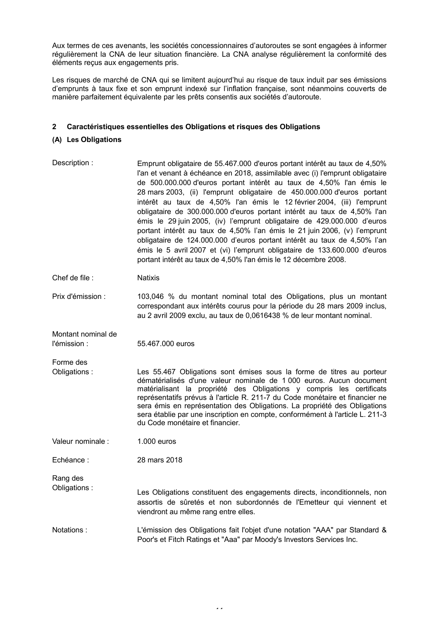Aux termes de ces avenants, les sociétés concessionnaires d'autoroutes se sont engagées à informer régulièrement la CNA de leur situation financière. La CNA analyse régulièrement la conformité des éléments reçus aux engagements pris.

Les risques de marché de CNA qui se limitent aujourd'hui au risque de taux induit par ses émissions d'emprunts à taux fixe et son emprunt indexé sur l'inflation française, sont néanmoins couverts de manière parfaitement équivalente par les prêts consentis aux sociétés d'autoroute.

# **2 Caractéristiques essentielles des Obligations et risques des Obligations**

# **(A) Les Obligations**

Description : Emprunt obligataire de 55.467.000 d'euros portant intérêt au taux de 4,50% l'an et venant à échéance en 2018, assimilable avec (i) l'emprunt obligataire de 500.000.000 d'euros portant intérêt au taux de 4,50% l'an émis le 28 mars 2003, (ii) l'emprunt obligataire de 450.000.000 d'euros portant intérêt au taux de 4,50% l'an émis le 12 février 2004, (iii) l'emprunt obligataire de 300.000.000 d'euros portant intérêt au taux de 4,50% l'an émis le 29 juin 2005, (iv) l'emprunt obligataire de 429.000.000 d'euros portant intérêt au taux de 4,50% l'an émis le 21 juin 2006, (v) l'emprunt obligataire de 124.000.000 d'euros portant intérêt au taux de 4,50% l'an émis le 5 avril 2007 et (vi) l'emprunt obligataire de 133.600.000 d'euros portant intérêt au taux de 4,50% l'an émis le 12 décembre 2008.

Chef de file : Natixis

Prix d'émission : 103,046 % du montant nominal total des Obligations, plus un montant correspondant aux intérêts courus pour la période du 28 mars 2009 inclus, au 2 avril 2009 exclu, au taux de 0,0616438 % de leur montant nominal.

Montant nominal de l'émission : 55.467.000 euros

Forme des

Obligations : Les 55.467 Obligations sont émises sous la forme de titres au porteur dématérialisés d'une valeur nominale de 1 000 euros. Aucun document matérialisant la propriété des Obligations y compris les certificats représentatifs prévus à l'article R. 211-7 du Code monétaire et financier ne sera émis en représentation des Obligations. La propriété des Obligations sera établie par une inscription en compte, conformément à l'article L. 211-3 du Code monétaire et financier.

Valeur nominale : 1.000 euros

Echéance : 28 mars 2018

Rang des

Obligations : Les Obligations constituent des engagements directs, inconditionnels, non assortis de sûretés et non subordonnés de l'Emetteur qui viennent et viendront au même rang entre elles.

Notations : L'émission des Obligations fait l'objet d'une notation "AAA" par Standard & Poor's et Fitch Ratings et "Aaa" par Moody's Investors Services Inc.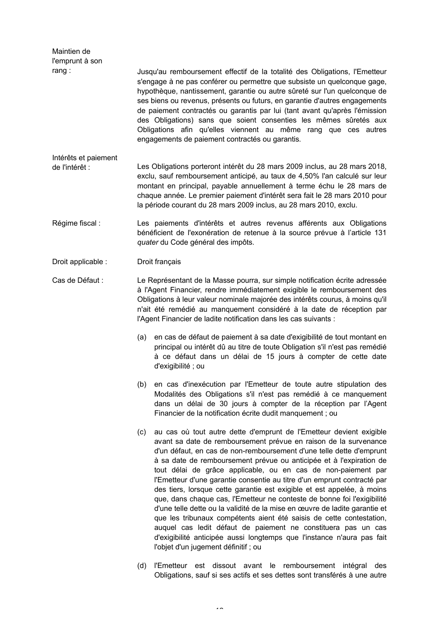| Maintien de<br>l'emprunt à son<br>rang: |                                                                                                                                                                                                                                                                                                                                                                                     |                                                                                                                                                                                                                                                                                                                                                                                                                                                                                                                                                                                                                                                                                                                                                                                                                                                                                                                                  |  |  |  |  |  |
|-----------------------------------------|-------------------------------------------------------------------------------------------------------------------------------------------------------------------------------------------------------------------------------------------------------------------------------------------------------------------------------------------------------------------------------------|----------------------------------------------------------------------------------------------------------------------------------------------------------------------------------------------------------------------------------------------------------------------------------------------------------------------------------------------------------------------------------------------------------------------------------------------------------------------------------------------------------------------------------------------------------------------------------------------------------------------------------------------------------------------------------------------------------------------------------------------------------------------------------------------------------------------------------------------------------------------------------------------------------------------------------|--|--|--|--|--|
|                                         |                                                                                                                                                                                                                                                                                                                                                                                     | Jusqu'au remboursement effectif de la totalité des Obligations, l'Emetteur<br>s'engage à ne pas conférer ou permettre que subsiste un quelconque gage,<br>hypothèque, nantissement, garantie ou autre sûreté sur l'un quelconque de<br>ses biens ou revenus, présents ou futurs, en garantie d'autres engagements<br>de paiement contractés ou garantis par lui (tant avant qu'après l'émission<br>des Obligations) sans que soient consenties les mêmes sûretés aux<br>Obligations afin qu'elles viennent au même rang que ces autres<br>engagements de paiement contractés ou garantis.                                                                                                                                                                                                                                                                                                                                        |  |  |  |  |  |
| Intérêts et paiement                    |                                                                                                                                                                                                                                                                                                                                                                                     |                                                                                                                                                                                                                                                                                                                                                                                                                                                                                                                                                                                                                                                                                                                                                                                                                                                                                                                                  |  |  |  |  |  |
| de l'intérêt :                          |                                                                                                                                                                                                                                                                                                                                                                                     | Les Obligations porteront intérêt du 28 mars 2009 inclus, au 28 mars 2018,<br>exclu, sauf remboursement anticipé, au taux de 4,50% l'an calculé sur leur<br>montant en principal, payable annuellement à terme échu le 28 mars de<br>chaque année. Le premier paiement d'intérêt sera fait le 28 mars 2010 pour<br>la période courant du 28 mars 2009 inclus, au 28 mars 2010, exclu.                                                                                                                                                                                                                                                                                                                                                                                                                                                                                                                                            |  |  |  |  |  |
| Régime fiscal :                         |                                                                                                                                                                                                                                                                                                                                                                                     | Les paiements d'intérêts et autres revenus afférents aux Obligations<br>bénéficient de l'exonération de retenue à la source prévue à l'article 131<br>quater du Code général des impôts.                                                                                                                                                                                                                                                                                                                                                                                                                                                                                                                                                                                                                                                                                                                                         |  |  |  |  |  |
| Droit applicable :                      |                                                                                                                                                                                                                                                                                                                                                                                     | Droit français                                                                                                                                                                                                                                                                                                                                                                                                                                                                                                                                                                                                                                                                                                                                                                                                                                                                                                                   |  |  |  |  |  |
| Cas de Défaut :                         | Le Représentant de la Masse pourra, sur simple notification écrite adressée<br>à l'Agent Financier, rendre immédiatement exigible le remboursement des<br>Obligations à leur valeur nominale majorée des intérêts courus, à moins qu'il<br>n'ait été remédié au manquement considéré à la date de réception par<br>l'Agent Financier de ladite notification dans les cas suivants : |                                                                                                                                                                                                                                                                                                                                                                                                                                                                                                                                                                                                                                                                                                                                                                                                                                                                                                                                  |  |  |  |  |  |
|                                         | (a)                                                                                                                                                                                                                                                                                                                                                                                 | en cas de défaut de paiement à sa date d'exigibilité de tout montant en<br>principal ou intérêt dû au titre de toute Obligation s'il n'est pas remédié<br>à ce défaut dans un délai de 15 jours à compter de cette date<br>d'exigibilité ; ou                                                                                                                                                                                                                                                                                                                                                                                                                                                                                                                                                                                                                                                                                    |  |  |  |  |  |
|                                         | (b)                                                                                                                                                                                                                                                                                                                                                                                 | en cas d'inexécution par l'Emetteur de toute autre stipulation des<br>Modalités des Obligations s'il n'est pas remédié à ce manquement<br>dans un délai de 30 jours à compter de la réception par l'Agent<br>Financier de la notification écrite dudit manquement ; ou                                                                                                                                                                                                                                                                                                                                                                                                                                                                                                                                                                                                                                                           |  |  |  |  |  |
|                                         | (c)                                                                                                                                                                                                                                                                                                                                                                                 | au cas où tout autre dette d'emprunt de l'Emetteur devient exigible<br>avant sa date de remboursement prévue en raison de la survenance<br>d'un défaut, en cas de non-remboursement d'une telle dette d'emprunt<br>à sa date de remboursement prévue ou anticipée et à l'expiration de<br>tout délai de grâce applicable, ou en cas de non-paiement par<br>l'Emetteur d'une garantie consentie au titre d'un emprunt contracté par<br>des tiers, lorsque cette garantie est exigible et est appelée, à moins<br>que, dans chaque cas, l'Emetteur ne conteste de bonne foi l'exigibilité<br>d'une telle dette ou la validité de la mise en œuvre de ladite garantie et<br>que les tribunaux compétents aient été saisis de cette contestation,<br>auquel cas ledit défaut de paiement ne constituera pas un cas<br>d'exigibilité anticipée aussi longtemps que l'instance n'aura pas fait<br>l'objet d'un jugement définitif ; ou |  |  |  |  |  |
|                                         |                                                                                                                                                                                                                                                                                                                                                                                     |                                                                                                                                                                                                                                                                                                                                                                                                                                                                                                                                                                                                                                                                                                                                                                                                                                                                                                                                  |  |  |  |  |  |

(d) l'Emetteur est dissout avant le remboursement intégral des Obligations, sauf si ses actifs et ses dettes sont transférés à une autre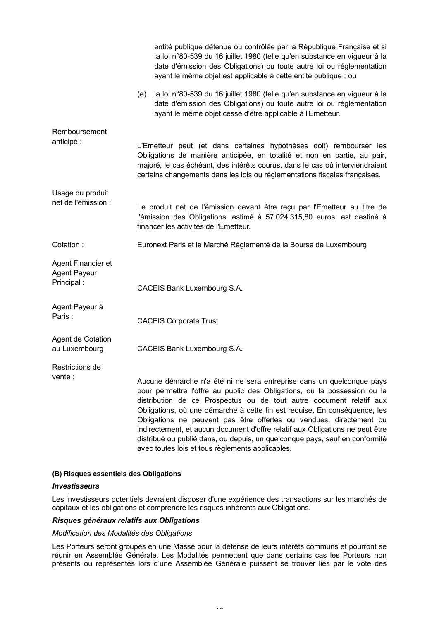|                                                         |     | entité publique détenue ou contrôlée par la République Française et si<br>la loi n°80-539 du 16 juillet 1980 (telle qu'en substance en vigueur à la<br>date d'émission des Obligations) ou toute autre loi ou réglementation<br>ayant le même objet est applicable à cette entité publique ; ou                                                                                                                                                                                                                                                                                                  |
|---------------------------------------------------------|-----|--------------------------------------------------------------------------------------------------------------------------------------------------------------------------------------------------------------------------------------------------------------------------------------------------------------------------------------------------------------------------------------------------------------------------------------------------------------------------------------------------------------------------------------------------------------------------------------------------|
|                                                         | (e) | la loi n°80-539 du 16 juillet 1980 (telle qu'en substance en vigueur à la<br>date d'émission des Obligations) ou toute autre loi ou réglementation<br>ayant le même objet cesse d'être applicable à l'Emetteur.                                                                                                                                                                                                                                                                                                                                                                                  |
| Remboursement<br>anticipé :                             |     | L'Emetteur peut (et dans certaines hypothèses doit) rembourser les<br>Obligations de manière anticipée, en totalité et non en partie, au pair,<br>majoré, le cas échéant, des intérêts courus, dans le cas où interviendraient<br>certains changements dans les lois ou réglementations fiscales françaises.                                                                                                                                                                                                                                                                                     |
| Usage du produit<br>net de l'émission :                 |     | Le produit net de l'émission devant être reçu par l'Emetteur au titre de<br>l'émission des Obligations, estimé à 57.024.315,80 euros, est destiné à<br>financer les activités de l'Emetteur.                                                                                                                                                                                                                                                                                                                                                                                                     |
| Cotation:                                               |     | Euronext Paris et le Marché Réglementé de la Bourse de Luxembourg                                                                                                                                                                                                                                                                                                                                                                                                                                                                                                                                |
| Agent Financier et<br><b>Agent Payeur</b><br>Principal: |     | CACEIS Bank Luxembourg S.A.                                                                                                                                                                                                                                                                                                                                                                                                                                                                                                                                                                      |
| Agent Payeur à<br>Paris:                                |     | <b>CACEIS Corporate Trust</b>                                                                                                                                                                                                                                                                                                                                                                                                                                                                                                                                                                    |
| Agent de Cotation<br>au Luxembourg                      |     | CACEIS Bank Luxembourg S.A.                                                                                                                                                                                                                                                                                                                                                                                                                                                                                                                                                                      |
| Restrictions de<br>vente :                              |     | Aucune démarche n'a été ni ne sera entreprise dans un quelconque pays<br>pour permettre l'offre au public des Obligations, ou la possession ou la<br>distribution de ce Prospectus ou de tout autre document relatif aux<br>Obligations, où une démarche à cette fin est requise. En conséquence, les<br>Obligations ne peuvent pas être offertes ou vendues, directement ou<br>indirectement, et aucun document d'offre relatif aux Obligations ne peut être<br>distribué ou publié dans, ou depuis, un quelconque pays, sauf en conformité<br>avec toutes lois et tous règlements applicables. |

# **(B) Risques essentiels des Obligations**

#### *Investisseurs*

Les investisseurs potentiels devraient disposer d'une expérience des transactions sur les marchés de capitaux et les obligations et comprendre les risques inhérents aux Obligations.

# *Risques généraux relatifs aux Obligations*

#### *Modification des Modalités des Obligations*

Les Porteurs seront groupés en une Masse pour la défense de leurs intérêts communs et pourront se réunir en Assemblée Générale. Les Modalités permettent que dans certains cas les Porteurs non présents ou représentés lors d'une Assemblée Générale puissent se trouver liés par le vote des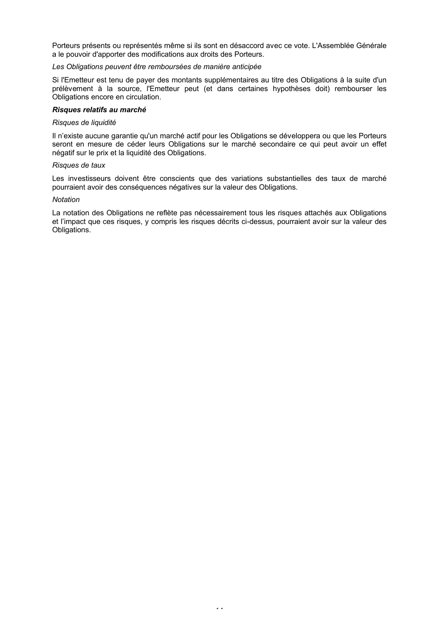Porteurs présents ou représentés même si ils sont en désaccord avec ce vote. L'Assemblée Générale a le pouvoir d'apporter des modifications aux droits des Porteurs.

# *Les Obligations peuvent être remboursées de manière anticipée*

Si l'Emetteur est tenu de payer des montants supplémentaires au titre des Obligations à la suite d'un prélèvement à la source, l'Emetteur peut (et dans certaines hypothèses doit) rembourser les Obligations encore en circulation.

#### *Risques relatifs au marché*

#### *Risques de liquidité*

Il n'existe aucune garantie qu'un marché actif pour les Obligations se développera ou que les Porteurs seront en mesure de céder leurs Obligations sur le marché secondaire ce qui peut avoir un effet négatif sur le prix et la liquidité des Obligations.

#### *Risques de taux*

Les investisseurs doivent être conscients que des variations substantielles des taux de marché pourraient avoir des conséquences négatives sur la valeur des Obligations.

#### *Notation*

La notation des Obligations ne reflète pas nécessairement tous les risques attachés aux Obligations et l'impact que ces risques, y compris les risques décrits ci-dessus, pourraient avoir sur la valeur des Obligations.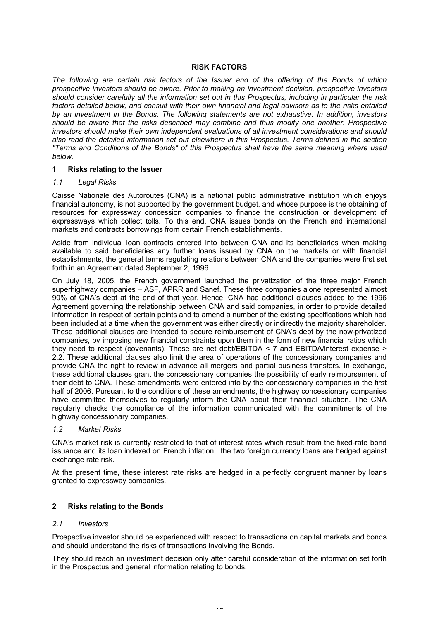# **RISK FACTORS**

*The following are certain risk factors of the Issuer and of the offering of the Bonds of which prospective investors should be aware. Prior to making an investment decision, prospective investors should consider carefully all the information set out in this Prospectus, including in particular the risk*  factors detailed below, and consult with their own financial and legal advisors as to the risks entailed *by an investment in the Bonds. The following statements are not exhaustive. In addition, investors should be aware that the risks described may combine and thus modify one another. Prospective investors should make their own independent evaluations of all investment considerations and should also read the detailed information set out elsewhere in this Prospectus. Terms defined in the section "Terms and Conditions of the Bonds" of this Prospectus shall have the same meaning where used below.*

# **1 Risks relating to the Issuer**

# *1.1 Legal Risks*

Caisse Nationale des Autoroutes (CNA) is a national public administrative institution which enjoys financial autonomy, is not supported by the government budget, and whose purpose is the obtaining of resources for expressway concession companies to finance the construction or development of expressways which collect tolls. To this end, CNA issues bonds on the French and international markets and contracts borrowings from certain French establishments.

Aside from individual loan contracts entered into between CNA and its beneficiaries when making available to said beneficiaries any further loans issued by CNA on the markets or with financial establishments, the general terms regulating relations between CNA and the companies were first set forth in an Agreement dated September 2, 1996.

On July 18, 2005, the French government launched the privatization of the three major French superhighway companies – ASF, APRR and Sanef. These three companies alone represented almost 90% of CNA's debt at the end of that year. Hence, CNA had additional clauses added to the 1996 Agreement governing the relationship between CNA and said companies, in order to provide detailed information in respect of certain points and to amend a number of the existing specifications which had been included at a time when the government was either directly or indirectly the majority shareholder. These additional clauses are intended to secure reimbursement of CNA's debt by the now-privatized companies, by imposing new financial constraints upon them in the form of new financial ratios which they need to respect (covenants). These are net debt/EBITDA < 7 and EBITDA/interest expense > 2.2. These additional clauses also limit the area of operations of the concessionary companies and provide CNA the right to review in advance all mergers and partial business transfers. In exchange, these additional clauses grant the concessionary companies the possibility of early reimbursement of their debt to CNA. These amendments were entered into by the concessionary companies in the first half of 2006. Pursuant to the conditions of these amendments, the highway concessionary companies have committed themselves to regularly inform the CNA about their financial situation. The CNA regularly checks the compliance of the information communicated with the commitments of the highway concessionary companies.

# *1.2 Market Risks*

CNA's market risk is currently restricted to that of interest rates which result from the fixed-rate bond issuance and its loan indexed on French inflation: the two foreign currency loans are hedged against exchange rate risk.

At the present time, these interest rate risks are hedged in a perfectly congruent manner by loans granted to expressway companies.

# **2 Risks relating to the Bonds**

# *2.1 Investors*

Prospective investor should be experienced with respect to transactions on capital markets and bonds and should understand the risks of transactions involving the Bonds.

They should reach an investment decision only after careful consideration of the information set forth in the Prospectus and general information relating to bonds.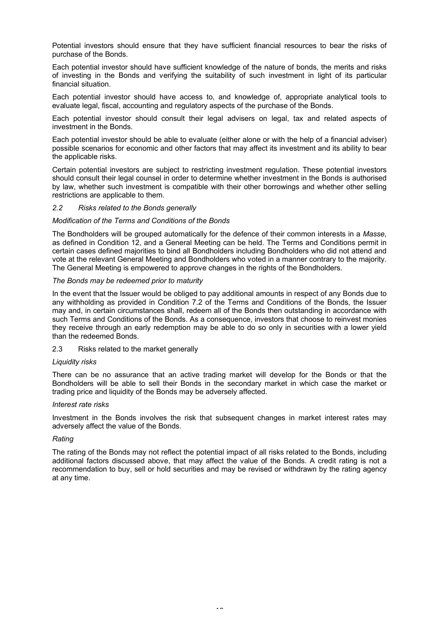Potential investors should ensure that they have sufficient financial resources to bear the risks of purchase of the Bonds.

Each potential investor should have sufficient knowledge of the nature of bonds, the merits and risks of investing in the Bonds and verifying the suitability of such investment in light of its particular financial situation.

Each potential investor should have access to, and knowledge of, appropriate analytical tools to evaluate legal, fiscal, accounting and regulatory aspects of the purchase of the Bonds.

Each potential investor should consult their legal advisers on legal, tax and related aspects of investment in the Bonds.

Each potential investor should be able to evaluate (either alone or with the help of a financial adviser) possible scenarios for economic and other factors that may affect its investment and its ability to bear the applicable risks.

Certain potential investors are subject to restricting investment regulation. These potential investors should consult their legal counsel in order to determine whether investment in the Bonds is authorised by law, whether such investment is compatible with their other borrowings and whether other selling restrictions are applicable to them.

# *2.2 Risks related to the Bonds generally*

# *Modification of the Terms and Conditions of the Bonds*

The Bondholders will be grouped automatically for the defence of their common interests in a *Masse*, as defined in Condition 12, and a General Meeting can be held. The Terms and Conditions permit in certain cases defined majorities to bind all Bondholders including Bondholders who did not attend and vote at the relevant General Meeting and Bondholders who voted in a manner contrary to the majority. The General Meeting is empowered to approve changes in the rights of the Bondholders.

# *The Bonds may be redeemed prior to maturity*

In the event that the Issuer would be obliged to pay additional amounts in respect of any Bonds due to any withholding as provided in Condition 7.2 of the Terms and Conditions of the Bonds, the Issuer may and, in certain circumstances shall, redeem all of the Bonds then outstanding in accordance with such Terms and Conditions of the Bonds. As a consequence, investors that choose to reinvest monies they receive through an early redemption may be able to do so only in securities with a lower yield than the redeemed Bonds.

# 2.3 Risks related to the market generally

# *Liquidity risks*

There can be no assurance that an active trading market will develop for the Bonds or that the Bondholders will be able to sell their Bonds in the secondary market in which case the market or trading price and liquidity of the Bonds may be adversely affected.

# *Interest rate risks*

Investment in the Bonds involves the risk that subsequent changes in market interest rates may adversely affect the value of the Bonds.

# *Rating*

The rating of the Bonds may not reflect the potential impact of all risks related to the Bonds, including additional factors discussed above, that may affect the value of the Bonds. A credit rating is not a recommendation to buy, sell or hold securities and may be revised or withdrawn by the rating agency at any time.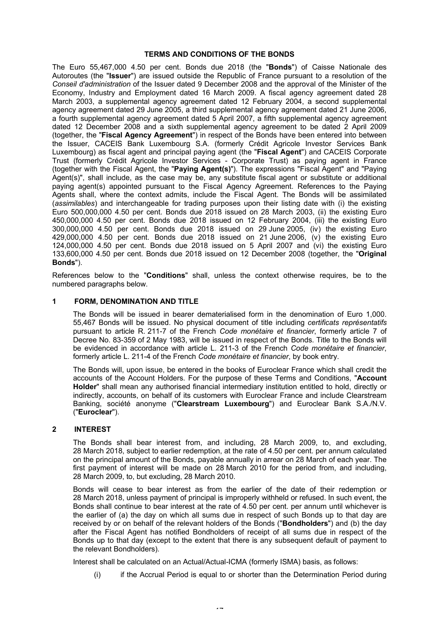# **TERMS AND CONDITIONS OF THE BONDS**

The Euro 55,467,000 4.50 per cent. Bonds due 2018 (the "**Bonds**") of Caisse Nationale des Autoroutes (the "**Issuer**") are issued outside the Republic of France pursuant to a resolution of the *Conseil d'administration* of the Issuer dated 9 December 2008 and the approval of the Minister of the Economy, Industry and Employment dated 16 March 2009. A fiscal agency agreement dated 28 March 2003, a supplemental agency agreement dated 12 February 2004, a second supplemental agency agreement dated 29 June 2005, a third supplemental agency agreement dated 21 June 2006, a fourth supplemental agency agreement dated 5 April 2007, a fifth supplemental agency agreement dated 12 December 2008 and a sixth supplemental agency agreement to be dated 2 April 2009 (together, the "**Fiscal Agency Agreement**") in respect of the Bonds have been entered into between the Issuer, CACEIS Bank Luxembourg S.A. (formerly Crédit Agricole Investor Services Bank Luxembourg) as fiscal agent and principal paying agent (the "**Fiscal Agent**") and CACEIS Corporate Trust (formerly Crédit Agricole Investor Services - Corporate Trust) as paying agent in France (together with the Fiscal Agent, the "**Paying Agent(s)**"). The expressions "Fiscal Agent" and "Paying Agent(s)", shall include, as the case may be, any substitute fiscal agent or substitute or additional paying agent(s) appointed pursuant to the Fiscal Agency Agreement. References to the Paying Agents shall, where the context admits, include the Fiscal Agent. The Bonds will be assimilated (*assimilables*) and interchangeable for trading purposes upon their listing date with (i) the existing Euro 500,000,000 4.50 per cent. Bonds due 2018 issued on 28 March 2003, (ii) the existing Euro 450,000,000 4.50 per cent. Bonds due 2018 issued on 12 February 2004, (iii) the existing Euro 300,000,000 4.50 per cent. Bonds due 2018 issued on 29 June 2005, (iv) the existing Euro 429,000,000 4.50 per cent. Bonds due 2018 issued on 21 June 2006, (v) the existing Euro 124,000,000 4.50 per cent. Bonds due 2018 issued on 5 April 2007 and (vi) the existing Euro 133,600,000 4.50 per cent. Bonds due 2018 issued on 12 December 2008 (together, the "**Original Bonds**").

References below to the "**Conditions**" shall, unless the context otherwise requires, be to the numbered paragraphs below.

# **1 FORM, DENOMINATION AND TITLE**

The Bonds will be issued in bearer dematerialised form in the denomination of Euro 1,000. 55,467 Bonds will be issued. No physical document of title including *certificats représentatifs* pursuant to article R. 211-7 of the French *Code monétaire et financier*, formerly article 7 of Decree No. 83-359 of 2 May 1983, will be issued in respect of the Bonds. Title to the Bonds will be evidenced in accordance with article L. 211-3 of the French *Code monétaire et financier*, formerly article L. 211-4 of the French *Code monétaire et financier*, by book entry.

The Bonds will, upon issue, be entered in the books of Euroclear France which shall credit the accounts of the Account Holders. For the purpose of these Terms and Conditions, "**Account Holder**" shall mean any authorised financial intermediary institution entitled to hold, directly or indirectly, accounts, on behalf of its customers with Euroclear France and include Clearstream Banking, société anonyme ("**Clearstream Luxembourg**") and Euroclear Bank S.A./N.V. ("**Euroclear**").

# **2 INTEREST**

The Bonds shall bear interest from, and including, 28 March 2009, to, and excluding, 28 March 2018, subject to earlier redemption, at the rate of 4.50 per cent. per annum calculated on the principal amount of the Bonds, payable annually in arrear on 28 March of each year. The first payment of interest will be made on 28 March 2010 for the period from, and including, 28 March 2009, to, but excluding, 28 March 2010.

Bonds will cease to bear interest as from the earlier of the date of their redemption or 28 March 2018, unless payment of principal is improperly withheld or refused. In such event, the Bonds shall continue to bear interest at the rate of 4.50 per cent. per annum until whichever is the earlier of (a) the day on which all sums due in respect of such Bonds up to that day are received by or on behalf of the relevant holders of the Bonds ("**Bondholders**") and (b) the day after the Fiscal Agent has notified Bondholders of receipt of all sums due in respect of the Bonds up to that day (except to the extent that there is any subsequent default of payment to the relevant Bondholders).

Interest shall be calculated on an Actual/Actual-ICMA (formerly ISMA) basis, as follows:

(i) if the Accrual Period is equal to or shorter than the Determination Period during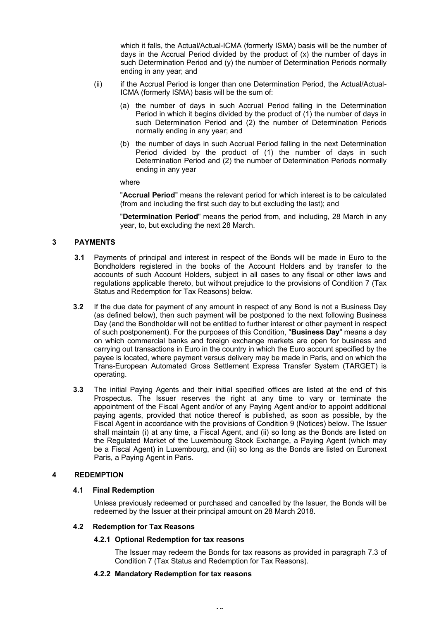which it falls, the Actual/Actual-ICMA (formerly ISMA) basis will be the number of days in the Accrual Period divided by the product of (x) the number of days in such Determination Period and (y) the number of Determination Periods normally ending in any year; and

- (ii) if the Accrual Period is longer than one Determination Period, the Actual/Actual-ICMA (formerly ISMA) basis will be the sum of:
	- (a) the number of days in such Accrual Period falling in the Determination Period in which it begins divided by the product of (1) the number of days in such Determination Period and (2) the number of Determination Periods normally ending in any year; and
	- (b) the number of days in such Accrual Period falling in the next Determination Period divided by the product of (1) the number of days in such Determination Period and (2) the number of Determination Periods normally ending in any year

# where

"**Accrual Period**" means the relevant period for which interest is to be calculated (from and including the first such day to but excluding the last); and

"**Determination Period**" means the period from, and including, 28 March in any year, to, but excluding the next 28 March.

# **3 PAYMENTS**

- **3.1** Payments of principal and interest in respect of the Bonds will be made in Euro to the Bondholders registered in the books of the Account Holders and by transfer to the accounts of such Account Holders, subject in all cases to any fiscal or other laws and regulations applicable thereto, but without prejudice to the provisions of Condition 7 (Tax Status and Redemption for Tax Reasons) below.
- **3.2** If the due date for payment of any amount in respect of any Bond is not a Business Day (as defined below), then such payment will be postponed to the next following Business Day (and the Bondholder will not be entitled to further interest or other payment in respect of such postponement). For the purposes of this Condition, "**Business Day**" means a day on which commercial banks and foreign exchange markets are open for business and carrying out transactions in Euro in the country in which the Euro account specified by the payee is located, where payment versus delivery may be made in Paris, and on which the Trans-European Automated Gross Settlement Express Transfer System (TARGET) is operating.
- **3.3** The initial Paying Agents and their initial specified offices are listed at the end of this Prospectus. The Issuer reserves the right at any time to vary or terminate the appointment of the Fiscal Agent and/or of any Paying Agent and/or to appoint additional paying agents, provided that notice thereof is published, as soon as possible, by the Fiscal Agent in accordance with the provisions of Condition 9 (Notices) below. The Issuer shall maintain (i) at any time, a Fiscal Agent, and (ii) so long as the Bonds are listed on the Regulated Market of the Luxembourg Stock Exchange, a Paying Agent (which may be a Fiscal Agent) in Luxembourg, and (iii) so long as the Bonds are listed on Euronext Paris, a Paying Agent in Paris.

# **4 REDEMPTION**

# **4.1 Final Redemption**

Unless previously redeemed or purchased and cancelled by the Issuer, the Bonds will be redeemed by the Issuer at their principal amount on 28 March 2018.

# **4.2 Redemption for Tax Reasons**

# **4.2.1 Optional Redemption for tax reasons**

The Issuer may redeem the Bonds for tax reasons as provided in paragraph 7.3 of Condition 7 (Tax Status and Redemption for Tax Reasons).

# **4.2.2 Mandatory Redemption for tax reasons**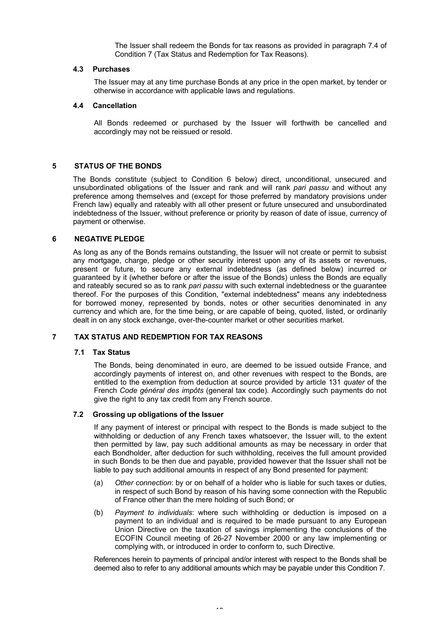The Issuer shall redeem the Bonds for tax reasons as provided in paragraph 7.4 of Condition 7 (Tax Status and Redemption for Tax Reasons).

# **4.3 Purchases**

The Issuer may at any time purchase Bonds at any price in the open market, by tender or otherwise in accordance with applicable laws and regulations.

# **4.4 Cancellation**

All Bonds redeemed or purchased by the Issuer will forthwith be cancelled and accordingly may not be reissued or resold.

# **5 STATUS OF THE BONDS**

The Bonds constitute (subject to Condition 6 below) direct, unconditional, unsecured and unsubordinated obligations of the Issuer and rank and will rank *pari passu* and without any preference among themselves and (except for those preferred by mandatory provisions under French law) equally and rateably with all other present or future unsecured and unsubordinated indebtedness of the Issuer, without preference or priority by reason of date of issue, currency of payment or otherwise.

# **6 NEGATIVE PLEDGE**

As long as any of the Bonds remains outstanding, the Issuer will not create or permit to subsist any mortgage, charge, pledge or other security interest upon any of its assets or revenues, present or future, to secure any external indebtedness (as defined below) incurred or guaranteed by it (whether before or after the issue of the Bonds) unless the Bonds are equally and rateably secured so as to rank *pari passu* with such external indebtedness or the guarantee thereof. For the purposes of this Condition, "external indebtedness" means any indebtedness for borrowed money, represented by bonds, notes or other securities denominated in any currency and which are, for the time being, or are capable of being, quoted, listed, or ordinarily dealt in on any stock exchange, over-the-counter market or other securities market.

# **7 TAX STATUS AND REDEMPTION FOR TAX REASONS**

# **7.1 Tax Status**

The Bonds, being denominated in euro, are deemed to be issued outside France, and accordingly payments of interest on, and other revenues with respect to the Bonds, are entitled to the exemption from deduction at source provided by article 131 *quater* of the French *Code général des impôts* (general tax code). Accordingly such payments do not give the right to any tax credit from any French source.

# **7.2 Grossing up obligations of the Issuer**

If any payment of interest or principal with respect to the Bonds is made subject to the withholding or deduction of any French taxes whatsoever, the Issuer will, to the extent then permitted by law, pay such additional amounts as may be necessary in order that each Bondholder, after deduction for such withholding, receives the full amount provided in such Bonds to be then due and payable, provided however that the Issuer shall not be liable to pay such additional amounts in respect of any Bond presented for payment:

- (a) *Other connection*: by or on behalf of a holder who is liable for such taxes or duties, in respect of such Bond by reason of his having some connection with the Republic of France other than the mere holding of such Bond; or
- (b) *Payment to individuals*: where such withholding or deduction is imposed on a payment to an individual and is required to be made pursuant to any European Union Directive on the taxation of savings implementing the conclusions of the ECOFIN Council meeting of 26-27 November 2000 or any law implementing or complying with, or introduced in order to conform to, such Directive.

References herein to payments of principal and/or interest with respect to the Bonds shall be deemed also to refer to any additional amounts which may be payable under this Condition 7.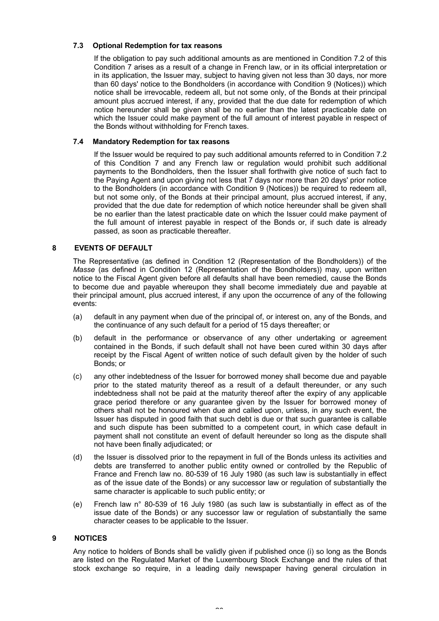# **7.3 Optional Redemption for tax reasons**

If the obligation to pay such additional amounts as are mentioned in Condition 7.2 of this Condition 7 arises as a result of a change in French law, or in its official interpretation or in its application, the Issuer may, subject to having given not less than 30 days, nor more than 60 days' notice to the Bondholders (in accordance with Condition 9 (Notices)) which notice shall be irrevocable, redeem all, but not some only, of the Bonds at their principal amount plus accrued interest, if any, provided that the due date for redemption of which notice hereunder shall be given shall be no earlier than the latest practicable date on which the Issuer could make payment of the full amount of interest payable in respect of the Bonds without withholding for French taxes.

# **7.4 Mandatory Redemption for tax reasons**

If the Issuer would be required to pay such additional amounts referred to in Condition 7.2 of this Condition 7 and any French law or regulation would prohibit such additional payments to the Bondholders, then the Issuer shall forthwith give notice of such fact to the Paying Agent and upon giving not less that 7 days nor more than 20 days' prior notice to the Bondholders (in accordance with Condition 9 (Notices)) be required to redeem all, but not some only, of the Bonds at their principal amount, plus accrued interest, if any, provided that the due date for redemption of which notice hereunder shall be given shall be no earlier than the latest practicable date on which the Issuer could make payment of the full amount of interest payable in respect of the Bonds or, if such date is already passed, as soon as practicable thereafter.

# **8 EVENTS OF DEFAULT**

The Representative (as defined in Condition 12 (Representation of the Bondholders)) of the *Masse* (as defined in Condition 12 (Representation of the Bondholders)) may, upon written notice to the Fiscal Agent given before all defaults shall have been remedied, cause the Bonds to become due and payable whereupon they shall become immediately due and payable at their principal amount, plus accrued interest, if any upon the occurrence of any of the following events:

- (a) default in any payment when due of the principal of, or interest on, any of the Bonds, and the continuance of any such default for a period of 15 days thereafter; or
- (b) default in the performance or observance of any other undertaking or agreement contained in the Bonds, if such default shall not have been cured within 30 days after receipt by the Fiscal Agent of written notice of such default given by the holder of such Bonds; or
- (c) any other indebtedness of the Issuer for borrowed money shall become due and payable prior to the stated maturity thereof as a result of a default thereunder, or any such indebtedness shall not be paid at the maturity thereof after the expiry of any applicable grace period therefore or any guarantee given by the Issuer for borrowed money of others shall not be honoured when due and called upon, unless, in any such event, the Issuer has disputed in good faith that such debt is due or that such guarantee is callable and such dispute has been submitted to a competent court, in which case default in payment shall not constitute an event of default hereunder so long as the dispute shall not have been finally adjudicated; or
- (d) the Issuer is dissolved prior to the repayment in full of the Bonds unless its activities and debts are transferred to another public entity owned or controlled by the Republic of France and French law no. 80-539 of 16 July 1980 (as such law is substantially in effect as of the issue date of the Bonds) or any successor law or regulation of substantially the same character is applicable to such public entity; or
- (e) French law n° 80-539 of 16 July 1980 (as such law is substantially in effect as of the issue date of the Bonds) or any successor law or regulation of substantially the same character ceases to be applicable to the Issuer.

# **9 NOTICES**

Any notice to holders of Bonds shall be validly given if published once (i) so long as the Bonds are listed on the Regulated Market of the Luxembourg Stock Exchange and the rules of that stock exchange so require, in a leading daily newspaper having general circulation in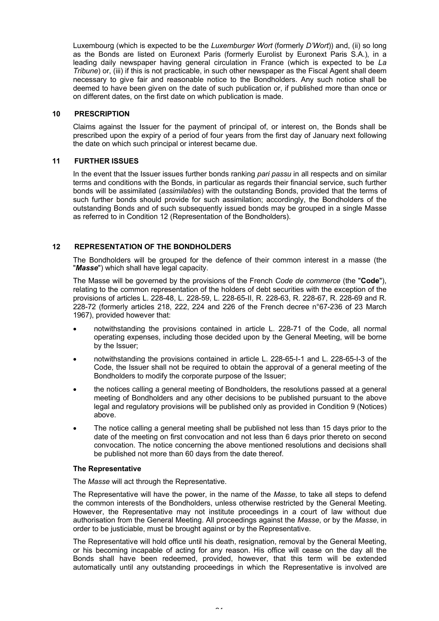Luxembourg (which is expected to be the *Luxemburger Wort* (formerly *D'Wort*)) and, (ii) so long as the Bonds are listed on Euronext Paris (formerly Eurolist by Euronext Paris S.A.), in a leading daily newspaper having general circulation in France (which is expected to be *La Tribune*) or, (iii) if this is not practicable, in such other newspaper as the Fiscal Agent shall deem necessary to give fair and reasonable notice to the Bondholders. Any such notice shall be deemed to have been given on the date of such publication or, if published more than once or on different dates, on the first date on which publication is made.

# **10 PRESCRIPTION**

Claims against the Issuer for the payment of principal of, or interest on, the Bonds shall be prescribed upon the expiry of a period of four years from the first day of January next following the date on which such principal or interest became due.

# **11 FURTHER ISSUES**

In the event that the Issuer issues further bonds ranking *pari passu* in all respects and on similar terms and conditions with the Bonds, in particular as regards their financial service, such further bonds will be assimilated (*assimilables*) with the outstanding Bonds, provided that the terms of such further bonds should provide for such assimilation; accordingly, the Bondholders of the outstanding Bonds and of such subsequently issued bonds may be grouped in a single Masse as referred to in Condition 12 (Representation of the Bondholders).

# **12 REPRESENTATION OF THE BONDHOLDERS**

The Bondholders will be grouped for the defence of their common interest in a masse (the "*Masse*") which shall have legal capacity.

The Masse will be governed by the provisions of the French *Code de commerce* (the "**Code**"), relating to the common representation of the holders of debt securities with the exception of the provisions of articles L. 228-48, L. 228-59, L. 228-65-II, R. 228-63, R. 228-67, R. 228-69 and R. 228-72 (formerly articles 218, 222, 224 and 226 of the French decree n°67-236 of 23 March 1967), provided however that:

- notwithstanding the provisions contained in article L. 228-71 of the Code, all normal operating expenses, including those decided upon by the General Meeting, will be borne by the Issuer;
- · notwithstanding the provisions contained in article L. 228-65-I-1 and L. 228-65-I-3 of the Code, the Issuer shall not be required to obtain the approval of a general meeting of the Bondholders to modify the corporate purpose of the Issuer;
- · the notices calling a general meeting of Bondholders, the resolutions passed at a general meeting of Bondholders and any other decisions to be published pursuant to the above legal and regulatory provisions will be published only as provided in Condition 9 (Notices) above.
- · The notice calling a general meeting shall be published not less than 15 days prior to the date of the meeting on first convocation and not less than 6 days prior thereto on second convocation. The notice concerning the above mentioned resolutions and decisions shall be published not more than 60 days from the date thereof.

# **The Representative**

The *Masse* will act through the Representative.

The Representative will have the power, in the name of the *Masse*, to take all steps to defend the common interests of the Bondholders, unless otherwise restricted by the General Meeting. However, the Representative may not institute proceedings in a court of law without due authorisation from the General Meeting. All proceedings against the *Masse*, or by the *Masse*, in order to be justiciable, must be brought against or by the Representative.

The Representative will hold office until his death, resignation, removal by the General Meeting, or his becoming incapable of acting for any reason. His office will cease on the day all the Bonds shall have been redeemed, provided, however, that this term will be extended automatically until any outstanding proceedings in which the Representative is involved are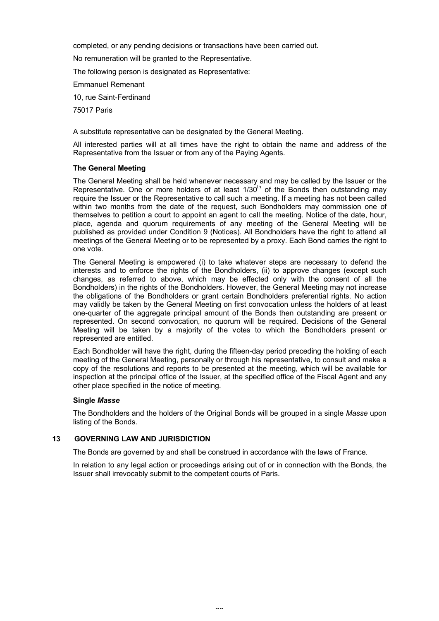completed, or any pending decisions or transactions have been carried out.

No remuneration will be granted to the Representative.

The following person is designated as Representative:

Emmanuel Remenant

10, rue Saint-Ferdinand

75017 Paris

A substitute representative can be designated by the General Meeting.

All interested parties will at all times have the right to obtain the name and address of the Representative from the Issuer or from any of the Paying Agents.

#### **The General Meeting**

The General Meeting shall be held whenever necessary and may be called by the Issuer or the Representative. One or more holders of at least  $1/30<sup>th</sup>$  of the Bonds then outstanding may require the Issuer or the Representative to call such a meeting. If a meeting has not been called within two months from the date of the request, such Bondholders may commission one of themselves to petition a court to appoint an agent to call the meeting. Notice of the date, hour, place, agenda and quorum requirements of any meeting of the General Meeting will be published as provided under Condition 9 (Notices). All Bondholders have the right to attend all meetings of the General Meeting or to be represented by a proxy. Each Bond carries the right to one vote.

The General Meeting is empowered (i) to take whatever steps are necessary to defend the interests and to enforce the rights of the Bondholders, (ii) to approve changes (except such changes, as referred to above, which may be effected only with the consent of all the Bondholders) in the rights of the Bondholders. However, the General Meeting may not increase the obligations of the Bondholders or grant certain Bondholders preferential rights. No action may validly be taken by the General Meeting on first convocation unless the holders of at least one-quarter of the aggregate principal amount of the Bonds then outstanding are present or represented. On second convocation, no quorum will be required. Decisions of the General Meeting will be taken by a majority of the votes to which the Bondholders present or represented are entitled.

Each Bondholder will have the right, during the fifteen-day period preceding the holding of each meeting of the General Meeting, personally or through his representative, to consult and make a copy of the resolutions and reports to be presented at the meeting, which will be available for inspection at the principal office of the Issuer, at the specified office of the Fiscal Agent and any other place specified in the notice of meeting.

# **Single** *Masse*

The Bondholders and the holders of the Original Bonds will be grouped in a single *Masse* upon listing of the Bonds.

# **13 GOVERNING LAW AND JURISDICTION**

The Bonds are governed by and shall be construed in accordance with the laws of France.

In relation to any legal action or proceedings arising out of or in connection with the Bonds, the Issuer shall irrevocably submit to the competent courts of Paris.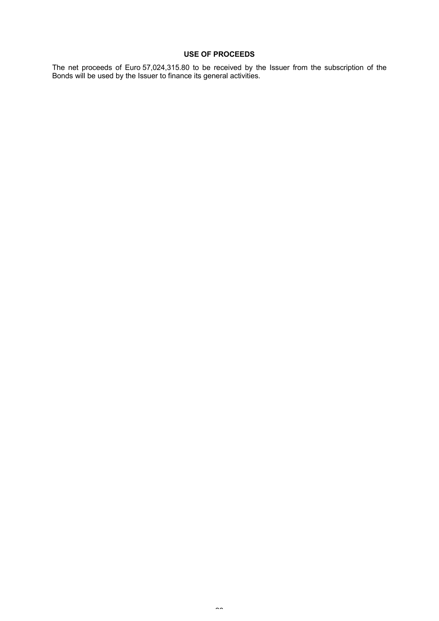# **USE OF PROCEEDS**

The net proceeds of Euro 57,024,315.80 to be received by the Issuer from the subscription of the Bonds will be used by the Issuer to finance its general activities.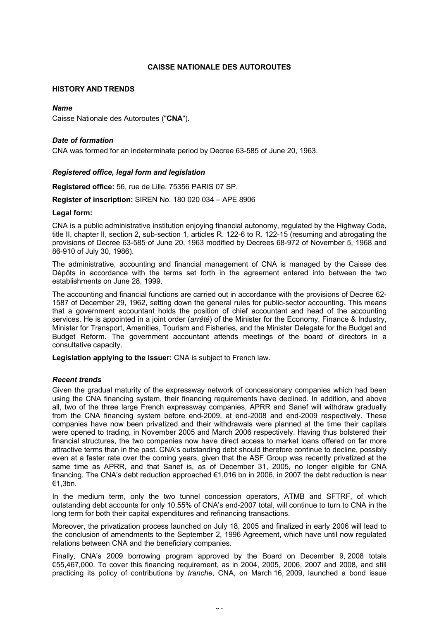# **CAISSE NATIONALE DES AUTOROUTES**

# **HISTORY AND TRENDS**

# *Name*

Caisse Nationale des Autoroutes ("**CNA**").

# *Date of formation*

CNA was formed for an indeterminate period by Decree 63-585 of June 20, 1963.

# *Registered office, legal form and legislation*

**Registered office:** 56, rue de Lille, 75356 PARIS 07 SP.

**Register of inscription:** SIREN No. 180 020 034 – APE 8906

# **Legal form:**

CNA is a public administrative institution enjoying financial autonomy, regulated by the Highway Code, title II, chapter II, section 2, sub-section 1, articles R. 122-6 to R. 122-15 (resuming and abrogating the provisions of Decree 63-585 of June 20, 1963 modified by Decrees 68-972 of November 5, 1968 and 86-910 of July 30, 1986).

The administrative, accounting and financial management of CNA is managed by the Caisse des Dépôts in accordance with the terms set forth in the agreement entered into between the two establishments on June 28, 1999.

The accounting and financial functions are carried out in accordance with the provisions of Decree 62- 1587 of December 29, 1962, setting down the general rules for public-sector accounting. This means that a government accountant holds the position of chief accountant and head of the accounting services. He is appointed in a joint order (*arrêté*) of the Minister for the Economy, Finance & Industry, Minister for Transport, Amenities, Tourism and Fisheries, and the Minister Delegate for the Budget and Budget Reform. The government accountant attends meetings of the board of directors in a consultative capacity.

**Legislation applying to the Issuer:** CNA is subject to French law.

# *Recent trends*

Given the gradual maturity of the expressway network of concessionary companies which had been using the CNA financing system, their financing requirements have declined. In addition, and above all, two of the three large French expressway companies, APRR and Sanef will withdraw gradually from the CNA financing system before end-2009, at end-2008 and end-2009 respectively. These companies have now been privatized and their withdrawals were planned at the time their capitals were opened to trading, in November 2005 and March 2006 respectively. Having thus bolstered their financial structures, the two companies now have direct access to market loans offered on far more attractive terms than in the past. CNA's outstanding debt should therefore continue to decline, possibly even at a faster rate over the coming years, given that the ASF Group was recently privatized at the same time as APRR, and that Sanef is, as of December 31, 2005, no longer eligible for CNA financing. The CNA's debt reduction approached €1,016 bn in 2006, in 2007 the debt reduction is near €1,3bn.

In the medium term, only the two tunnel concession operators, ATMB and SFTRF, of which outstanding debt accounts for only 10.55% of CNA's end-2007 total, will continue to turn to CNA in the long term for both their capital expenditures and refinancing transactions.

Moreover, the privatization process launched on July 18, 2005 and finalized in early 2006 will lead to the conclusion of amendments to the September 2, 1996 Agreement, which have until now regulated relations between CNA and the beneficiary companies.

Finally, CNA's 2009 borrowing program approved by the Board on December 9, 2008 totals €55,467,000. To cover this financing requirement, as in 2004, 2005, 2006, 2007 and 2008, and still practicing its policy of contributions by *tranche*, CNA, on March 16, 2009, launched a bond issue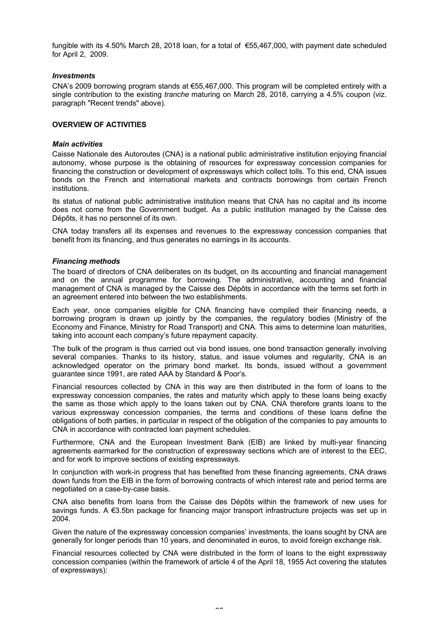fungible with its 4.50% March 28, 2018 loan, for a total of €55,467,000, with payment date scheduled for April 2, 2009.

# *Investments*

CNA's 2009 borrowing program stands at €55,467,000. This program will be completed entirely with a single contribution to the existing *tranche* maturing on March 28, 2018, carrying a 4.5% coupon (viz. paragraph "Recent trends" above).

# **OVERVIEW OF ACTIVITIES**

# *Main activities*

Caisse Nationale des Autoroutes (CNA) is a national public administrative institution enjoying financial autonomy, whose purpose is the obtaining of resources for expressway concession companies for financing the construction or development of expressways which collect tolls. To this end, CNA issues bonds on the French and international markets and contracts borrowings from certain French institutions.

Its status of national public administrative institution means that CNA has no capital and its income does not come from the Government budget. As a public institution managed by the Caisse des Dépôts, it has no personnel of its own.

CNA today transfers all its expenses and revenues to the expressway concession companies that benefit from its financing, and thus generates no earnings in its accounts.

# *Financing methods*

The board of directors of CNA deliberates on its budget, on its accounting and financial management and on the annual programme for borrowing. The administrative, accounting and financial management of CNA is managed by the Caisse des Dépôts in accordance with the terms set forth in an agreement entered into between the two establishments.

Each year, once companies eligible for CNA financing have compiled their financing needs, a borrowing program is drawn up jointly by the companies, the regulatory bodies (Ministry of the Economy and Finance, Ministry for Road Transport) and CNA. This aims to determine loan maturities, taking into account each company's future repayment capacity.

The bulk of the program is thus carried out via bond issues, one bond transaction generally involving several companies. Thanks to its history, status, and issue volumes and regularity, CNA is an acknowledged operator on the primary bond market. Its bonds, issued without a government guarantee since 1991, are rated AAA by Standard & Poor's.

Financial resources collected by CNA in this way are then distributed in the form of loans to the expressway concession companies, the rates and maturity which apply to these loans being exactly the same as those which apply to the loans taken out by CNA. CNA therefore grants loans to the various expressway concession companies, the terms and conditions of these loans define the obligations of both parties, in particular in respect of the obligation of the companies to pay amounts to CNA in accordance with contracted loan payment schedules.

Furthermore, CNA and the European Investment Bank (EIB) are linked by multi-year financing agreements earmarked for the construction of expressway sections which are of interest to the EEC, and for work to improve sections of existing expressways.

In conjunction with work-in progress that has benefited from these financing agreements, CNA draws down funds from the EIB in the form of borrowing contracts of which interest rate and period terms are negotiated on a case-by-case basis.

CNA also benefits from loans from the Caisse des Dépôts within the framework of new uses for savings funds. A €3.5bn package for financing major transport infrastructure projects was set up in 2004.

Given the nature of the expressway concession companies' investments, the loans sought by CNA are generally for longer periods than 10 years, and denominated in euros, to avoid foreign exchange risk.

Financial resources collected by CNA were distributed in the form of loans to the eight expressway concession companies (within the framework of article 4 of the April 18, 1955 Act covering the statutes of expressways):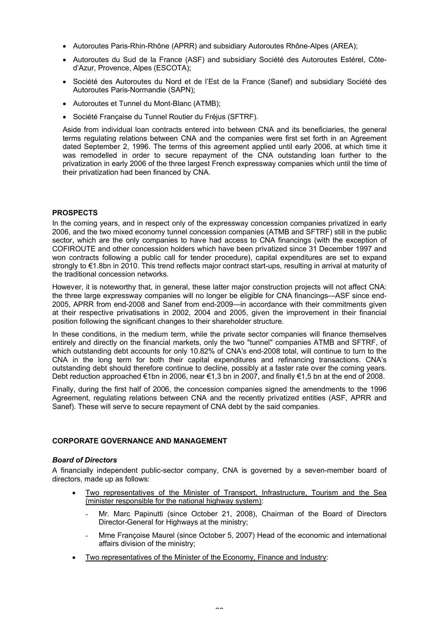- · Autoroutes Paris-Rhin-Rhône (APRR) and subsidiary Autoroutes Rhône-Alpes (AREA);
- · Autoroutes du Sud de la France (ASF) and subsidiary Société des Autoroutes Estérel, Côted'Azur, Provence, Alpes (ESCOTA);
- · Société des Autoroutes du Nord et de l'Est de la France (Sanef) and subsidiary Société des Autoroutes Paris-Normandie (SAPN);
- · Autoroutes et Tunnel du Mont-Blanc (ATMB);
- · Société Française du Tunnel Routier du Fréjus (SFTRF).

Aside from individual loan contracts entered into between CNA and its beneficiaries, the general terms regulating relations between CNA and the companies were first set forth in an Agreement dated September 2, 1996. The terms of this agreement applied until early 2006, at which time it was remodelled in order to secure repayment of the CNA outstanding loan further to the privatization in early 2006 of the three largest French expressway companies which until the time of their privatization had been financed by CNA.

# **PROSPECTS**

In the coming years, and in respect only of the expressway concession companies privatized in early 2006, and the two mixed economy tunnel concession companies (ATMB and SFTRF) still in the public sector, which are the only companies to have had access to CNA financings (with the exception of COFIROUTE and other concession holders which have been privatized since 31 December 1997 and won contracts following a public call for tender procedure), capital expenditures are set to expand strongly to €1.8bn in 2010. This trend reflects major contract start-ups, resulting in arrival at maturity of the traditional concession networks.

However, it is noteworthy that, in general, these latter major construction projects will not affect CNA: the three large expressway companies will no longer be eligible for CNA financings—ASF since end-2005, APRR from end-2008 and Sanef from end-2009—in accordance with their commitments given at their respective privatisations in 2002, 2004 and 2005, given the improvement in their financial position following the significant changes to their shareholder structure.

In these conditions, in the medium term, while the private sector companies will finance themselves entirely and directly on the financial markets, only the two "tunnel" companies ATMB and SFTRF, of which outstanding debt accounts for only 10.82% of CNA's end-2008 total, will continue to turn to the CNA in the long term for both their capital expenditures and refinancing transactions. CNA's outstanding debt should therefore continue to decline, possibly at a faster rate over the coming years. Debt reduction approached €1bn in 2006, near €1,3 bn in 2007, and finally €1,5 bn at the end of 2008.

Finally, during the first half of 2006, the concession companies signed the amendments to the 1996 Agreement, regulating relations between CNA and the recently privatized entities (ASF, APRR and Sanef). These will serve to secure repayment of CNA debt by the said companies.

# **CORPORATE GOVERNANCE AND MANAGEMENT**

# *Board of Directors*

A financially independent public-sector company, CNA is governed by a seven-member board of directors, made up as follows:

- · Two representatives of the Minister of Transport, Infrastructure, Tourism and the Sea (minister responsible for the national highway system):
	- Mr. Marc Papinutti (since October 21, 2008), Chairman of the Board of Directors Director-General for Highways at the ministry;
	- Mme Françoise Maurel (since October 5, 2007) Head of the economic and international affairs division of the ministry;
- Two representatives of the Minister of the Economy, Finance and Industry: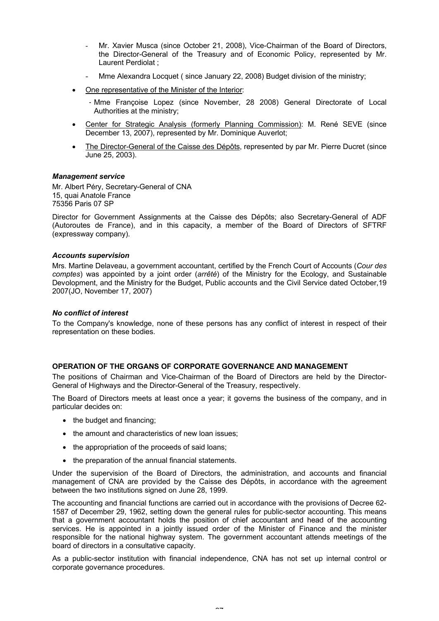- Mr. Xavier Musca (since October 21, 2008), Vice-Chairman of the Board of Directors, the Director-General of the Treasury and of Economic Policy, represented by Mr. Laurent Perdiolat ;
- Mme Alexandra Locquet ( since January 22, 2008) Budget division of the ministry;
- One representative of the Minister of the Interior:
	- ‐ Mme Françoise Lopez (since November, 28 2008) General Directorate of Local Authorities at the ministry;
- Center for Strategic Analysis (formerly Planning Commission): M. René SEVE (since December 13, 2007), represented by Mr. Dominique Auverlot;
- · The Director-General of the Caisse des Dépôts, represented by par Mr. Pierre Ducret (since June 25, 2003).

# *Management service*

Mr. Albert Péry, Secretary-General of CNA 15, quai Anatole France 75356 Paris 07 SP

Director for Government Assignments at the Caisse des Dépôts; also Secretary-General of ADF (Autoroutes de France), and in this capacity, a member of the Board of Directors of SFTRF (expressway company).

# *Accounts supervision*

Mrs. Martine Delaveau, a government accountant, certified by the French Court of Accounts (*Cour des comptes*) was appointed by a joint order (*arrêté*) of the Ministry for the Ecology, and Sustainable Devolopment, and the Ministry for the Budget, Public accounts and the Civil Service dated October,19 2007(JO, November 17, 2007)

# *No conflict of interest*

To the Company's knowledge, none of these persons has any conflict of interest in respect of their representation on these bodies.

# **OPERATION OF THE ORGANS OF CORPORATE GOVERNANCE AND MANAGEMENT**

The positions of Chairman and Vice-Chairman of the Board of Directors are held by the Director-General of Highways and the Director-General of the Treasury, respectively.

The Board of Directors meets at least once a year; it governs the business of the company, and in particular decides on:

- the budget and financing:
- the amount and characteristics of new loan issues;
- · the appropriation of the proceeds of said loans;
- · the preparation of the annual financial statements.

Under the supervision of the Board of Directors, the administration, and accounts and financial management of CNA are provided by the Caisse des Dépôts, in accordance with the agreement between the two institutions signed on June 28, 1999.

The accounting and financial functions are carried out in accordance with the provisions of Decree 62- 1587 of December 29, 1962, setting down the general rules for public-sector accounting. This means that a government accountant holds the position of chief accountant and head of the accounting services. He is appointed in a jointly issued order of the Minister of Finance and the minister responsible for the national highway system. The government accountant attends meetings of the board of directors in a consultative capacity.

As a public-sector institution with financial independence, CNA has not set up internal control or corporate governance procedures.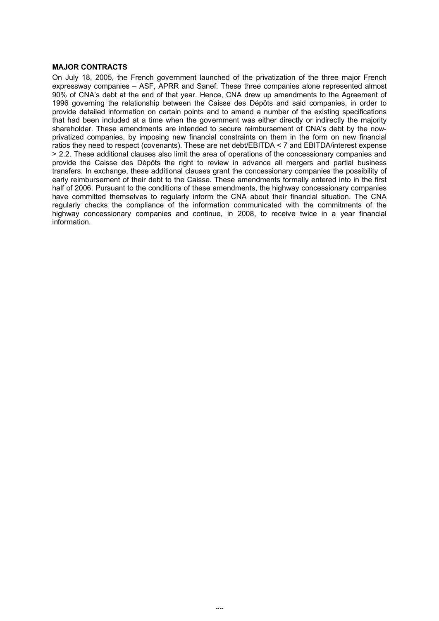# **MAJOR CONTRACTS**

On July 18, 2005, the French government launched of the privatization of the three major French expressway companies – ASF, APRR and Sanef. These three companies alone represented almost 90% of CNA's debt at the end of that year. Hence, CNA drew up amendments to the Agreement of 1996 governing the relationship between the Caisse des Dépôts and said companies, in order to provide detailed information on certain points and to amend a number of the existing specifications that had been included at a time when the government was either directly or indirectly the majority shareholder. These amendments are intended to secure reimbursement of CNA's debt by the nowprivatized companies, by imposing new financial constraints on them in the form on new financial ratios they need to respect (covenants). These are net debt/EBITDA < 7 and EBITDA/interest expense > 2.2. These additional clauses also limit the area of operations of the concessionary companies and provide the Caisse des Dépôts the right to review in advance all mergers and partial business transfers. In exchange, these additional clauses grant the concessionary companies the possibility of early reimbursement of their debt to the Caisse. These amendments formally entered into in the first half of 2006. Pursuant to the conditions of these amendments, the highway concessionary companies have committed themselves to regularly inform the CNA about their financial situation. The CNA regularly checks the compliance of the information communicated with the commitments of the highway concessionary companies and continue, in 2008, to receive twice in a year financial information.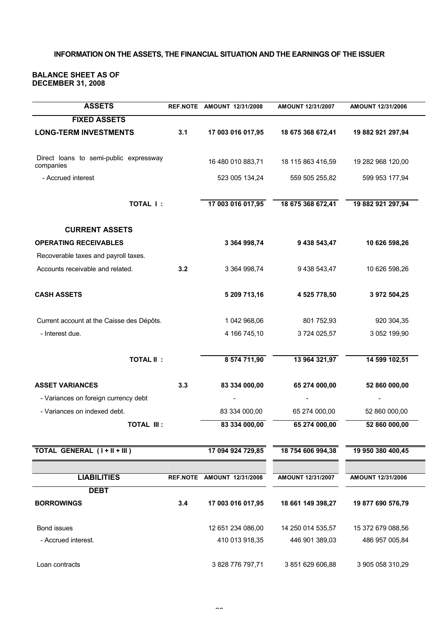# **INFORMATION ON THE ASSETS, THE FINANCIAL SITUATION AND THE EARNINGS OF THE ISSUER**

#### **BALANCE SHEET AS OF DECEMBER 31, 2008**

| <b>ASSETS</b>                                       |     | REF.NOTE AMOUNT 12/31/2008 | AMOUNT 12/31/2007 | AMOUNT 12/31/2006 |
|-----------------------------------------------------|-----|----------------------------|-------------------|-------------------|
| <b>FIXED ASSETS</b>                                 |     |                            |                   |                   |
| <b>LONG-TERM INVESTMENTS</b>                        | 3.1 | 17 003 016 017,95          | 18 675 368 672,41 | 19 882 921 297,94 |
| Direct loans to semi-public expressway<br>companies |     | 16 480 010 883,71          | 18 115 863 416,59 | 19 282 968 120,00 |
| - Accrued interest                                  |     | 523 005 134,24             | 559 505 255,82    | 599 953 177,94    |
| <b>TOTAL I:</b>                                     |     | 17 003 016 017,95          | 18 675 368 672,41 | 19 882 921 297,94 |
| <b>CURRENT ASSETS</b>                               |     |                            |                   |                   |
| <b>OPERATING RECEIVABLES</b>                        |     | 3 364 998,74               | 9 438 543,47      | 10 626 598,26     |
| Recoverable taxes and payroll taxes.                |     |                            |                   |                   |
| Accounts receivable and related.                    | 3.2 | 3 364 998,74               | 9 438 543,47      | 10 626 598,26     |
| <b>CASH ASSETS</b>                                  |     | 5 209 713,16               | 4 525 778,50      | 3 972 504,25      |
| Current account at the Caisse des Dépôts.           |     | 1 042 968,06               | 801 752,93        | 920 304,35        |
| - Interest due.                                     |     | 4 166 745,10               | 3724 025,57       | 3 052 199,90      |
| <b>TOTAL II:</b>                                    |     | 8 574 711,90               | 13 964 321,97     | 14 599 102,51     |
| <b>ASSET VARIANCES</b>                              | 3.3 | 83 334 000,00              | 65 274 000,00     | 52 860 000,00     |
| - Variances on foreign currency debt                |     |                            |                   |                   |
| - Variances on indexed debt.                        |     | 83 334 000,00              | 65 274 000,00     | 52 860 000,00     |
| <b>TOTAL III:</b>                                   |     | 83 334 000,00              | 65 274 000,00     | 52 860 000,00     |
| TOTAL GENERAL (I+II+III)                            |     | 17 094 924 729,85          | 18 754 606 994,38 | 19 950 380 400,45 |
|                                                     |     |                            |                   |                   |
| <b>LIABILITIES</b>                                  |     | REF.NOTE AMOUNT 12/31/2008 | AMOUNT 12/31/2007 | AMOUNT 12/31/2006 |
| <b>DEBT</b>                                         |     |                            |                   |                   |
| <b>BORROWINGS</b>                                   | 3.4 | 17 003 016 017,95          | 18 661 149 398,27 | 19 877 690 576,79 |
| Bond issues                                         |     | 12 651 234 086,00          | 14 250 014 535,57 | 15 372 679 088,56 |
| - Accrued interest.                                 |     | 410 013 918,35             | 446 901 389,03    | 486 957 005,84    |
| Loan contracts                                      |     | 3 828 776 797,71           | 3 851 629 606,88  | 3 905 058 310,29  |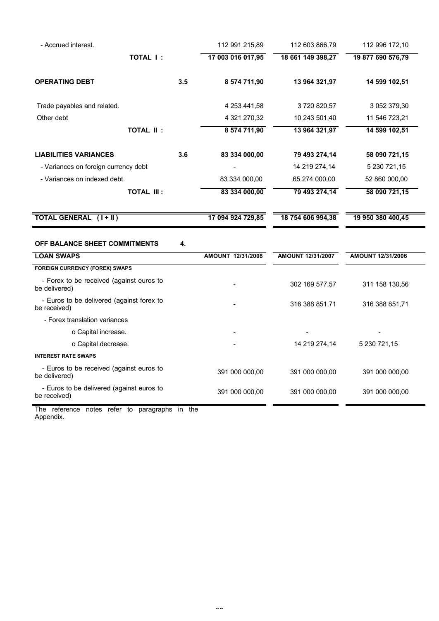| - Accrued interest.                                                                                |     | 112 991 215,89    | 112 603 866,79    | 112 996 172,10    |
|----------------------------------------------------------------------------------------------------|-----|-------------------|-------------------|-------------------|
| <b>TOTAL I:</b>                                                                                    |     | 17 003 016 017,95 | 18 661 149 398,27 | 19 877 690 576,79 |
| <b>OPERATING DEBT</b>                                                                              | 3.5 | 8 574 711,90      | 13 964 321,97     | 14 599 102,51     |
| Trade payables and related.                                                                        |     | 4 253 441,58      | 3720820,57        | 3 052 379,30      |
| Other debt                                                                                         |     | 4 321 270,32      | 10 243 501,40     | 11 546 723,21     |
| <b>TOTAL II:</b>                                                                                   |     | 8 574 711,90      | 13 964 321,97     | 14 599 102,51     |
| <b>LIABILITIES VARIANCES</b>                                                                       | 3.6 | 83 334 000,00     | 79 493 274,14     | 58 090 721,15     |
| - Variances on foreign currency debt                                                               |     |                   | 14 219 274,14     | 5 230 721,15      |
| - Variances on indexed debt.                                                                       |     | 83 334 000,00     | 65 274 000,00     | 52 860 000,00     |
| <b>TOTAL III:</b>                                                                                  |     | 83 334 000,00     | 79 493 274,14     | 58 090 721,15     |
| TOTAL GENERAL (I+II)                                                                               |     | 17 094 924 729,85 | 18 754 606 994,38 | 19 950 380 400,45 |
| OFF BALANCE SHEET COMMITMENTS                                                                      | 4.  |                   |                   |                   |
| <b>LOAN SWAPS</b>                                                                                  |     |                   |                   |                   |
|                                                                                                    |     | AMOUNT 12/31/2008 | AMOUNT 12/31/2007 | AMOUNT 12/31/2006 |
| <b>FOREIGN CURRENCY (FOREX) SWAPS</b><br>- Forex to be received (against euros to<br>be delivered) |     |                   | 302 169 577,57    | 311 158 130,56    |
| - Euros to be delivered (against forex to<br>be received)                                          |     |                   | 316 388 851,71    | 316 388 851,71    |
| - Forex translation variances                                                                      |     |                   |                   |                   |
| o Capital increase.                                                                                |     |                   |                   |                   |
| o Capital decrease.                                                                                |     |                   | 14 219 274,14     | 5 230 721,15      |
| <b>INTEREST RATE SWAPS</b>                                                                         |     |                   |                   |                   |
| - Euros to be received (against euros to<br>be delivered)                                          |     | 391 000 000,00    | 391 000 000,00    | 391 000 000,00    |

The reference notes refer to paragraphs in the Appendix.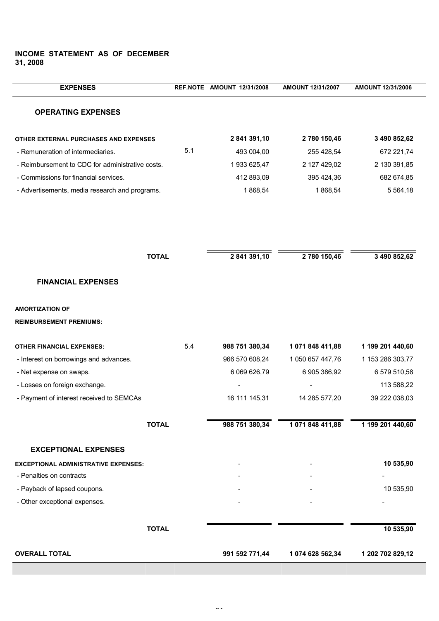# **INCOME STATEMENT AS OF DECEMBER 31, 2008**

| <b>EXPENSES</b>                                          |     | REF.NOTE AMOUNT 12/31/2008 | AMOUNT 12/31/2007 | AMOUNT 12/31/2006 |
|----------------------------------------------------------|-----|----------------------------|-------------------|-------------------|
| <b>OPERATING EXPENSES</b>                                |     |                            |                   |                   |
| OTHER EXTERNAL PURCHASES AND EXPENSES                    |     | 2 841 391,10               | 2 780 150,46      | 3 490 852,62      |
| - Remuneration of intermediaries.                        | 5.1 | 493 004,00                 | 255 428,54        | 672 221,74        |
| - Reimbursement to CDC for administrative costs.         |     | 1933 625,47                | 2 127 429,02      | 2 130 391,85      |
| - Commissions for financial services.                    |     | 412 893,09                 | 395 424,36        | 682 674,85        |
| - Advertisements, media research and programs.           |     | 1868,54                    | 1868,54           | 5 5 6 4 , 18      |
|                                                          |     |                            |                   |                   |
| <b>TOTAL</b>                                             |     | 2 841 391,10               | 2 780 150,46      | 3 490 852,62      |
| <b>FINANCIAL EXPENSES</b>                                |     |                            |                   |                   |
| <b>AMORTIZATION OF</b><br><b>REIMBURSEMENT PREMIUMS:</b> |     |                            |                   |                   |
| <b>OTHER FINANCIAL EXPENSES:</b>                         | 5.4 | 988 751 380,34             | 1 071 848 411,88  | 1 199 201 440,60  |
| - Interest on borrowings and advances.                   |     | 966 570 608,24             | 1 050 657 447,76  | 1 153 286 303,77  |
| - Net expense on swaps.                                  |     | 6 069 626,79               | 6 905 386,92      | 6 579 510,58      |
| - Losses on foreign exchange.                            |     |                            |                   | 113 588,22        |
| - Payment of interest received to SEMCAs                 |     | 16 111 145,31              | 14 285 577,20     | 39 222 038,03     |
| <b>TOTAL</b>                                             |     | 988 751 380,34             | 1 071 848 411,88  | 1 199 201 440,60  |
| <b>EXCEPTIONAL EXPENSES</b>                              |     |                            |                   |                   |
| <b>EXCEPTIONAL ADMINISTRATIVE EXPENSES:</b>              |     |                            |                   | 10 535,90         |
| - Penalties on contracts                                 |     |                            |                   |                   |
| - Payback of lapsed coupons.                             |     |                            |                   | 10 535,90         |
| - Other exceptional expenses.                            |     |                            |                   |                   |
| <b>TOTAL</b>                                             |     |                            |                   | 10 535,90         |
| <b>OVERALL TOTAL</b>                                     |     | 991 592 771,44             | 1 074 628 562,34  | 1 202 702 829,12  |

٦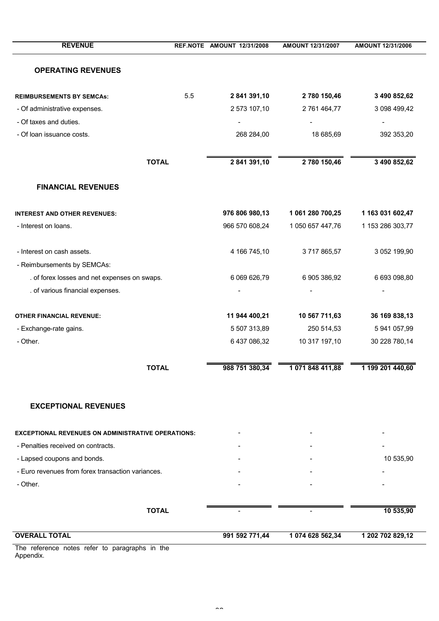| <b>REVENUE</b>                                            |     | REF.NOTE AMOUNT 12/31/2008 | AMOUNT 12/31/2007 | AMOUNT 12/31/2006 |
|-----------------------------------------------------------|-----|----------------------------|-------------------|-------------------|
| <b>OPERATING REVENUES</b>                                 |     |                            |                   |                   |
| <b>REIMBURSEMENTS BY SEMCAs:</b>                          | 5.5 | 2 841 391,10               | 2 780 150,46      | 3 490 852,62      |
| - Of administrative expenses.                             |     | 2 573 107,10               | 2 761 464,77      | 3 098 499,42      |
| - Of taxes and duties.                                    |     |                            |                   |                   |
| - Of loan issuance costs.                                 |     | 268 284,00                 | 18 685,69         | 392 353,20        |
| <b>TOTAL</b>                                              |     | 2 841 391,10               | 2 780 150,46      | 3 490 852,62      |
| <b>FINANCIAL REVENUES</b>                                 |     |                            |                   |                   |
| <b>INTEREST AND OTHER REVENUES:</b>                       |     | 976 806 980,13             | 1 061 280 700,25  | 1 163 031 602,47  |
| - Interest on loans.                                      |     | 966 570 608,24             | 1 050 657 447,76  | 1 153 286 303,77  |
| - Interest on cash assets.                                |     | 4 166 745,10               | 3717865,57        | 3 052 199,90      |
| - Reimbursements by SEMCAs:                               |     |                            |                   |                   |
| . of forex losses and net expenses on swaps.              |     | 6 069 626,79               | 6 905 386,92      | 6 693 098,80      |
| . of various financial expenses.                          |     |                            |                   |                   |
| <b>OTHER FINANCIAL REVENUE:</b>                           |     | 11 944 400,21              | 10 567 711,63     | 36 169 838,13     |
| - Exchange-rate gains.                                    |     | 5 507 313,89               | 250 514,53        | 5 941 057,99      |
| - Other.                                                  |     | 6 437 086,32               | 10 317 197,10     | 30 228 780,14     |
| TOTAL                                                     |     | 988 751 380,34             | 1 071 848 411,88  | 1 199 201 440,60  |
| <b>EXCEPTIONAL REVENUES</b>                               |     |                            |                   |                   |
| <b>EXCEPTIONAL REVENUES ON ADMINISTRATIVE OPERATIONS:</b> |     |                            |                   |                   |
| - Penalties received on contracts.                        |     |                            |                   |                   |
| - Lapsed coupons and bonds.                               |     |                            |                   | 10 535,90         |
| - Euro revenues from forex transaction variances.         |     |                            |                   |                   |
| - Other.                                                  |     |                            |                   |                   |
| <b>TOTAL</b>                                              |     |                            |                   | 10 535,90         |
| <b>OVERALL TOTAL</b>                                      |     | 991 592 771,44             | 1 074 628 562,34  | 1 202 702 829,12  |

The reference notes refer to paragraphs in the Appendix.

 $\overline{\phantom{0}}$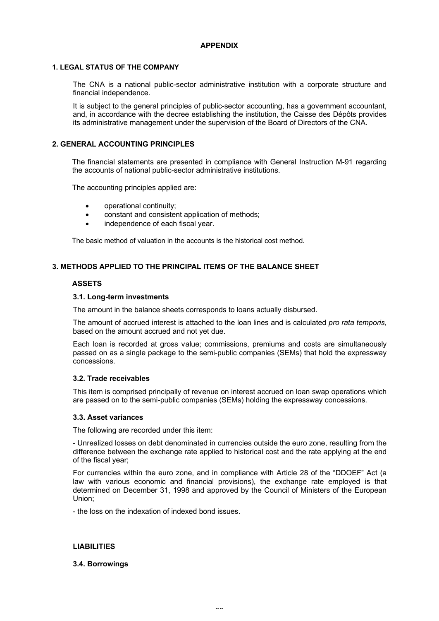# **APPENDIX**

# **1. LEGAL STATUS OF THE COMPANY**

The CNA is a national public-sector administrative institution with a corporate structure and financial independence.

It is subject to the general principles of public-sector accounting, has a government accountant, and, in accordance with the decree establishing the institution, the Caisse des Dépôts provides its administrative management under the supervision of the Board of Directors of the CNA.

# **2. GENERAL ACCOUNTING PRINCIPLES**

The financial statements are presented in compliance with General Instruction M-91 regarding the accounts of national public-sector administrative institutions.

The accounting principles applied are:

- · operational continuity;
- constant and consistent application of methods;
- independence of each fiscal year.

The basic method of valuation in the accounts is the historical cost method.

# **3. METHODS APPLIED TO THE PRINCIPAL ITEMS OF THE BALANCE SHEET**

# **ASSETS**

# **3.1. Long-term investments**

The amount in the balance sheets corresponds to loans actually disbursed.

The amount of accrued interest is attached to the loan lines and is calculated *pro rata temporis*, based on the amount accrued and not yet due.

Each loan is recorded at gross value; commissions, premiums and costs are simultaneously passed on as a single package to the semi-public companies (SEMs) that hold the expressway concessions.

# **3.2. Trade receivables**

This item is comprised principally of revenue on interest accrued on loan swap operations which are passed on to the semi-public companies (SEMs) holding the expressway concessions.

# **3.3. Asset variances**

The following are recorded under this item:

- Unrealized losses on debt denominated in currencies outside the euro zone, resulting from the difference between the exchange rate applied to historical cost and the rate applying at the end of the fiscal year;

For currencies within the euro zone, and in compliance with Article 28 of the "DDOEF" Act (a law with various economic and financial provisions), the exchange rate employed is that determined on December 31, 1998 and approved by the Council of Ministers of the European Union;

- the loss on the indexation of indexed bond issues.

# **LIABILITIES**

# **3.4. Borrowings**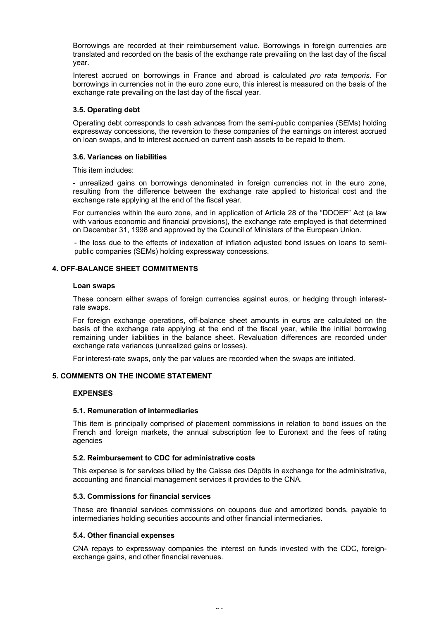Borrowings are recorded at their reimbursement value. Borrowings in foreign currencies are translated and recorded on the basis of the exchange rate prevailing on the last day of the fiscal year.

Interest accrued on borrowings in France and abroad is calculated *pro rata temporis*. For borrowings in currencies not in the euro zone euro, this interest is measured on the basis of the exchange rate prevailing on the last day of the fiscal year.

# **3.5. Operating debt**

Operating debt corresponds to cash advances from the semi-public companies (SEMs) holding expressway concessions, the reversion to these companies of the earnings on interest accrued on loan swaps, and to interest accrued on current cash assets to be repaid to them.

# **3.6. Variances on liabilities**

This item includes:

- unrealized gains on borrowings denominated in foreign currencies not in the euro zone, resulting from the difference between the exchange rate applied to historical cost and the exchange rate applying at the end of the fiscal year.

For currencies within the euro zone, and in application of Article 28 of the "DDOEF" Act (a law with various economic and financial provisions), the exchange rate employed is that determined on December 31, 1998 and approved by the Council of Ministers of the European Union.

- the loss due to the effects of indexation of inflation adjusted bond issues on loans to semipublic companies (SEMs) holding expressway concessions.

# **4. OFF-BALANCE SHEET COMMITMENTS**

# **Loan swaps**

These concern either swaps of foreign currencies against euros, or hedging through interestrate swaps.

For foreign exchange operations, off-balance sheet amounts in euros are calculated on the basis of the exchange rate applying at the end of the fiscal year, while the initial borrowing remaining under liabilities in the balance sheet. Revaluation differences are recorded under exchange rate variances (unrealized gains or losses).

For interest-rate swaps, only the par values are recorded when the swaps are initiated.

# **5. COMMENTS ON THE INCOME STATEMENT**

# **EXPENSES**

# **5.1. Remuneration of intermediaries**

This item is principally comprised of placement commissions in relation to bond issues on the French and foreign markets, the annual subscription fee to Euronext and the fees of rating agencies

# **5.2. Reimbursement to CDC for administrative costs**

This expense is for services billed by the Caisse des Dépôts in exchange for the administrative, accounting and financial management services it provides to the CNA.

# **5.3. Commissions for financial services**

These are financial services commissions on coupons due and amortized bonds, payable to intermediaries holding securities accounts and other financial intermediaries.

# **5.4. Other financial expenses**

CNA repays to expressway companies the interest on funds invested with the CDC, foreignexchange gains, and other financial revenues.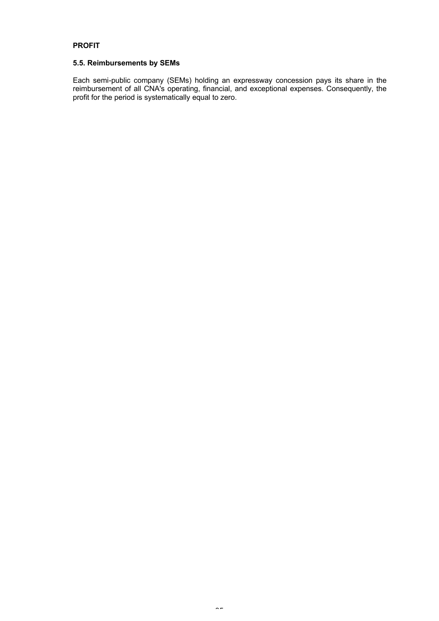# **PROFIT**

# **5.5. Reimbursements by SEMs**

Each semi-public company (SEMs) holding an expressway concession pays its share in the reimbursement of all CNA's operating, financial, and exceptional expenses. Consequently, the profit for the period is systematically equal to zero.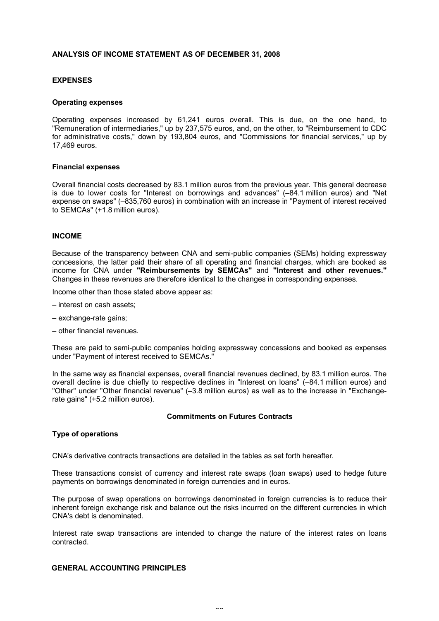# **ANALYSIS OF INCOME STATEMENT AS OF DECEMBER 31, 2008**

# **EXPENSES**

#### **Operating expenses**

Operating expenses increased by 61,241 euros overall. This is due, on the one hand, to "Remuneration of intermediaries," up by 237,575 euros, and, on the other, to "Reimbursement to CDC for administrative costs," down by 193,804 euros, and "Commissions for financial services," up by 17,469 euros.

#### **Financial expenses**

Overall financial costs decreased by 83.1 million euros from the previous year. This general decrease is due to lower costs for "Interest on borrowings and advances" (–84.1 million euros) and "Net expense on swaps" (–835,760 euros) in combination with an increase in "Payment of interest received to SEMCAs" (+1.8 million euros).

# **INCOME**

Because of the transparency between CNA and semi-public companies (SEMs) holding expressway concessions, the latter paid their share of all operating and financial charges, which are booked as income for CNA under **"Reimbursements by SEMCAs"** and **"Interest and other revenues."** Changes in these revenues are therefore identical to the changes in corresponding expenses.

Income other than those stated above appear as:

- interest on cash assets;
- exchange-rate gains;
- other financial revenues.

These are paid to semi-public companies holding expressway concessions and booked as expenses under "Payment of interest received to SEMCAs."

In the same way as financial expenses, overall financial revenues declined, by 83.1 million euros. The overall decline is due chiefly to respective declines in "Interest on loans" (–84.1 million euros) and "Other" under "Other financial revenue" (–3.8 million euros) as well as to the increase in "Exchangerate gains" (+5.2 million euros).

# **Commitments on Futures Contracts**

# **Type of operations**

CNA's derivative contracts transactions are detailed in the tables as set forth hereafter.

These transactions consist of currency and interest rate swaps (loan swaps) used to hedge future payments on borrowings denominated in foreign currencies and in euros.

The purpose of swap operations on borrowings denominated in foreign currencies is to reduce their inherent foreign exchange risk and balance out the risks incurred on the different currencies in which CNA's debt is denominated.

Interest rate swap transactions are intended to change the nature of the interest rates on loans contracted.

# **GENERAL ACCOUNTING PRINCIPLES**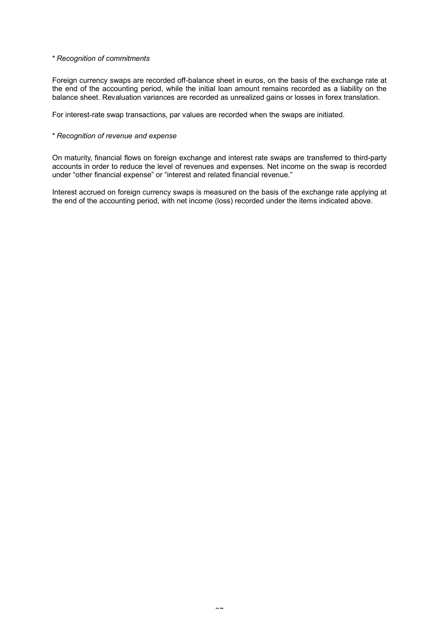#### *\* Recognition of commitments*

Foreign currency swaps are recorded off-balance sheet in euros, on the basis of the exchange rate at the end of the accounting period, while the initial loan amount remains recorded as a liability on the balance sheet. Revaluation variances are recorded as unrealized gains or losses in forex translation.

For interest-rate swap transactions, par values are recorded when the swaps are initiated.

# *\* Recognition of revenue and expense*

On maturity, financial flows on foreign exchange and interest rate swaps are transferred to third-party accounts in order to reduce the level of revenues and expenses. Net income on the swap is recorded under "other financial expense" or "interest and related financial revenue."

Interest accrued on foreign currency swaps is measured on the basis of the exchange rate applying at the end of the accounting period, with net income (loss) recorded under the items indicated above.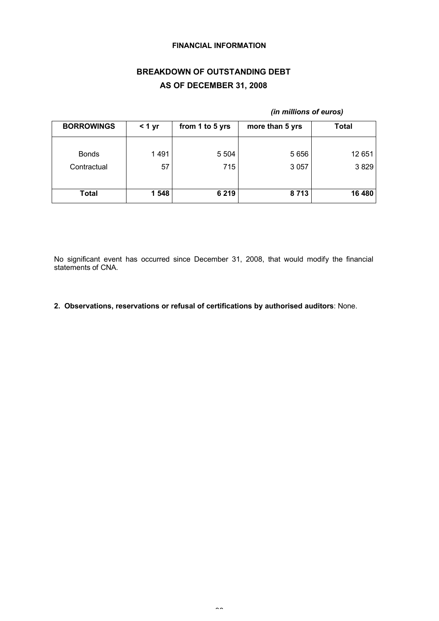# **FINANCIAL INFORMATION**

# **BREAKDOWN OF OUTSTANDING DEBT AS OF DECEMBER 31, 2008**

# *(in millions of euros)*

| <b>BORROWINGS</b> | < 1 yr | from 1 to 5 yrs | more than 5 yrs | <b>Total</b> |
|-------------------|--------|-----------------|-----------------|--------------|
| <b>Bonds</b>      | 1491   | 5 5 0 4         | 5 6 5 6         | 12 651       |
| Contractual       | 57     | 715             | 3 0 5 7         | 3829         |
| Total             | 1 548  | 6 2 1 9         | 8713            | 16 480       |

No significant event has occurred since December 31, 2008, that would modify the financial statements of CNA.

**2. Observations, reservations or refusal of certifications by authorised auditors**: None.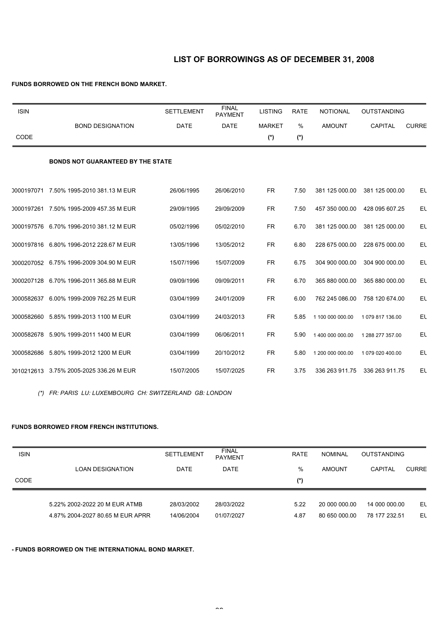# **LIST OF BORROWINGS AS OF DECEMBER 31, 2008**

# **FUNDS BORROWED ON THE FRENCH BOND MARKET.**

| <b>ISIN</b> |                                          | <b>SETTLEMENT</b> | <b>FINAL</b><br><b>PAYMENT</b> | <b>LISTING</b> | <b>RATE</b> | <b>NOTIONAL</b>  | <b>OUTSTANDING</b> |              |
|-------------|------------------------------------------|-------------------|--------------------------------|----------------|-------------|------------------|--------------------|--------------|
|             | <b>BOND DESIGNATION</b>                  | <b>DATE</b>       | <b>DATE</b>                    | <b>MARKET</b>  | %           | <b>AMOUNT</b>    | <b>CAPITAL</b>     | <b>CURRE</b> |
| CODE        |                                          |                   |                                | $(*)$          | (*)         |                  |                    |              |
|             | <b>BONDS NOT GUARANTEED BY THE STATE</b> |                   |                                |                |             |                  |                    |              |
|             | 0000197071 7.50% 1995-2010 381.13 M EUR  | 26/06/1995        | 26/06/2010                     | <b>FR</b>      | 7.50        | 381 125 000.00   | 381 125 000.00     | EL           |
|             | 0000197261 7.50% 1995-2009 457.35 M EUR  | 29/09/1995        | 29/09/2009                     | <b>FR</b>      | 7.50        | 457 350 000.00   | 428 095 607.25     | EL           |
|             | 0000197576 6.70% 1996-2010 381.12 M EUR  | 05/02/1996        | 05/02/2010                     | <b>FR</b>      | 6.70        | 381 125 000.00   | 381 125 000.00     | EL           |
|             | 0000197816 6.80% 1996-2012 228.67 M EUR  | 13/05/1996        | 13/05/2012                     | <b>FR</b>      | 6.80        | 228 675 000.00   | 228 675 000.00     | EL           |
|             | 0000207052 6.75% 1996-2009 304.90 M EUR  | 15/07/1996        | 15/07/2009                     | <b>FR</b>      | 6.75        | 304 900 000.00   | 304 900 000.00     | EL           |
|             | 0000207128 6.70% 1996-2011 365.88 M EUR  | 09/09/1996        | 09/09/2011                     | <b>FR</b>      | 6.70        | 365 880 000.00   | 365 880 000.00     | EL           |
|             | 0000582637 6.00% 1999-2009 762.25 M EUR  | 03/04/1999        | 24/01/2009                     | <b>FR</b>      | 6.00        | 762 245 086.00   | 758 120 674.00     | EL           |
|             | 0000582660 5.85% 1999-2013 1100 M EUR    | 03/04/1999        | 24/03/2013                     | <b>FR</b>      | 5.85        | 1 100 000 000.00 | 1079 817 136.00    | EL           |
|             | 0000582678 5.90% 1999-2011 1400 M EUR    | 03/04/1999        | 06/06/2011                     | <b>FR</b>      | 5.90        | 1 400 000 000.00 | 1 288 277 357.00   | EL           |
|             | 0000582686 5.80% 1999-2012 1200 M EUR    | 03/04/1999        | 20/10/2012                     | <b>FR</b>      | 5.80        | 1 200 000 000.00 | 1 079 020 400.00   | El           |
|             | 0010212613 3.75% 2005-2025 336.26 M EUR  | 15/07/2005        | 15/07/2025                     | <b>FR</b>      | 3.75        | 336 263 911.75   | 336 263 911.75     | EL           |

*(\*) FR: PARIS LU: LUXEMBOURG CH: SWITZERLAND GB: LONDON*

# **FUNDS BORROWED FROM FRENCH INSTITUTIONS.**

| <b>ISIN</b> |                                  | <b>SETTLEMENT</b> | <b>FINAL</b><br><b>PAYMENT</b> | <b>RATE</b> | <b>NOMINAL</b> | <b>OUTSTANDING</b> |              |
|-------------|----------------------------------|-------------------|--------------------------------|-------------|----------------|--------------------|--------------|
|             | LOAN DESIGNATION                 | DATE              | <b>DATE</b>                    | $\%$        | <b>AMOUNT</b>  | <b>CAPITAL</b>     | <b>CURRE</b> |
| CODE        |                                  |                   |                                | (*)         |                |                    |              |
|             | 5.22% 2002-2022 20 M EUR ATMB    | 28/03/2002        | 28/03/2022                     | 5.22        | 20 000 000.00  | 14 000 000.00      | El           |
|             | 4.87% 2004-2027 80.65 M EUR APRR | 14/06/2004        | 01/07/2027                     | 4.87        | 80 650 000.00  | 78 177 232.51      | EL           |

# **- FUNDS BORROWED ON THE INTERNATIONAL BOND MARKET.**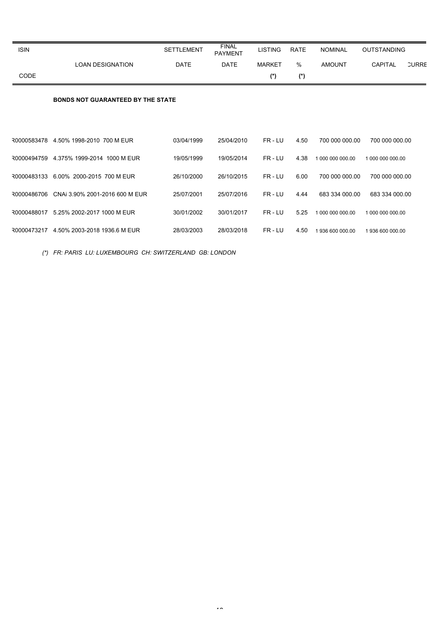| <b>ISIN</b> |                                          | <b>SETTLEMENT</b> | <b>FINAL</b><br><b>PAYMENT</b> | <b>LISTING</b> | <b>RATE</b>   | <b>NOMINAL</b>   | <b>OUTSTANDING</b>             |
|-------------|------------------------------------------|-------------------|--------------------------------|----------------|---------------|------------------|--------------------------------|
|             | <b>LOAN DESIGNATION</b>                  | <b>DATE</b>       | <b>DATE</b>                    | <b>MARKET</b>  | $\frac{0}{0}$ | <b>AMOUNT</b>    | <b>CAPITAL</b><br><b>CURRE</b> |
| CODE        |                                          |                   |                                | $(*)$          | $(*)$         |                  |                                |
|             | <b>BONDS NOT GUARANTEED BY THE STATE</b> |                   |                                |                |               |                  |                                |
| 30000583478 | 4.50% 1998-2010 700 M EUR                | 03/04/1999        | 25/04/2010                     | FR-LU          | 4.50          | 700 000 000.00   | 700 000 000.00                 |
| 30000494759 | 4.375% 1999-2014 1000 M EUR              | 19/05/1999        | 19/05/2014                     | FR-LU          | 4.38          | 1 000 000 000.00 | 1 000 000 000.00               |
| 30000483133 | 6.00% 2000-2015 700 M EUR                | 26/10/2000        | 26/10/2015                     | FR-LU          | 6.00          | 700 000 000 00   | 700 000 000 00                 |
| 30000486706 | CNAi 3.90% 2001-2016 600 M EUR           | 25/07/2001        | 25/07/2016                     | FR-LU          | 4.44          | 683 334 000.00   | 683 334 000.00                 |
| 30000488017 | 5.25% 2002-2017 1000 M EUR               | 30/01/2002        | 30/01/2017                     | FR-LU          | 5.25          | 1 000 000 000.00 | 1 000 000 000.00               |
|             | R0000473217 4.50% 2003-2018 1936.6 M EUR | 28/03/2003        | 28/03/2018                     | FR-LU          | 4.50          | 1936 600 000.00  | 1936 600 000.00                |

*(\*) FR: PARIS LU: LUXEMBOURG CH: SWITZERLAND GB: LONDON*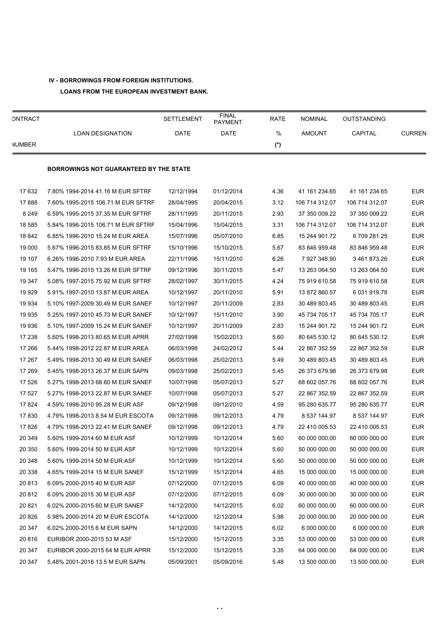# **IV - BORROWINGS FROM FOREIGN INSTITUTIONS.**

**LOANS FROM THE EUROPEAN INVESTMENT BANK.** 

| ONTRACT       |                                               | <b>SETTLEMENT</b> | <b>FINAL</b><br><b>PAYMENT</b> | <b>RATE</b> | <b>NOMINAL</b> | OUTSTANDING    |               |
|---------------|-----------------------------------------------|-------------------|--------------------------------|-------------|----------------|----------------|---------------|
|               | <b>LOAN DESIGNATION</b>                       | DATE              | DATE                           | %           | <b>AMOUNT</b>  | CAPITAL        | <b>CURREN</b> |
| <b>NUMBER</b> |                                               |                   |                                | (*)         |                |                |               |
|               | <b>BORROWINGS NOT GUARANTEED BY THE STATE</b> |                   |                                |             |                |                |               |
| 17 632        | 7.80% 1994-2014 41.16 M EUR SFTRF             | 12/12/1994        | 01/12/2014                     | 4.36        | 41 161 234.65  | 41 161 234.65  | <b>EUR</b>    |
| 17888         | 7.60% 1995-2015 106.71 M EUR SFTRF            | 28/04/1995        | 20/04/2015                     | 3.12        | 106 714 312.07 | 106 714 312.07 | <b>EUR</b>    |
| 8 2 4 9       | 6.59% 1995-2015 37.35 M EUR SFTRF             | 28/11/1995        | 20/11/2015                     | 2.93        | 37 350 009.22  | 37 350 009.22  | <b>EUR</b>    |
| 18 5 8 5      | 5.84% 1996-2015 106.71 M EUR SFTRF            | 15/04/1996        | 15/04/2015                     | 3.31        | 106 714 312.07 | 106 714 312.07 | <b>EUR</b>    |
| 18 842        | 6.85% 1996-2010 15.24 M EUR AREA              | 15/07/1996        | 05/07/2010                     | 6.85        | 15 244 901.72  | 6 709 281.25   | <b>EUR</b>    |
| 19 000        | 5.67% 1996-2015 83.85 M EUR SFTRF             | 15/10/1996        | 15/10/2015                     | 5.67        | 83 846 959 48  | 83 846 959 48  | <b>EUR</b>    |
| 19 107        | 6.26% 1996-2010 7.93 M EUR AREA               | 22/11/1996        | 15/11/2010                     | 6.26        | 7 927 348 90   | 3461873.26     | <b>EUR</b>    |
| 19 165        | 5.47% 1996-2015 13.26 M EUR SFTRF             | 09/12/1996        | 30/11/2015                     | 5.47        | 13 263 064.50  | 13 263 064 50  | <b>EUR</b>    |
| 19 347        | 5.08% 1997-2015 75.92 M EUR SFTRF             | 28/02/1997        | 30/11/2015                     | 4.24        | 75 919 610.58  | 75 919 610.58  | <b>EUR</b>    |
| 19 929        | 5.91% 1997-2010 13.87 M EUR AREA              | 10/12/1997        | 20/11/2010                     | 5.91        | 13 872 860.57  | 6 031 919.78   | <b>EUR</b>    |
| 19 934        | 5.10% 1997-2009 30.49 M EUR SANEF             | 10/12/1997        | 20/11/2009                     | 2.83        | 30 489 803 45  | 30 489 803 45  | <b>EUR</b>    |
| 19 9 35       | 5.25% 1997-2010 45.73 M EUR SANEF             | 10/12/1997        | 15/11/2010                     | 3.90        | 45 734 705.17  | 45 734 705 17  | <b>EUR</b>    |
| 19 936        | 5.10% 1997-2009 15.24 M EUR SANEF             | 10/12/1997        | 20/11/2009                     | 2.83        | 15 244 901.72  | 15 244 901 72  | <b>EUR</b>    |
| 17 238        | 5.60% 1998-2013 80.65 M EUR APRR              | 27/02/1998        | 15/02/2013                     | 5.60        | 80 645 530.12  | 80 645 530.12  | <b>EUR</b>    |
| 17 266        | 5.44% 1998-2012 22.87 M EUR AREA              | 06/03/1998        | 24/02/2012                     | 5.44        | 22 867 352.59  | 22 867 352.59  | <b>EUR</b>    |
| 17 267        | 5.49% 1998-2013 30.49 M EUR SANEF             | 06/03/1998        | 25/02/2013                     | 5.49        | 30 489 803 45  | 30 489 803 45  | <b>EUR</b>    |
| 17 269        | 5.45% 1998-2013 26.37 M EUR SAPN              | 09/03/1998        | 25/02/2013                     | 5.45        | 26 373 679.98  | 26 373 679.98  | <b>EUR</b>    |
| 17 526        | 5.27% 1998-2013 68.60 M EUR SANEF             | 10/07/1998        | 05/07/2013                     | 5.27        | 68 602 057.76  | 68 602 057.76  | <b>EUR</b>    |
| 17 527        | 5.27% 1998-2013 22.87 M EUR SANEF             | 10/07/1998        | 05/07/2013                     | 5.27        | 22 867 352.59  | 22 867 352.59  | <b>EUR</b>    |
| 17824         | 4.59% 1998-2010 95.28 M EUR ASF               | 09/12/1998        | 09/12/2010                     | 4.59        | 95 280 635.77  | 95 280 635.77  | <b>EUR</b>    |
| 17830         | 4.79% 1998-2013 8.54 M EUR ESCOTA             | 09/12/1998        | 09/12/2013                     | 4.79        | 8 537 144.97   | 8 537 144.97   | <b>EUR</b>    |
| 17826         | 4.79% 1998-2013 22.41 M EUR SANEF             | 09/12/1998        | 09/12/2013                     | 4.79        | 22 410 005 53  | 22 410 005 53  | <b>EUR</b>    |
| 20 349        | 5.60% 1999-2014 60 M EUR ASF                  | 10/12/1999        | 10/12/2014                     | 5.60        | 60 000 000.00  | 60 000 000.00  | <b>EUR</b>    |
| 20 350        | 5.60% 1999-2014 50 M EUR ASF                  | 10/12/1999        | 10/12/2014                     | 5.60        | 50 000 000.00  | 50 000 000.00  | <b>EUR</b>    |
| 20 348        | 5.60% 1999-2014 50 M EUR ASF                  | 10/12/1999        | 10/12/2014                     | 5.60        | 50 000 000.00  | 50 000 000.00  | <b>EUR</b>    |
| 20 338        | 4.65% 1999-2014 15 M EUR SANEF                | 15/12/1999        | 15/12/2014                     | 4.65        | 15 000 000.00  | 15 000 000.00  | <b>EUR</b>    |
| 20813         | 6.09% 2000-2015 40 M EUR ASF                  | 07/12/2000        | 07/12/2015                     | 6.09        | 40 000 000.00  | 40 000 000.00  | <b>EUR</b>    |
| 20 812        | 6.09% 2000-2015 30 M EUR ASF                  | 07/12/2000        | 07/12/2015                     | 6.09        | 30 000 000 00  | 30 000 000.00  | <b>EUR</b>    |
| 20 821        | 6.02% 2000-2015 60 M EUR SANEF                | 14/12/2000        | 14/12/2015                     | 6.02        | 60 000 000.00  | 60 000 000.00  | <b>EUR</b>    |
| 20 8 26       | 5.98% 2000-2014 20 M EUR ESCOTA               | 14/12/2000        | 12/12/2014                     | 5.98        | 20 000 000.00  | 20 000 000.00  | <b>EUR</b>    |
| 20 347        | 6.02% 2000-2015 6 M EUR SAPN                  | 14/12/2000        | 14/12/2015                     | 6.02        | 6 000 000 00   | 6 000 000 00   | <b>EUR</b>    |
| 20816         | EURIBOR 2000-2015 53 M ASF                    | 15/12/2000        | 15/12/2015                     | 3.35        | 53 000 000.00  | 53 000 000.00  | <b>EUR</b>    |
| 20 347        | EURIBOR 2000-2015 64 M EUR APRR               | 15/12/2000        | 15/12/2015                     | 3.35        | 64 000 000.00  | 64 000 000.00  | <b>EUR</b>    |
| 20 347        | 5.48% 2001-2016 13.5 M EUR SAPN               | 05/09/2001        | 05/09/2016                     | 5.48        | 13 500 000.00  | 13 500 000.00  | <b>EUR</b>    |

41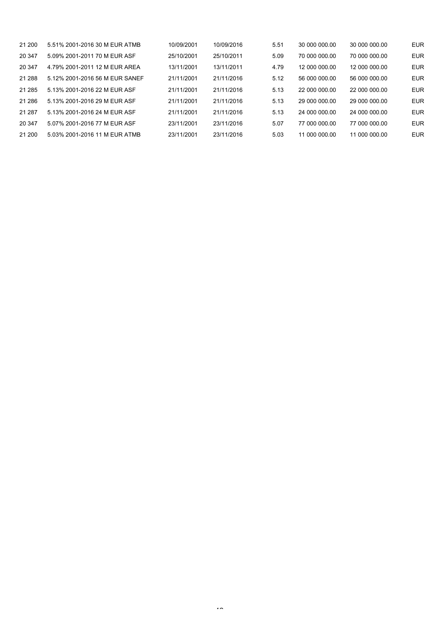| 21 200 | 5.51% 2001-2016 30 M EUR ATMB  | 10/09/2001 | 10/09/2016 | 5.51 | 30 000 000 00 | 30 000 000 00 | <b>EUR</b> |
|--------|--------------------------------|------------|------------|------|---------------|---------------|------------|
| 20 347 | 5.09% 2001-2011 70 M EUR ASF   | 25/10/2001 | 25/10/2011 | 5.09 | 70 000 000 00 | 70 000 000 00 | <b>EUR</b> |
| 20 347 | 4.79% 2001-2011 12 M EUR AREA  | 13/11/2001 | 13/11/2011 | 4.79 | 12 000 000.00 | 12 000 000 00 | <b>EUR</b> |
| 21 288 | 5.12% 2001-2016 56 M EUR SANEF | 21/11/2001 | 21/11/2016 | 5.12 | 56 000 000 00 | 56 000 000 00 | <b>EUR</b> |
| 21 285 | 5.13% 2001-2016 22 M EUR ASF   | 21/11/2001 | 21/11/2016 | 5.13 | 22 000 000 00 | 22 000 000 00 | <b>EUR</b> |
| 21 286 | 5.13% 2001-2016 29 M EUR ASF   | 21/11/2001 | 21/11/2016 | 5.13 | 29 000 000 00 | 29 000 000 00 | <b>EUR</b> |
| 21 287 | 5.13% 2001-2016 24 M EUR ASF   | 21/11/2001 | 21/11/2016 | 5.13 | 24 000 000 00 | 24 000 000 00 | <b>EUR</b> |
| 20 347 | 5.07% 2001-2016 77 M EUR ASF   | 23/11/2001 | 23/11/2016 | 5.07 | 77 000 000 00 | 77 000 000 00 | <b>EUR</b> |
| 21 200 | 5.03% 2001-2016 11 M EUR ATMB  | 23/11/2001 | 23/11/2016 | 5.03 | 11 000 000.00 | 11 000 000.00 | <b>EUR</b> |
|        |                                |            |            |      |               |               |            |

 $\ddot{\phantom{1}}$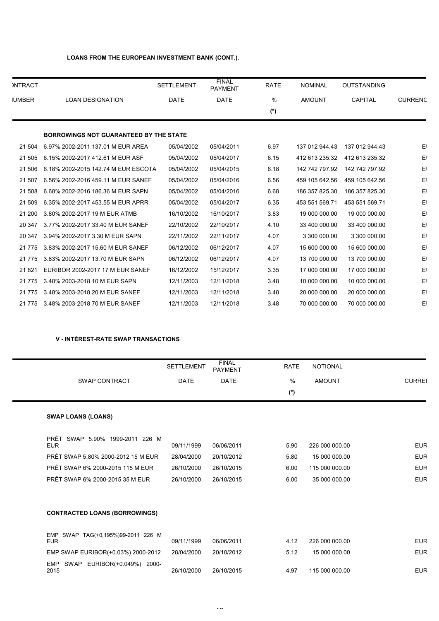# **LOANS FROM THE EUROPEAN INVESTMENT BANK (CONT.).**

| <b>INTRACT</b> |                                               | <b>SETTLEMENT</b> | <b>FINAL</b><br><b>PAYMENT</b> | <b>RATE</b> | <b>NOMINAL</b> | <b>OUTSTANDING</b> |                |
|----------------|-----------------------------------------------|-------------------|--------------------------------|-------------|----------------|--------------------|----------------|
| <b>IUMBER</b>  | <b>LOAN DESIGNATION</b>                       | <b>DATE</b>       | <b>DATE</b>                    | %           | <b>AMOUNT</b>  | <b>CAPITAL</b>     | <b>CURRENC</b> |
|                |                                               |                   |                                | (*)         |                |                    |                |
|                | <b>BORROWINGS NOT GUARANTEED BY THE STATE</b> |                   |                                |             |                |                    |                |
| 21 504         | 6.97% 2002-2011 137.01 M EUR AREA             | 05/04/2002        | 05/04/2011                     | 6.97        | 137 012 944.43 | 137 012 944.43     | E              |
| 21 505         | 6.15% 2002-2017 412.61 M EUR ASF              | 05/04/2002        | 05/04/2017                     | 6.15        | 412 613 235.32 | 412 613 235.32     | E              |
| 21 506         | 6.18% 2002-2015 142.74 M EUR ESCOTA           | 05/04/2002        | 05/04/2015                     | 6.18        | 142 742 797.92 | 142 742 797.92     | E              |
| 21 507         | 6.56% 2002-2016 459.11 M EUR SANEF            | 05/04/2002        | 05/04/2016                     | 6.56        | 459 105 642.56 | 459 105 642.56     | E              |
| 21 508         | 6.68% 2002-2016 186.36 M EUR SAPN             | 05/04/2002        | 05/04/2016                     | 6.68        | 186 357 825.30 | 186 357 825.30     | E              |
| 21 509         | 6.35% 2002-2017 453.55 M EUR APRR             | 05/04/2002        | 05/04/2017                     | 6.35        | 453 551 569.71 | 453 551 569.71     | E              |
| 21 200         | 3.80% 2002-2017 19 M EUR ATMB                 | 16/10/2002        | 16/10/2017                     | 3.83        | 19 000 000.00  | 19 000 000.00      | E١             |
| 20 347         | 3.77% 2002-2017 33.40 M EUR SANEF             | 22/10/2002        | 22/10/2017                     | 4.10        | 33 400 000.00  | 33 400 000.00      | E              |
| 20 347         | 3.94% 2002-2017 3.30 M EUR SAPN               | 22/11/2002        | 22/11/2017                     | 4.07        | 3 300 000.00   | 3 300 000.00       | E              |
| 21 7 7 5       | 3.83% 2002-2017 15.60 M EUR SANEF             | 06/12/2002        | 06/12/2017                     | 4.07        | 15 600 000.00  | 15 600 000.00      | E              |
| 21 7 7 5       | 3.83% 2002-2017 13.70 M EUR SAPN              | 06/12/2002        | 06/12/2017                     | 4.07        | 13 700 000.00  | 13 700 000.00      | E              |
| 21821          | EURIBOR 2002-2017 17 M EUR SANEF              | 16/12/2002        | 15/12/2017                     | 3.35        | 17 000 000.00  | 17 000 000.00      | E              |
| 21 7 7 5       | 3.48% 2003-2018 10 M EUR SAPN                 | 12/11/2003        | 12/11/2018                     | 3.48        | 10 000 000.00  | 10 000 000.00      | E              |
| 21 7 7 5       | 3.48% 2003-2018 20 M EUR SANEF                | 12/11/2003        | 12/11/2018                     | 3.48        | 20 000 000.00  | 20 000 000.00      | E              |
| 21 7 7 5       | 3.48% 2003-2018 70 M EUR SANEF                | 12/11/2003        | 12/11/2018                     | 3.48        | 70 000 000.00  | 70 000 000.00      | E              |

# **V - INTÉREST-RATE SWAP TRANSACTIONS**

|                                                  | <b>SETTLEMENT</b> | <b>FINAL</b><br><b>PAYMENT</b> | <b>RATE</b> | <b>NOTIONAL</b> |               |
|--------------------------------------------------|-------------------|--------------------------------|-------------|-----------------|---------------|
| SWAP CONTRACT                                    | <b>DATE</b>       | <b>DATE</b>                    | $\%$        | <b>AMOUNT</b>   | <b>CURREI</b> |
|                                                  |                   |                                | $(*)$       |                 |               |
| <b>SWAP LOANS (LOANS)</b>                        |                   |                                |             |                 |               |
| PRÊT SWAP 5.90% 1999-2011 226 M<br><b>EUR</b>    | 09/11/1999        | 06/06/2011                     | 5.90        | 226 000 000.00  | <b>EUR</b>    |
| PRÊT SWAP 5.80% 2000-2012 15 M EUR               | 28/04/2000        | 20/10/2012                     | 5.80        | 15 000 000.00   | <b>EUR</b>    |
| PRÊT SWAP 6% 2000-2015 115 M EUR                 | 26/10/2000        | 26/10/2015                     | 6.00        | 115 000 000.00  | <b>EUR</b>    |
| PRÊT SWAP 6% 2000-2015 35 M EUR                  | 26/10/2000        | 26/10/2015                     | 6.00        | 35 000 000.00   | <b>EUR</b>    |
| <b>CONTRACTED LOANS (BORROWINGS)</b>             |                   |                                |             |                 |               |
| EMP SWAP TAG(+0,195%)99-2011 226 M<br><b>EUR</b> | 09/11/1999        | 06/06/2011                     | 4.12        | 226 000 000.00  | <b>EUR</b>    |
| EMP SWAP EURIBOR(+0.03%) 2000-2012               | 28/04/2000        | 20/10/2012                     | 5.12        | 15 000 000.00   | <b>EUR</b>    |
| EMP SWAP EURIBOR(+0.049%) 2000-<br>2015          | 26/10/2000        | 26/10/2015                     | 4.97        | 115 000 000.00  | <b>EUR</b>    |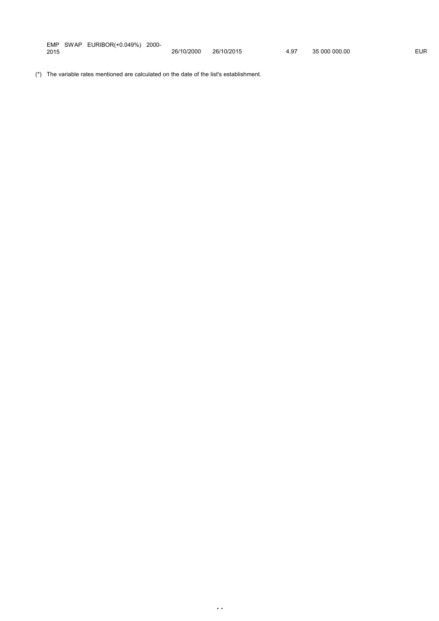| <b>EMP</b> | <b>SWAP</b> | EURIBOR(+0.049%)<br>_____ | 2000-<br>. |            |            |      |               |     |
|------------|-------------|---------------------------|------------|------------|------------|------|---------------|-----|
| 2015       |             |                           |            | 26/10/2000 | 26/10/2015 | 4.97 | 35 000 000 00 | EUR |

44

(\*) The variable rates mentioned are calculated on the date of the list's establishment.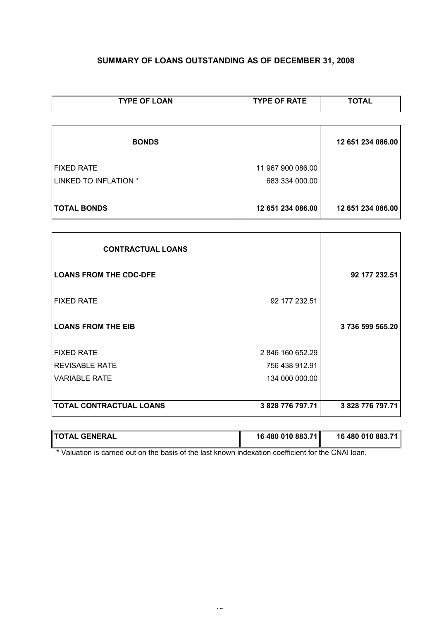# **SUMMARY OF LOANS OUTSTANDING AS OF DECEMBER 31, 2008**

| <b>TYPE OF LOAN</b>   | <b>TYPE OF RATE</b> | <b>TOTAL</b>      |  |
|-----------------------|---------------------|-------------------|--|
|                       |                     |                   |  |
| <b>BONDS</b>          |                     | 12 651 234 086.00 |  |
| <b>FIXED RATE</b>     | 11 967 900 086.00   |                   |  |
| LINKED TO INFLATION * | 683 334 000.00      |                   |  |
|                       |                     |                   |  |
| <b>TOTAL BONDS</b>    | 12 651 234 086.00   | 12 651 234 086.00 |  |

| <b>CONTRACTUAL LOANS</b>       |                  |                  |
|--------------------------------|------------------|------------------|
| <b>LOANS FROM THE CDC-DFE</b>  |                  | 92 177 232.51    |
| <b>FIXED RATE</b>              | 92 177 232.51    |                  |
| <b>LOANS FROM THE EIB</b>      |                  | 3736599565.20    |
| <b>FIXED RATE</b>              | 2 846 160 652.29 |                  |
| <b>REVISABLE RATE</b>          | 756 438 912.91   |                  |
| <b>VARIABLE RATE</b>           | 134 000 000.00   |                  |
| <b>TOTAL CONTRACTUAL LOANS</b> | 3 828 776 797.71 | 3 828 776 797.71 |

| <b>TOTAL</b><br><b>GENERAL</b> | 16 480 010 883.71 | 16 480 010 883.71 |
|--------------------------------|-------------------|-------------------|
|                                |                   |                   |

\* Valuation is carried out on the basis of the last known indexation coefficient for the CNAI loan.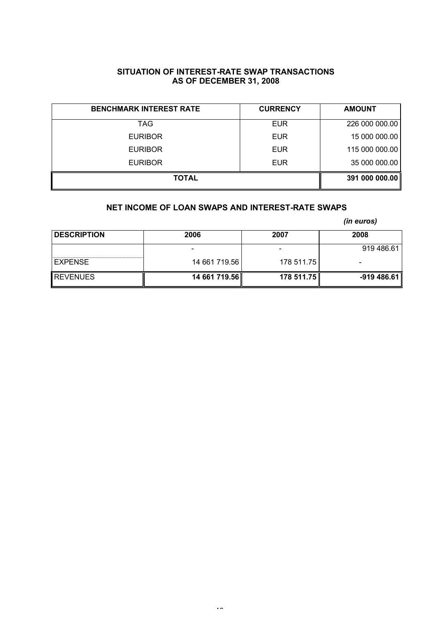# **SITUATION OF INTEREST-RATE SWAP TRANSACTIONS AS OF DECEMBER 31, 2008**

| <b>BENCHMARK INTEREST RATE</b> | <b>CURRENCY</b> | <b>AMOUNT</b>  |
|--------------------------------|-----------------|----------------|
| TAG                            | <b>EUR</b>      | 226 000 000.00 |
| <b>EURIBOR</b>                 | <b>EUR</b>      | 15 000 000.00  |
| <b>EURIBOR</b>                 | <b>EUR</b>      | 115 000 000.00 |
| <b>EURIBOR</b>                 | <b>EUR</b>      | 35 000 000.00  |
| <b>TOTAL</b>                   |                 | 391 000 000.00 |

# **NET INCOME OF LOAN SWAPS AND INTEREST-RATE SWAPS**

*(in euros)*

| <b>DESCRIPTION</b> | 2006          | 2007       | 2008        |  |
|--------------------|---------------|------------|-------------|--|
|                    |               |            | 919 486.61  |  |
| <b>EXPENSE</b>     | 14 661 719.56 | 178 511.75 | -           |  |
| <b>IREVENUES</b>   | 14 661 719.56 | 178 511.75 | -919 486.61 |  |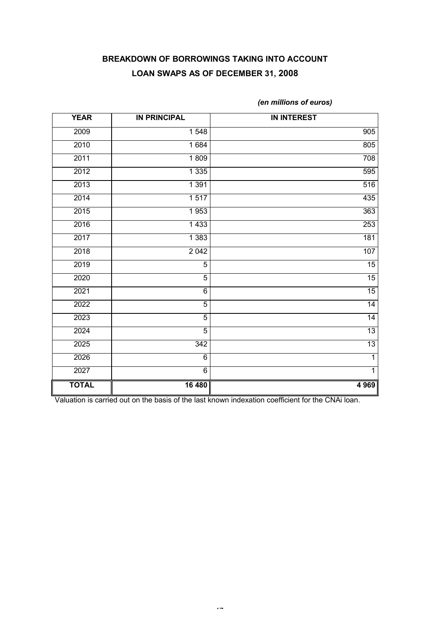# **BREAKDOWN OF BORROWINGS TAKING INTO ACCOUNT LOAN SWAPS AS OF DECEMBER 31, 2008**

| <b>YEAR</b>  | <b>IN PRINCIPAL</b> | <b>IN INTEREST</b> |
|--------------|---------------------|--------------------|
| 2009         | 1548                | 905                |
| 2010         | 1 6 8 4             | 805                |
| 2011         | 1809                | 708                |
| 2012         | 1 3 3 5             | 595                |
| 2013         | 1 3 9 1             | 516                |
| 2014         | 1517                | 435                |
| 2015         | 1953                | 363                |
| 2016         | 1 4 3 3             | 253                |
| 2017         | 1 3 8 3             | 181                |
| 2018         | $\frac{1}{2042}$    | 107                |
| 2019         | $\overline{5}$      | 15                 |
| 2020         | $\overline{5}$      | 15                 |
| 2021         | 6                   | 15                 |
| 2022         | 5                   | $\overline{14}$    |
| 2023         | $\overline{5}$      | 14                 |
| 2024         | $\overline{5}$      | $\overline{13}$    |
| 2025         | $\overline{3}42$    | 13                 |
| 2026         | 6                   | $\overline{1}$     |
| 2027         | $\overline{6}$      | $\overline{1}$     |
| <b>TOTAL</b> | 16 480              | 4 9 69             |

*(en millions of euros)*

Valuation is carried out on the basis of the last known indexation coefficient for the CNAi loan.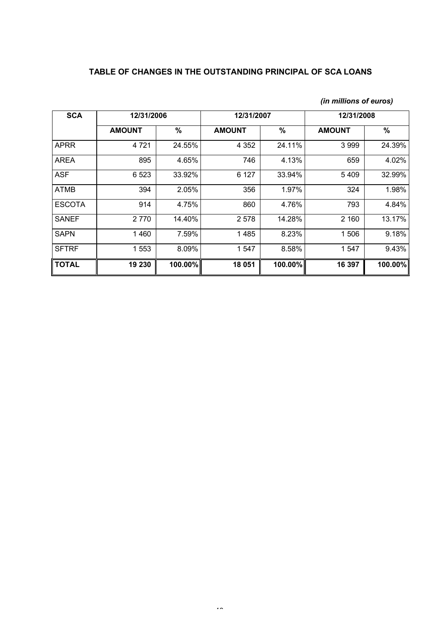# **TABLE OF CHANGES IN THE OUTSTANDING PRINCIPAL OF SCA LOANS**

| <b>SCA</b>    | 12/31/2006    |         | 12/31/2007    |         | 12/31/2008    |         |
|---------------|---------------|---------|---------------|---------|---------------|---------|
|               | <b>AMOUNT</b> | %       | <b>AMOUNT</b> | %       | <b>AMOUNT</b> | %       |
| <b>APRR</b>   | 4 7 2 1       | 24.55%  | 4 3 5 2       | 24.11%  | 3999          | 24.39%  |
| <b>AREA</b>   | 895           | 4.65%   | 746           | 4.13%   | 659           | 4.02%   |
| <b>ASF</b>    | 6 5 23        | 33.92%  | 6 1 2 7       | 33.94%  | 5 4 0 9       | 32.99%  |
| ATMB          | 394           | 2.05%   | 356           | 1.97%   | 324           | 1.98%   |
| <b>ESCOTA</b> | 914           | 4.75%   | 860           | 4.76%   | 793           | 4.84%   |
| <b>SANEF</b>  | 2 7 7 0       | 14.40%  | 2 5 7 8       | 14.28%  | 2 160         | 13.17%  |
| <b>SAPN</b>   | 1 4 6 0       | 7.59%   | 1485          | 8.23%   | 1506          | 9.18%   |
| <b>SFTRF</b>  | 1 553         | 8.09%   | 1 547         | 8.58%   | 1 547         | 9.43%   |
| ∥ TOTAL       | 19 230        | 100.00% | 18 051        | 100.00% | 16 397        | 100.00% |

# *(in millions of euros)*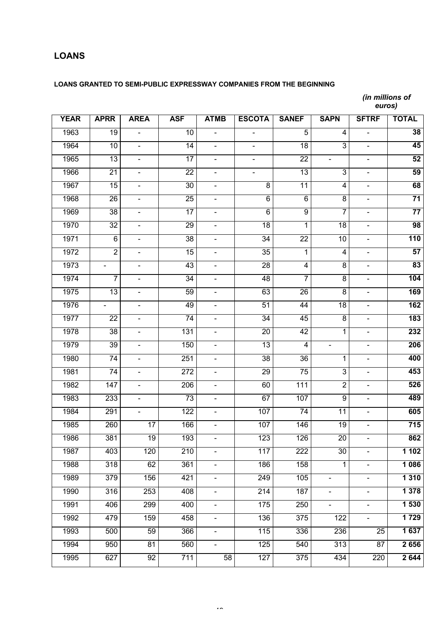# **LOANS**

# **LOANS GRANTED TO SEMI-PUBLIC EXPRESSWAY COMPANIES FROM THE BEGINNING**

*(in millions of euros)*

| <b>YEAR</b> | <b>APRR</b>     | <b>AREA</b>              | <b>ASF</b>       | <b>ATMB</b>              | <b>ESCOTA</b>    | <b>SANEF</b>     | <b>SAPN</b>              | <b>SFTRF</b>    | <b>TOTAL</b>    |
|-------------|-----------------|--------------------------|------------------|--------------------------|------------------|------------------|--------------------------|-----------------|-----------------|
| 1963        | $\overline{19}$ |                          | 10               | $\frac{1}{2}$            | $\blacksquare$   | 5                | 4                        |                 | 38              |
| 1964        | $\overline{10}$ |                          | 14               | $\blacksquare$           |                  | 18               | $\overline{3}$           |                 | 45              |
| 1965        | $\overline{13}$ |                          | 17               | $\blacksquare$           |                  | $\overline{22}$  | $\overline{\phantom{0}}$ |                 | 52              |
| 1966        | $\overline{21}$ | $\overline{\phantom{0}}$ | $\overline{22}$  | $\blacksquare$           | $\frac{1}{2}$    | 13               | 3                        | $\blacksquare$  | 59              |
| 1967        | $\overline{15}$ |                          | 30               | $\blacksquare$           | $\overline{8}$   | 11               | $\overline{\mathbf{4}}$  | $\blacksquare$  | 68              |
| 1968        | $\overline{26}$ |                          | 25               | $\blacksquare$           | $\overline{6}$   | $\overline{6}$   | $\overline{8}$           |                 | $\overline{71}$ |
| 1969        | $\overline{38}$ |                          | 17               | $\blacksquare$           | $\overline{6}$   | $\overline{9}$   | $\overline{7}$           |                 | 77              |
| 1970        | $\overline{32}$ | $\overline{\phantom{0}}$ | 29               | $\blacksquare$           | 18               | $\overline{1}$   | $\overline{18}$          | $\blacksquare$  | 98              |
| 1971        | $\overline{6}$  |                          | 38               | $\blacksquare$           | 34               | $\overline{22}$  | 10                       | $\blacksquare$  | 110             |
| 1972        | $\overline{2}$  |                          | 15               | $\blacksquare$           | $\overline{35}$  | $\overline{1}$   | $\overline{\mathbf{4}}$  | $\blacksquare$  | 57              |
| 1973        |                 |                          | 43               | $\blacksquare$           | 28               | $\overline{4}$   | $\overline{8}$           |                 | 83              |
| 1974        | $\overline{7}$  | $\overline{\phantom{0}}$ | 34               | $\blacksquare$           | 48               | $\overline{7}$   | $\overline{8}$           | $\blacksquare$  | 104             |
| 1975        | $\overline{13}$ |                          | 59               | $\blacksquare$           | 63               | 26               | $\overline{8}$           | $\blacksquare$  | 169             |
| 1976        |                 |                          | 49               | $\blacksquare$           | 51               | $\overline{44}$  | $\overline{18}$          | $\blacksquare$  | 162             |
| 1977        | $\overline{22}$ |                          | 74               | $\blacksquare$           | 34               | 45               | $\overline{8}$           |                 | 183             |
| 1978        | $\overline{38}$ | $\blacksquare$           | 131              | $\blacksquare$           | $\overline{20}$  | 42               | $\overline{1}$           | $\blacksquare$  | 232             |
| 1979        | 39              |                          | 150              | $\blacksquare$           | 13               | $\overline{4}$   | $\overline{\phantom{0}}$ | $\blacksquare$  | 206             |
| 1980        | 74              | $\overline{\phantom{0}}$ | 251              | $\overline{\phantom{0}}$ | $\overline{38}$  | 36               | 1                        | $\blacksquare$  | 400             |
| 1981        | 74              |                          | 272              | $\blacksquare$           | 29               | $\overline{75}$  | $\overline{3}$           |                 | 453             |
| 1982        | 147             |                          | 206              | $\blacksquare$           | 60               | 111              | $\overline{2}$           | $\blacksquare$  | 526             |
| 1983        | 233             |                          | 73               | $\blacksquare$           | 67               | 107              | $\overline{9}$           | $\blacksquare$  | 489             |
| 1984        | 291             | $\blacksquare$           | 122              | $\blacksquare$           | 107              | 74               | 11                       | $\blacksquare$  | 605             |
| 1985        | 260             | 17                       | 166              |                          | 107              | 146              | 19                       |                 | 715             |
| 1986        | 381             | 19                       | 193              |                          | 123              | 126              | $\overline{20}$          |                 | 862             |
| 1987        | 403             | 120                      | $\overline{210}$ | $\blacksquare$           | 117              | 222              | 30                       | $\blacksquare$  | 1102            |
| 1988        | 318             | 62                       | 361              | $\blacksquare$           | $\overline{186}$ | 158              | 1                        | $\blacksquare$  | 1 0 8 6         |
| 1989        | 379             | 156                      | 421              | $\blacksquare$           | 249              | 105              | -                        |                 | 1 3 1 0         |
| 1990        | 316             | 253                      | 408              | $\blacksquare$           | 214              | 187              | $\overline{\phantom{0}}$ | Ξ.              | 1 3 7 8         |
| 1991        | 406             | 299                      | 400              | $\blacksquare$           | 175              | 250              | $\blacksquare$           | $\frac{1}{2}$   | 1 530           |
| 1992        | 479             | 159                      | 458              | $\frac{1}{2}$            | 136              | 375              | 122                      | $\blacksquare$  | 1 7 2 9         |
| 1993        | 500             | 59                       | 366              | $\blacksquare$           | $\overline{115}$ | 336              | 236                      | $\overline{25}$ | 1 637           |
| 1994        | 950             | $\overline{81}$          | 560              | $\overline{\phantom{0}}$ | 125              | 540              | $\overline{313}$         | $\overline{87}$ | 2656            |
| 1995        | 627             | $\overline{92}$          | 711              | 58                       | 127              | $\overline{375}$ | 434                      | 220             | 2 6 4 4         |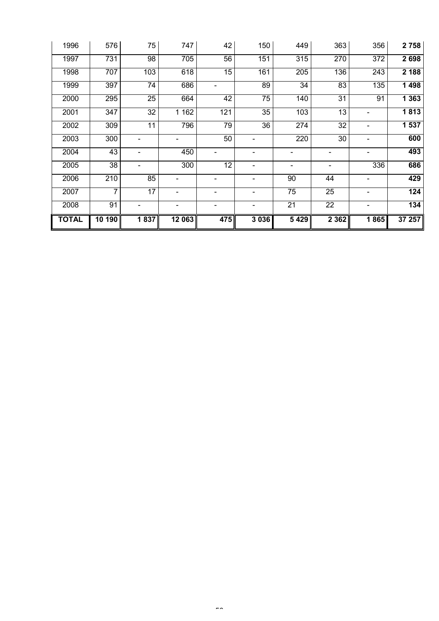| 1996         | 576    | 75              | 747     | 42                       | 150                      | 449                      | 363                          | 356                      | 2 7 5 8          |
|--------------|--------|-----------------|---------|--------------------------|--------------------------|--------------------------|------------------------------|--------------------------|------------------|
| 1997         | 731    | $\overline{98}$ | 705     | $\overline{56}$          | 151                      | 315                      | 270                          | 372                      | 2 6 9 8          |
| 1998         | 707    | 103             | 618     | $\overline{15}$          | 161                      | 205                      | 136                          | 243                      | 2 1 8 8          |
| 1999         | 397    | 74              | 686     |                          | 89                       | $\overline{34}$          | 83                           | 135                      | 1 4 9 8          |
| 2000         | 295    | $\overline{25}$ | 664     | 42                       | 75                       | 140                      | $\overline{31}$              | 91                       | 1 3 6 3          |
| 2001         | 347    | $\overline{32}$ | 1 1 6 2 | 121                      | $\overline{35}$          | 103                      | 13                           | $\overline{\phantom{a}}$ | 1813             |
| 2002         | 309    | 11              | 796     | 79                       | $\overline{36}$          | 274                      | $\overline{32}$              | $\overline{\phantom{0}}$ | 1537             |
| 2003         | 300    |                 |         | 50                       |                          | 220                      | 30                           | $\overline{\phantom{a}}$ | 600              |
| 2004         | 43     |                 | 450     |                          | $\overline{\phantom{0}}$ | $\blacksquare$           |                              |                          | 493              |
| 2005         | 38     |                 | 300     | $\overline{12}$          | $\overline{\phantom{a}}$ | $\overline{\phantom{0}}$ | $\qquad \qquad \blacksquare$ | 336                      | 686              |
| 2006         | 210    | 85              | -       | $\overline{\phantom{a}}$ | $\overline{\phantom{a}}$ | 90                       | 44                           | $\overline{\phantom{a}}$ | 429              |
| 2007         | 7      | 17              |         |                          |                          | 75                       | 25                           |                          | 124              |
| 2008         | 91     |                 |         | $\overline{\phantom{0}}$ |                          | $\overline{21}$          | $\overline{22}$              |                          | $\overline{134}$ |
| <b>TOTAL</b> | 10 190 | 1837            | 12 063  | 475                      | 3 0 3 6                  | 5429                     | 2 3 6 2                      | 1865                     | 37 257           |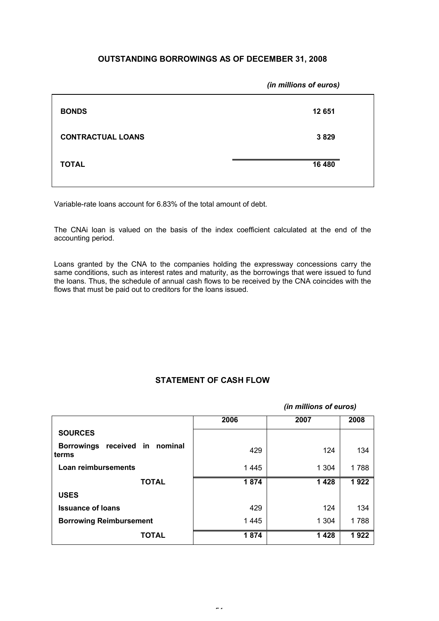# **OUTSTANDING BORROWINGS AS OF DECEMBER 31, 2008**

|                          | (in millions of euros) |
|--------------------------|------------------------|
| <b>BONDS</b>             | 12 651                 |
| <b>CONTRACTUAL LOANS</b> | 3829                   |
| <b>TOTAL</b>             | 16 480                 |
|                          |                        |

Variable-rate loans account for 6.83% of the total amount of debt.

The CNAi loan is valued on the basis of the index coefficient calculated at the end of the accounting period.

Loans granted by the CNA to the companies holding the expressway concessions carry the same conditions, such as interest rates and maturity, as the borrowings that were issued to fund the loans. Thus, the schedule of annual cash flows to be received by the CNA coincides with the flows that must be paid out to creditors for the loans issued.

# **STATEMENT OF CASH FLOW**

|                                         |      | (in millions of euros) |      |
|-----------------------------------------|------|------------------------|------|
|                                         | 2006 | 2007                   | 2008 |
| <b>SOURCES</b>                          |      |                        |      |
| Borrowings received in nominal<br>terms | 429  | 124                    | 134  |
| Loan reimbursements                     | 1445 | 1 3 0 4                | 1788 |
| <b>TOTAL</b>                            | 1874 | 1428                   | 1922 |
| <b>USES</b>                             |      |                        |      |
| <b>Issuance of loans</b>                | 429  | 124                    | 134  |
| <b>Borrowing Reimbursement</b>          | 1445 | 1 3 0 4                | 1788 |
| <b>TOTAL</b>                            | 1874 | 1428                   | 1922 |

 $\overline{a}$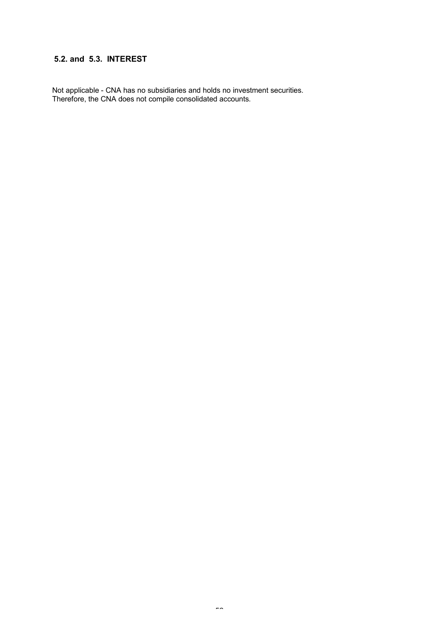# **5.2. and 5.3. INTEREST**

Not applicable - CNA has no subsidiaries and holds no investment securities. Therefore, the CNA does not compile consolidated accounts.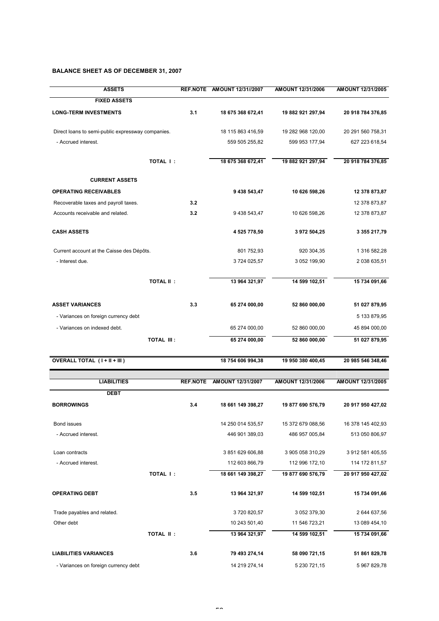# **BALANCE SHEET AS OF DECEMBER 31, 2007**

| <b>ASSETS</b>                                     |                  | REF.NOTE AMOUNT 12/31//2007 | AMOUNT 12/31/2006 | AMOUNT 12/31/2005 |
|---------------------------------------------------|------------------|-----------------------------|-------------------|-------------------|
| <b>FIXED ASSETS</b>                               |                  |                             |                   |                   |
| <b>LONG-TERM INVESTMENTS</b>                      | 3.1              | 18 675 368 672,41           | 19 882 921 297,94 | 20 918 784 376,85 |
| Direct loans to semi-public expressway companies. |                  | 18 115 863 416,59           | 19 282 968 120,00 | 20 291 560 758,31 |
| - Accrued interest.                               |                  | 559 505 255,82              | 599 953 177,94    | 627 223 618,54    |
|                                                   | <b>TOTAL I:</b>  | 18 675 368 672,41           | 19 882 921 297,94 | 20 918 784 376,85 |
| <b>CURRENT ASSETS</b>                             |                  |                             |                   |                   |
| <b>OPERATING RECEIVABLES</b>                      |                  | 9 438 543,47                | 10 626 598,26     | 12 378 873,87     |
| Recoverable taxes and payroll taxes.              | 3.2              |                             |                   | 12 378 873,87     |
| Accounts receivable and related.                  | 3.2              | 9 438 543,47                | 10 626 598,26     | 12 378 873,87     |
| <b>CASH ASSETS</b>                                |                  | 4 525 778,50                | 3 972 504,25      | 3 355 217,79      |
| Current account at the Caisse des Dépôts.         |                  | 801 752,93                  | 920 304,35        | 1 316 582,28      |
| - Interest due.                                   |                  | 3724 025,57                 | 3 052 199,90      | 2 038 635,51      |
|                                                   | <b>TOTAL II:</b> | 13 964 321,97               | 14 599 102,51     | 15 734 091,66     |
| <b>ASSET VARIANCES</b>                            | 3.3              | 65 274 000,00               | 52 860 000,00     | 51 027 879,95     |
| - Variances on foreign currency debt              |                  |                             |                   | 5 133 879,95      |
| - Variances on indexed debt.                      |                  | 65 274 000,00               | 52 860 000,00     | 45 894 000,00     |
| <b>TOTAL III:</b>                                 |                  | 65 274 000,00               | 52 860 000,00     | 51 027 879,95     |
| OVERALL TOTAL (I+II+III)                          |                  | 18 754 606 994,38           | 19 950 380 400,45 | 20 985 546 348,46 |
| <b>LIABILITIES</b>                                | <b>REF.NOTE</b>  | AMOUNT 12/31/2007           | AMOUNT 12/31/2006 | AMOUNT 12/31/2005 |
| <b>DEBT</b>                                       |                  |                             |                   |                   |
| <b>BORROWINGS</b>                                 | 3.4              | 18 661 149 398,27           | 19 877 690 576,79 | 20 917 950 427,02 |
| Bond issues                                       |                  | 14 250 014 535,57           | 15 372 679 088,56 | 16 378 145 402,93 |
| - Accrued interest.                               |                  | 446 901 389,03              | 486 957 005,84    | 513 050 806,97    |
| Loan contracts                                    |                  | 3851629606,88               | 3 905 058 310,29  | 3 912 581 405,55  |
| - Accrued interest.                               |                  | 112 603 866,79              | 112 996 172,10    | 114 172 811,57    |
|                                                   | TOTAL I:         | 18 661 149 398,27           | 19 877 690 576,79 | 20 917 950 427,02 |
| <b>OPERATING DEBT</b>                             | 3.5              | 13 964 321,97               | 14 599 102,51     | 15 734 091,66     |
| Trade payables and related.                       |                  | 3720820,57                  | 3 052 379,30      | 2 644 637,56      |
| Other debt                                        |                  | 10 243 501,40               | 11 546 723,21     | 13 089 454,10     |
| <b>TOTAL II:</b>                                  |                  | 13 964 321,97               | 14 599 102,51     | 15 734 091,66     |
| <b>LIABILITIES VARIANCES</b>                      | 3.6              | 79 493 274,14               | 58 090 721,15     | 51 861 829,78     |
| - Variances on foreign currency debt              |                  | 14 219 274,14               | 5 230 721,15      | 5 967 829,78      |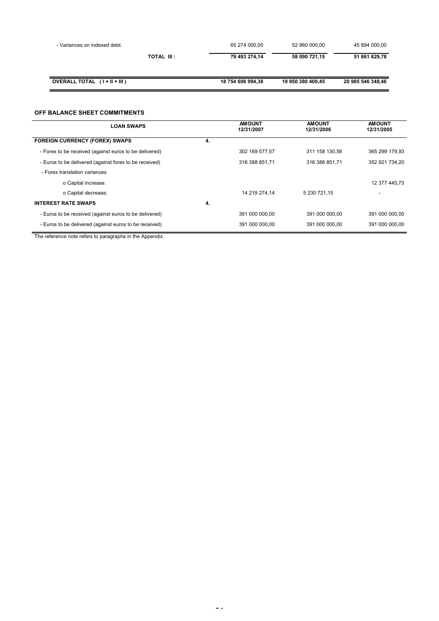| - Variances on indexed debt. |             | 65 274 000.00     | 52 860 000,00     | 45 894 000,00     |
|------------------------------|-------------|-------------------|-------------------|-------------------|
|                              | TOTAL III : | 79 493 274.14     | 58 090 721,15     | 51 861 829,78     |
| OVERALL TOTAL (I + II + III) |             | 18 754 606 994,38 | 19 950 380 400.45 | 20 985 546 348.46 |

# **OFF BALANCE SHEET COMMITMENTS**

| <b>LOAN SWAPS</b>                                      |    | <b>AMOUNT</b><br>12/31/2007 | <b>AMOUNT</b><br>12/31/2006 | <b>AMOUNT</b><br>12/31/2005 |
|--------------------------------------------------------|----|-----------------------------|-----------------------------|-----------------------------|
| <b>FOREIGN CURRENCY (FOREX) SWAPS</b>                  | 4. |                             |                             |                             |
| - Forex to be received (against euros to be delivered) |    | 302 169 577.57              | 311 158 130.56              | 365 299 179.93              |
| - Euros to be delivered (against forex to be received) |    | 316 388 851.71              | 316 388 851.71              | 352 921 734.20              |
| - Forex translation variances                          |    |                             |                             |                             |
| o Capital increase.                                    |    |                             |                             | 12 377 445.73               |
| o Capital decrease.                                    |    | 14 219 274.14               | 5 230 721.15                |                             |
| <b>INTEREST RATE SWAPS</b>                             | 4. |                             |                             |                             |
| - Euros to be received (against euros to be delivered) |    | 391 000 000.00              | 391 000 000.00              | 391 000 000.00              |
| - Euros to be delivered (against euros to be received) |    | 391 000 000,00              | 391 000 000,00              | 391 000 000,00              |

The reference note refers to paragraphs in the Appendix.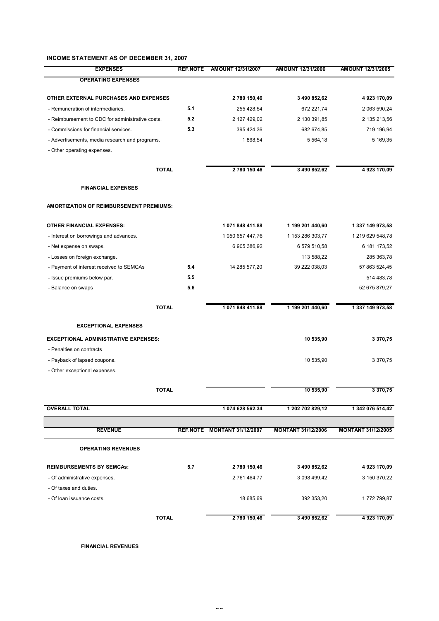#### **INCOME STATEMENT AS OF DECEMBER 31, 2007**

| <b>EXPENSES</b>                                  | <b>REF.NOTE</b> | AMOUNT 12/31/2007           | AMOUNT 12/31/2006         | AMOUNT 12/31/2005         |
|--------------------------------------------------|-----------------|-----------------------------|---------------------------|---------------------------|
| <b>OPERATING EXPENSES</b>                        |                 |                             |                           |                           |
| OTHER EXTERNAL PURCHASES AND EXPENSES            |                 | 2 780 150,46                | 3 490 852,62              | 4923170,09                |
| - Remuneration of intermediaries.                | 5.1             | 255 428,54                  | 672 221,74                | 2 063 590,24              |
| - Reimbursement to CDC for administrative costs. | 5.2             | 2 127 429,02                | 2 130 391,85              | 2 135 213,56              |
| - Commissions for financial services.            | 5.3             | 395 424,36                  | 682 674,85                | 719 196,94                |
| - Advertisements, media research and programs.   |                 | 1868,54                     | 5 5 6 4 , 18              | 5 169,35                  |
| - Other operating expenses.                      |                 |                             |                           |                           |
| <b>TOTAL</b>                                     |                 | 2 780 150,46                | 3 490 852,62              | 4923170,09                |
| <b>FINANCIAL EXPENSES</b>                        |                 |                             |                           |                           |
| AMORTIZATION OF REIMBURSEMENT PREMIUMS:          |                 |                             |                           |                           |
|                                                  |                 |                             |                           |                           |
| <b>OTHER FINANCIAL EXPENSES:</b>                 |                 | 1 071 848 411,88            | 1 199 201 440,60          | 1 337 149 973,58          |
| - Interest on borrowings and advances.           |                 | 1 050 657 447,76            | 1 153 286 303,77          | 1 219 629 548,78          |
| - Net expense on swaps.                          |                 | 6 905 386,92                | 6 579 510,58              | 6 181 173,52              |
| - Losses on foreign exchange.                    |                 |                             | 113 588,22                | 285 363,78                |
| - Payment of interest received to SEMCAs         | 5.4             | 14 285 577,20               | 39 222 038,03             | 57 863 524,45             |
| - Issue premiums below par.                      | 5.5             |                             |                           | 514 483,78                |
| - Balance on swaps                               | 5.6             |                             |                           | 52 675 879,27             |
| <b>TOTAL</b>                                     |                 | 1 071 848 411,88            | 1 199 201 440,60          | 1 337 149 973,58          |
| <b>EXCEPTIONAL EXPENSES</b>                      |                 |                             |                           |                           |
| <b>EXCEPTIONAL ADMINISTRATIVE EXPENSES:</b>      |                 |                             | 10 535,90                 | 3 370,75                  |
| - Penalties on contracts                         |                 |                             |                           |                           |
| - Payback of lapsed coupons.                     |                 |                             | 10 535,90                 | 3 370,75                  |
| - Other exceptional expenses.                    |                 |                             |                           |                           |
| <b>TOTAL</b>                                     |                 |                             | 10 535,90                 | 3 370,75                  |
|                                                  |                 |                             |                           |                           |
| <b>OVERALL TOTAL</b>                             |                 | 1 074 628 562,34            | 1 202 702 829,12          | 1 342 076 514,42          |
| <b>REVENUE</b>                                   |                 | REF.NOTE MONTANT 31/12/2007 | <b>MONTANT 31/12/2006</b> | <b>MONTANT 31/12/2005</b> |
| <b>OPERATING REVENUES</b>                        |                 |                             |                           |                           |
|                                                  |                 |                             |                           |                           |
| <b>REIMBURSEMENTS BY SEMCAS:</b>                 | 5.7             | 2 780 150,46                | 3 490 852,62              | 4 923 170,09              |
| - Of administrative expenses.                    |                 | 2 761 464,77                | 3 098 499,42              | 3 150 370,22              |
| - Of taxes and duties.                           |                 |                             |                           |                           |
| - Of loan issuance costs.                        |                 | 18 685,69                   | 392 353,20                | 1772 799,87               |
| <b>TOTAL</b>                                     |                 | 2 780 150,46                | 3 490 852,62              | 4923170,09                |

**FINANCIAL REVENUES**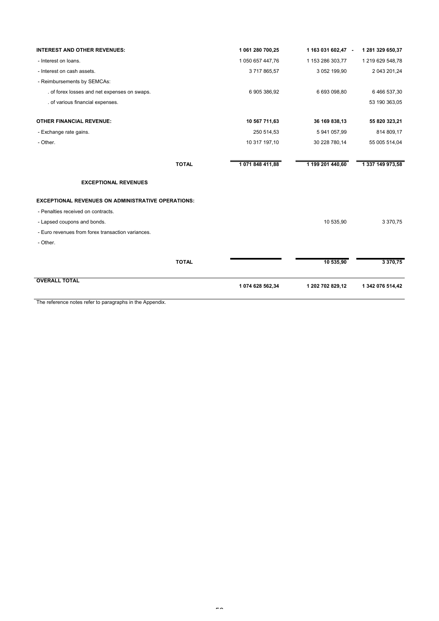| <b>INTEREST AND OTHER REVENUES:</b>                       | 1 061 280 700,25              | 1 163 031 602,47 - | 1 281 329 650,37 |
|-----------------------------------------------------------|-------------------------------|--------------------|------------------|
| - Interest on loans.                                      | 1 050 657 447,76              | 1 153 286 303,77   | 1 219 629 548,78 |
| - Interest on cash assets.                                | 3717865,57                    | 3 052 199,90       | 2 043 201,24     |
| - Reimbursements by SEMCAs:                               |                               |                    |                  |
| . of forex losses and net expenses on swaps.              | 6 905 386,92                  | 6 693 098,80       | 6 466 537,30     |
| . of various financial expenses.                          |                               |                    | 53 190 363,05    |
| <b>OTHER FINANCIAL REVENUE:</b>                           | 10 567 711,63                 | 36 169 838,13      | 55 820 323,21    |
| - Exchange rate gains.                                    | 250 514,53                    | 5 941 057,99       | 814 809,17       |
| - Other.                                                  | 10 317 197,10                 | 30 228 780,14      | 55 005 514,04    |
|                                                           | <b>TOTAL</b><br>1071848411,88 | 1 199 201 440,60   | 1 337 149 973,58 |
| <b>EXCEPTIONAL REVENUES</b>                               |                               |                    |                  |
| <b>EXCEPTIONAL REVENUES ON ADMINISTRATIVE OPERATIONS:</b> |                               |                    |                  |
| - Penalties received on contracts.                        |                               |                    |                  |
| - Lapsed coupons and bonds.                               |                               | 10 535,90          | 3 370,75         |
| - Euro revenues from forex transaction variances.         |                               |                    |                  |
| - Other.                                                  |                               |                    |                  |
|                                                           | <b>TOTAL</b>                  | 10 535,90          | 3 370,75         |
| <b>OVERALL TOTAL</b>                                      | 1 074 628 562,34              | 1 202 702 829,12   | 1 342 076 514,42 |
| The reference notes refer to paragraphs in the Appendix.  |                               |                    |                  |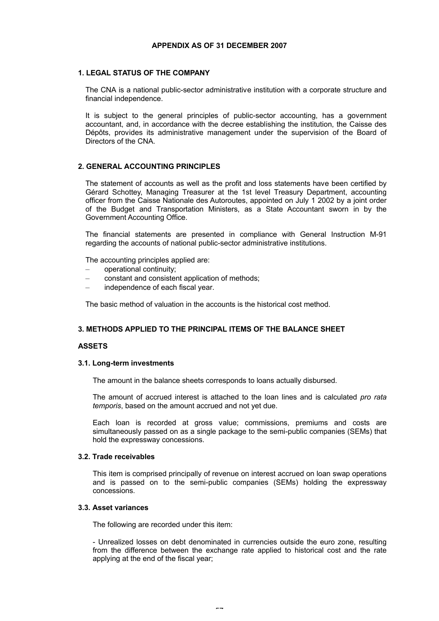# **APPENDIX AS OF 31 DECEMBER 2007**

# **1. LEGAL STATUS OF THE COMPANY**

The CNA is a national public-sector administrative institution with a corporate structure and financial independence.

It is subject to the general principles of public-sector accounting, has a government accountant, and, in accordance with the decree establishing the institution, the Caisse des Dépôts, provides its administrative management under the supervision of the Board of Directors of the CNA.

#### **2. GENERAL ACCOUNTING PRINCIPLES**

The statement of accounts as well as the profit and loss statements have been certified by Gérard Schottey, Managing Treasurer at the 1st level Treasury Department, accounting officer from the Caisse Nationale des Autoroutes, appointed on July 1 2002 by a joint order of the Budget and Transportation Ministers, as a State Accountant sworn in by the Government Accounting Office.

The financial statements are presented in compliance with General Instruction M-91 regarding the accounts of national public-sector administrative institutions.

The accounting principles applied are:

- operational continuity;
- constant and consistent application of methods;
- independence of each fiscal year.

The basic method of valuation in the accounts is the historical cost method.

# **3. METHODS APPLIED TO THE PRINCIPAL ITEMS OF THE BALANCE SHEET**

# **ASSETS**

#### **3.1. Long-term investments**

The amount in the balance sheets corresponds to loans actually disbursed.

The amount of accrued interest is attached to the loan lines and is calculated *pro rata temporis*, based on the amount accrued and not yet due.

Each loan is recorded at gross value; commissions, premiums and costs are simultaneously passed on as a single package to the semi-public companies (SEMs) that hold the expressway concessions.

#### **3.2. Trade receivables**

This item is comprised principally of revenue on interest accrued on loan swap operations and is passed on to the semi-public companies (SEMs) holding the expressway concessions.

# **3.3. Asset variances**

The following are recorded under this item:

- Unrealized losses on debt denominated in currencies outside the euro zone, resulting from the difference between the exchange rate applied to historical cost and the rate applying at the end of the fiscal year;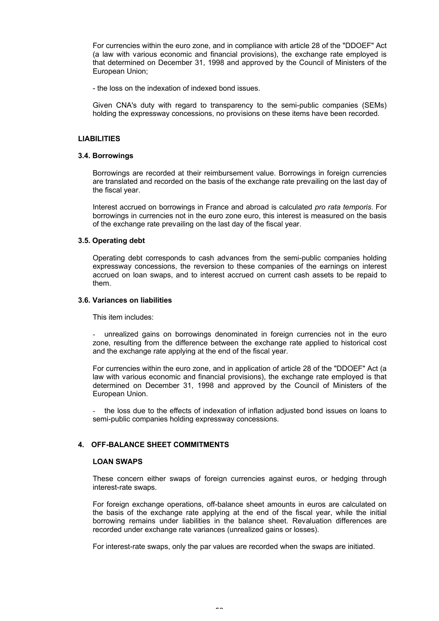For currencies within the euro zone, and in compliance with article 28 of the "DDOEF" Act (a law with various economic and financial provisions), the exchange rate employed is that determined on December 31, 1998 and approved by the Council of Ministers of the European Union;

- the loss on the indexation of indexed bond issues.

Given CNA's duty with regard to transparency to the semi-public companies (SEMs) holding the expressway concessions, no provisions on these items have been recorded.

# **LIABILITIES**

#### **3.4. Borrowings**

Borrowings are recorded at their reimbursement value. Borrowings in foreign currencies are translated and recorded on the basis of the exchange rate prevailing on the last day of the fiscal year.

Interest accrued on borrowings in France and abroad is calculated *pro rata temporis*. For borrowings in currencies not in the euro zone euro, this interest is measured on the basis of the exchange rate prevailing on the last day of the fiscal year.

# **3.5. Operating debt**

Operating debt corresponds to cash advances from the semi-public companies holding expressway concessions, the reversion to these companies of the earnings on interest accrued on loan swaps, and to interest accrued on current cash assets to be repaid to them.

#### **3.6. Variances on liabilities**

This item includes:

unrealized gains on borrowings denominated in foreign currencies not in the euro zone, resulting from the difference between the exchange rate applied to historical cost and the exchange rate applying at the end of the fiscal year.

For currencies within the euro zone, and in application of article 28 of the "DDOEF" Act (a law with various economic and financial provisions), the exchange rate employed is that determined on December 31, 1998 and approved by the Council of Ministers of the European Union.

the loss due to the effects of indexation of inflation adjusted bond issues on loans to semi-public companies holding expressway concessions.

# **4. OFF-BALANCE SHEET COMMITMENTS**

#### **LOAN SWAPS**

These concern either swaps of foreign currencies against euros, or hedging through interest-rate swaps.

For foreign exchange operations, off-balance sheet amounts in euros are calculated on the basis of the exchange rate applying at the end of the fiscal year, while the initial borrowing remains under liabilities in the balance sheet. Revaluation differences are recorded under exchange rate variances (unrealized gains or losses).

For interest-rate swaps, only the par values are recorded when the swaps are initiated.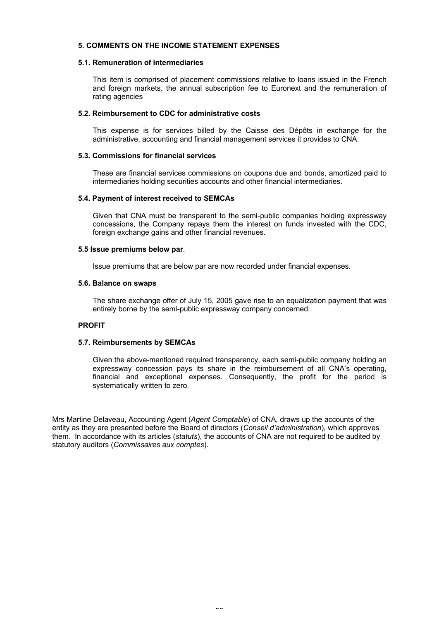# **5. COMMENTS ON THE INCOME STATEMENT EXPENSES**

# **5.1. Remuneration of intermediaries**

This item is comprised of placement commissions relative to loans issued in the French and foreign markets, the annual subscription fee to Euronext and the remuneration of rating agencies

#### **5.2. Reimbursement to CDC for administrative costs**

This expense is for services billed by the Caisse des Dépôts in exchange for the administrative, accounting and financial management services it provides to CNA.

# **5.3. Commissions for financial services**

These are financial services commissions on coupons due and bonds, amortized paid to intermediaries holding securities accounts and other financial intermediaries.

#### **5.4. Payment of interest received to SEMCAs**

Given that CNA must be transparent to the semi-public companies holding expressway concessions, the Company repays them the interest on funds invested with the CDC, foreign exchange gains and other financial revenues.

#### **5.5 Issue premiums below par**.

Issue premiums that are below par are now recorded under financial expenses.

#### **5.6. Balance on swaps**

The share exchange offer of July 15, 2005 gave rise to an equalization payment that was entirely borne by the semi-public expressway company concerned.

# **PROFIT**

# **5.7. Reimbursements by SEMCAs**

Given the above-mentioned required transparency, each semi-public company holding an expressway concession pays its share in the reimbursement of all CNA's operating, financial and exceptional expenses. Consequently, the profit for the period is systematically written to zero.

Mrs Martine Delaveau, Accounting Agent (*Agent Comptable*) of CNA, draws up the accounts of the entity as they are presented before the Board of directors (*Conseil d'administration*), which approves them. In accordance with its articles (*statuts*), the accounts of CNA are not required to be audited by statutory auditors (*Commissaires aux comptes*).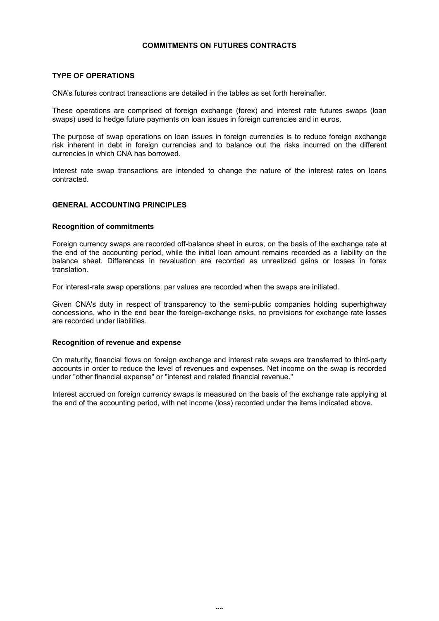# **COMMITMENTS ON FUTURES CONTRACTS**

# **TYPE OF OPERATIONS**

CNA's futures contract transactions are detailed in the tables as set forth hereinafter.

These operations are comprised of foreign exchange (forex) and interest rate futures swaps (loan swaps) used to hedge future payments on loan issues in foreign currencies and in euros.

The purpose of swap operations on loan issues in foreign currencies is to reduce foreign exchange risk inherent in debt in foreign currencies and to balance out the risks incurred on the different currencies in which CNA has borrowed.

Interest rate swap transactions are intended to change the nature of the interest rates on loans contracted.

# **GENERAL ACCOUNTING PRINCIPLES**

# **Recognition of commitments**

Foreign currency swaps are recorded off-balance sheet in euros, on the basis of the exchange rate at the end of the accounting period, while the initial loan amount remains recorded as a liability on the balance sheet. Differences in revaluation are recorded as unrealized gains or losses in forex translation.

For interest-rate swap operations, par values are recorded when the swaps are initiated.

Given CNA's duty in respect of transparency to the semi-public companies holding superhighway concessions, who in the end bear the foreign-exchange risks, no provisions for exchange rate losses are recorded under liabilities.

# **Recognition of revenue and expense**

On maturity, financial flows on foreign exchange and interest rate swaps are transferred to third-party accounts in order to reduce the level of revenues and expenses. Net income on the swap is recorded under "other financial expense" or "interest and related financial revenue."

Interest accrued on foreign currency swaps is measured on the basis of the exchange rate applying at the end of the accounting period, with net income (loss) recorded under the items indicated above.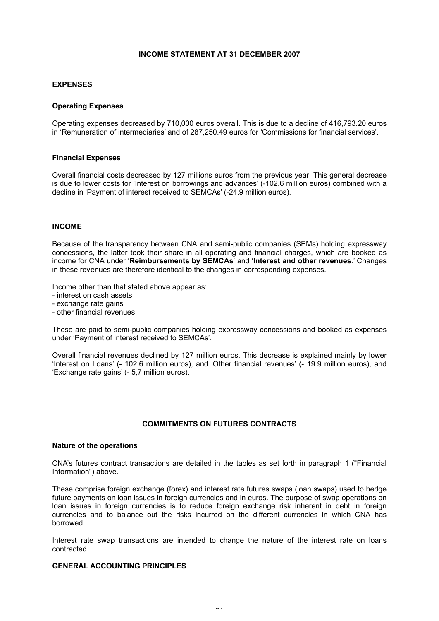# **INCOME STATEMENT AT 31 DECEMBER 2007**

# **EXPENSES**

# **Operating Expenses**

Operating expenses decreased by 710,000 euros overall. This is due to a decline of 416,793.20 euros in 'Remuneration of intermediaries' and of 287,250.49 euros for 'Commissions for financial services'.

#### **Financial Expenses**

Overall financial costs decreased by 127 millions euros from the previous year. This general decrease is due to lower costs for 'Interest on borrowings and advances' (-102.6 million euros) combined with a decline in 'Payment of interest received to SEMCAs' (-24.9 million euros).

#### **INCOME**

Because of the transparency between CNA and semi-public companies (SEMs) holding expressway concessions, the latter took their share in all operating and financial charges, which are booked as income for CNA under '**Reimbursements by SEMCAs**' and '**Interest and other revenues**.' Changes in these revenues are therefore identical to the changes in corresponding expenses.

Income other than that stated above appear as:

- interest on cash assets
- exchange rate gains
- other financial revenues

These are paid to semi-public companies holding expressway concessions and booked as expenses under 'Payment of interest received to SEMCAs'.

Overall financial revenues declined by 127 million euros. This decrease is explained mainly by lower 'Interest on Loans' (- 102.6 million euros), and 'Other financial revenues' (- 19.9 million euros), and 'Exchange rate gains' (- 5,7 million euros).

# **COMMITMENTS ON FUTURES CONTRACTS**

#### **Nature of the operations**

CNA's futures contract transactions are detailed in the tables as set forth in paragraph 1 ("Financial Information") above.

These comprise foreign exchange (forex) and interest rate futures swaps (loan swaps) used to hedge future payments on loan issues in foreign currencies and in euros. The purpose of swap operations on loan issues in foreign currencies is to reduce foreign exchange risk inherent in debt in foreign currencies and to balance out the risks incurred on the different currencies in which CNA has borrowed.

Interest rate swap transactions are intended to change the nature of the interest rate on loans contracted.

# **GENERAL ACCOUNTING PRINCIPLES**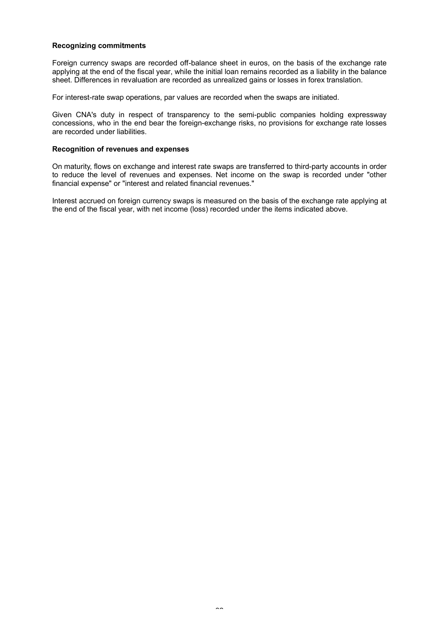# **Recognizing commitments**

Foreign currency swaps are recorded off-balance sheet in euros, on the basis of the exchange rate applying at the end of the fiscal year, while the initial loan remains recorded as a liability in the balance sheet. Differences in revaluation are recorded as unrealized gains or losses in forex translation.

For interest-rate swap operations, par values are recorded when the swaps are initiated.

Given CNA's duty in respect of transparency to the semi-public companies holding expressway concessions, who in the end bear the foreign-exchange risks, no provisions for exchange rate losses are recorded under liabilities.

#### **Recognition of revenues and expenses**

On maturity, flows on exchange and interest rate swaps are transferred to third-party accounts in order to reduce the level of revenues and expenses. Net income on the swap is recorded under "other financial expense" or "interest and related financial revenues."

Interest accrued on foreign currency swaps is measured on the basis of the exchange rate applying at the end of the fiscal year, with net income (loss) recorded under the items indicated above.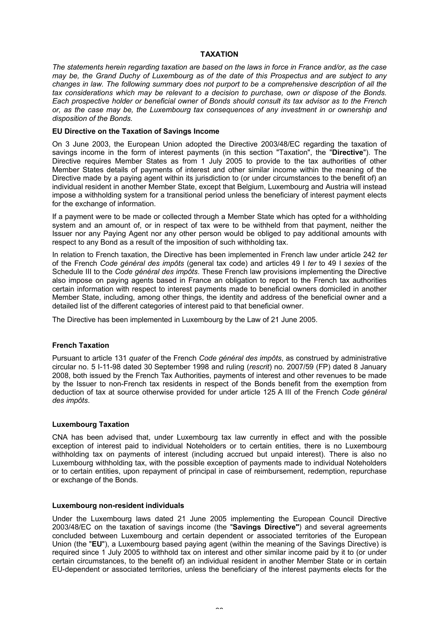# **TAXATION**

*The statements herein regarding taxation are based on the laws in force in France and/or, as the case may be, the Grand Duchy of Luxembourg as of the date of this Prospectus and are subject to any changes in law. The following summary does not purport to be a comprehensive description of all the tax considerations which may be relevant to a decision to purchase, own or dispose of the Bonds. Each prospective holder or beneficial owner of Bonds should consult its tax advisor as to the French or, as the case may be, the Luxembourg tax consequences of any investment in or ownership and disposition of the Bonds.*

# **EU Directive on the Taxation of Savings Income**

On 3 June 2003, the European Union adopted the Directive 2003/48/EC regarding the taxation of savings income in the form of interest payments (in this section "Taxation", the "**Directive**"). The Directive requires Member States as from 1 July 2005 to provide to the tax authorities of other Member States details of payments of interest and other similar income within the meaning of the Directive made by a paying agent within its jurisdiction to (or under circumstances to the benefit of) an individual resident in another Member State, except that Belgium, Luxembourg and Austria will instead impose a withholding system for a transitional period unless the beneficiary of interest payment elects for the exchange of information.

If a payment were to be made or collected through a Member State which has opted for a withholding system and an amount of, or in respect of tax were to be withheld from that payment, neither the Issuer nor any Paying Agent nor any other person would be obliged to pay additional amounts with respect to any Bond as a result of the imposition of such withholding tax.

In relation to French taxation, the Directive has been implemented in French law under article 242 *ter* of the French *Code général des impôts* (general tax code) and articles 49 I *ter* to 49 I *sexies* of the Schedule III to the *Code général des impôts*. These French law provisions implementing the Directive also impose on paying agents based in France an obligation to report to the French tax authorities certain information with respect to interest payments made to beneficial owners domiciled in another Member State, including, among other things, the identity and address of the beneficial owner and a detailed list of the different categories of interest paid to that beneficial owner.

The Directive has been implemented in Luxembourg by the Law of 21 June 2005.

# **French Taxation**

Pursuant to article 131 *quater* of the French *Code général des impôts*, as construed by administrative circular no. 5 I-11-98 dated 30 September 1998 and ruling (*rescrit*) no. 2007/59 (FP) dated 8 January 2008, both issued by the French Tax Authorities, payments of interest and other revenues to be made by the Issuer to non-French tax residents in respect of the Bonds benefit from the exemption from deduction of tax at source otherwise provided for under article 125 A III of the French *Code général des impôts*.

# **Luxembourg Taxation**

CNA has been advised that, under Luxembourg tax law currently in effect and with the possible exception of interest paid to individual Noteholders or to certain entities, there is no Luxembourg withholding tax on payments of interest (including accrued but unpaid interest). There is also no Luxembourg withholding tax, with the possible exception of payments made to individual Noteholders or to certain entities, upon repayment of principal in case of reimbursement, redemption, repurchase or exchange of the Bonds.

# **Luxembourg non-resident individuals**

Under the Luxembourg laws dated 21 June 2005 implementing the European Council Directive 2003/48/EC on the taxation of savings income (the "**Savings Directive"**) and several agreements concluded between Luxembourg and certain dependent or associated territories of the European Union (the "**EU**"), a Luxembourg based paying agent (within the meaning of the Savings Directive) is required since 1 July 2005 to withhold tax on interest and other similar income paid by it to (or under certain circumstances, to the benefit of) an individual resident in another Member State or in certain EU-dependent or associated territories, unless the beneficiary of the interest payments elects for the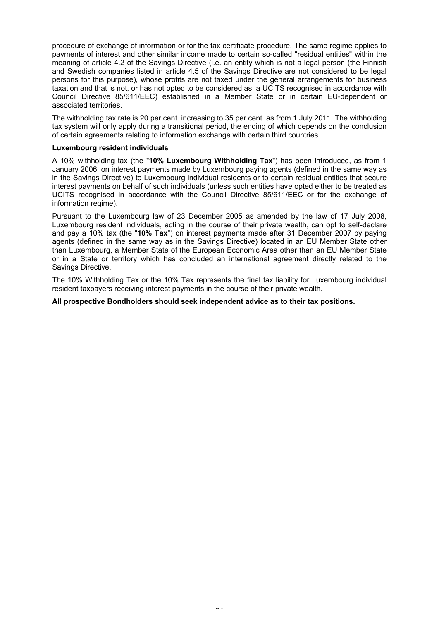procedure of exchange of information or for the tax certificate procedure. The same regime applies to payments of interest and other similar income made to certain so-called "residual entities" within the meaning of article 4.2 of the Savings Directive (i.e. an entity which is not a legal person (the Finnish and Swedish companies listed in article 4.5 of the Savings Directive are not considered to be legal persons for this purpose), whose profits are not taxed under the general arrangements for business taxation and that is not, or has not opted to be considered as, a UCITS recognised in accordance with Council Directive 85/611/EEC) established in a Member State or in certain EU-dependent or associated territories.

The withholding tax rate is 20 per cent. increasing to 35 per cent. as from 1 July 2011. The withholding tax system will only apply during a transitional period, the ending of which depends on the conclusion of certain agreements relating to information exchange with certain third countries.

# **Luxembourg resident individuals**

A 10% withholding tax (the "**10% Luxembourg Withholding Tax**") has been introduced, as from 1 January 2006, on interest payments made by Luxembourg paying agents (defined in the same way as in the Savings Directive) to Luxembourg individual residents or to certain residual entities that secure interest payments on behalf of such individuals (unless such entities have opted either to be treated as UCITS recognised in accordance with the Council Directive 85/611/EEC or for the exchange of information regime).

Pursuant to the Luxembourg law of 23 December 2005 as amended by the law of 17 July 2008, Luxembourg resident individuals, acting in the course of their private wealth, can opt to self-declare and pay a 10% tax (the "**10% Tax**") on interest payments made after 31 December 2007 by paying agents (defined in the same way as in the Savings Directive) located in an EU Member State other than Luxembourg, a Member State of the European Economic Area other than an EU Member State or in a State or territory which has concluded an international agreement directly related to the Savings Directive.

The 10% Withholding Tax or the 10% Tax represents the final tax liability for Luxembourg individual resident taxpayers receiving interest payments in the course of their private wealth.

**All prospective Bondholders should seek independent advice as to their tax positions.**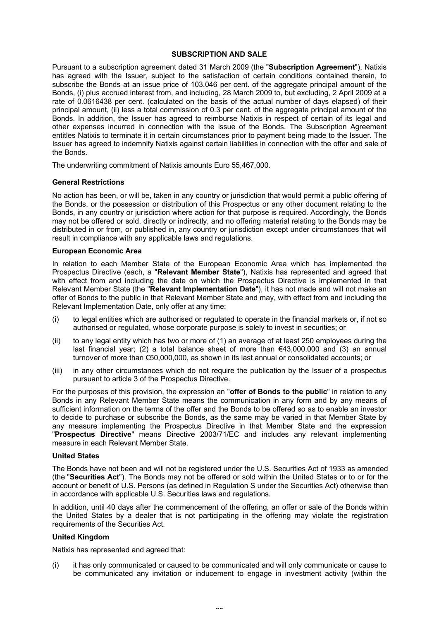# **SUBSCRIPTION AND SALE**

Pursuant to a subscription agreement dated 31 March 2009 (the "**Subscription Agreement**"), Natixis has agreed with the Issuer, subject to the satisfaction of certain conditions contained therein, to subscribe the Bonds at an issue price of 103.046 per cent. of the aggregate principal amount of the Bonds, (i) plus accrued interest from, and including, 28 March 2009 to, but excluding, 2 April 2009 at a rate of 0.0616438 per cent. (calculated on the basis of the actual number of days elapsed) of their principal amount, (ii) less a total commission of 0.3 per cent. of the aggregate principal amount of the Bonds. In addition, the Issuer has agreed to reimburse Natixis in respect of certain of its legal and other expenses incurred in connection with the issue of the Bonds. The Subscription Agreement entitles Natixis to terminate it in certain circumstances prior to payment being made to the Issuer. The Issuer has agreed to indemnify Natixis against certain liabilities in connection with the offer and sale of the Bonds.

The underwriting commitment of Natixis amounts Euro 55,467,000.

# **General Restrictions**

No action has been, or will be, taken in any country or jurisdiction that would permit a public offering of the Bonds, or the possession or distribution of this Prospectus or any other document relating to the Bonds, in any country or jurisdiction where action for that purpose is required. Accordingly, the Bonds may not be offered or sold, directly or indirectly, and no offering material relating to the Bonds may be distributed in or from, or published in, any country or jurisdiction except under circumstances that will result in compliance with any applicable laws and regulations.

# **European Economic Area**

In relation to each Member State of the European Economic Area which has implemented the Prospectus Directive (each, a "**Relevant Member State**"), Natixis has represented and agreed that with effect from and including the date on which the Prospectus Directive is implemented in that Relevant Member State (the "**Relevant Implementation Date**"), it has not made and will not make an offer of Bonds to the public in that Relevant Member State and may, with effect from and including the Relevant Implementation Date, only offer at any time:

- (i) to legal entities which are authorised or regulated to operate in the financial markets or, if not so authorised or regulated, whose corporate purpose is solely to invest in securities; or
- (ii) to any legal entity which has two or more of (1) an average of at least 250 employees during the last financial year; (2) a total balance sheet of more than  $\epsilon$ 43,000,000 and (3) an annual turnover of more than €50,000,000, as shown in its last annual or consolidated accounts; or
- (iii) in any other circumstances which do not require the publication by the Issuer of a prospectus pursuant to article 3 of the Prospectus Directive.

For the purposes of this provision, the expression an "**offer of Bonds to the public**" in relation to any Bonds in any Relevant Member State means the communication in any form and by any means of sufficient information on the terms of the offer and the Bonds to be offered so as to enable an investor to decide to purchase or subscribe the Bonds, as the same may be varied in that Member State by any measure implementing the Prospectus Directive in that Member State and the expression "**Prospectus Directive**" means Directive 2003/71/EC and includes any relevant implementing measure in each Relevant Member State.

# **United States**

The Bonds have not been and will not be registered under the U.S. Securities Act of 1933 as amended (the "**Securities Act**"). The Bonds may not be offered or sold within the United States or to or for the account or benefit of U.S. Persons (as defined in Regulation S under the Securities Act) otherwise than in accordance with applicable U.S. Securities laws and regulations.

In addition, until 40 days after the commencement of the offering, an offer or sale of the Bonds within the United States by a dealer that is not participating in the offering may violate the registration requirements of the Securities Act.

# **United Kingdom**

Natixis has represented and agreed that:

(i) it has only communicated or caused to be communicated and will only communicate or cause to be communicated any invitation or inducement to engage in investment activity (within the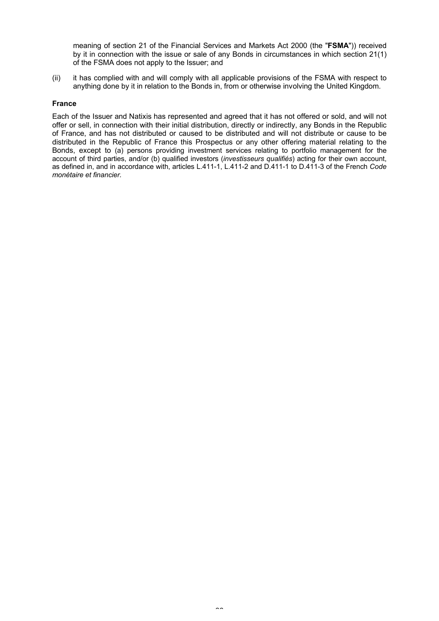meaning of section 21 of the Financial Services and Markets Act 2000 (the "**FSMA**")) received by it in connection with the issue or sale of any Bonds in circumstances in which section 21(1) of the FSMA does not apply to the Issuer; and

(ii) it has complied with and will comply with all applicable provisions of the FSMA with respect to anything done by it in relation to the Bonds in, from or otherwise involving the United Kingdom.

# **France**

Each of the Issuer and Natixis has represented and agreed that it has not offered or sold, and will not offer or sell, in connection with their initial distribution, directly or indirectly, any Bonds in the Republic of France, and has not distributed or caused to be distributed and will not distribute or cause to be distributed in the Republic of France this Prospectus or any other offering material relating to the Bonds, except to (a) persons providing investment services relating to portfolio management for the account of third parties, and/or (b) qualified investors (*investisseurs qualifiés*) acting for their own account, as defined in, and in accordance with, articles L.411-1, L.411-2 and D.411-1 to D.411-3 of the French *Code monétaire et financier.*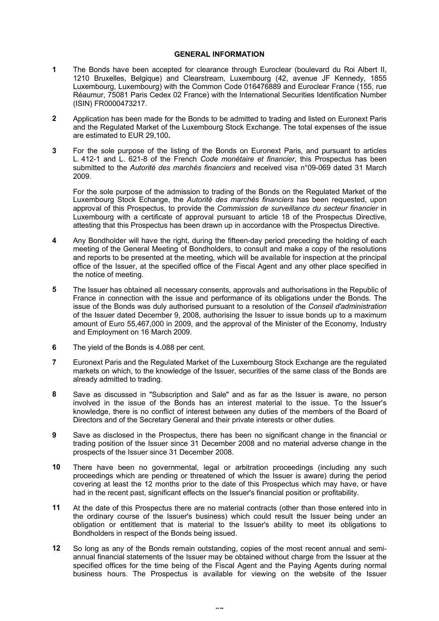# **GENERAL INFORMATION**

- **1** The Bonds have been accepted for clearance through Euroclear (boulevard du Roi Albert II, 1210 Bruxelles, Belgique) and Clearstream, Luxembourg (42, avenue JF Kennedy, 1855 Luxembourg, Luxembourg) with the Common Code 016476889 and Euroclear France (155, rue Réaumur, 75081 Paris Cedex 02 France) with the International Securities Identification Number (ISIN) FR0000473217.
- **2** Application has been made for the Bonds to be admitted to trading and listed on Euronext Paris and the Regulated Market of the Luxembourg Stock Exchange. The total expenses of the issue are estimated to EUR 29,100**.**
- **3** For the sole purpose of the listing of the Bonds on Euronext Paris, and pursuant to articles L. 412-1 and L. 621-8 of the French *Code monétaire et financier*, this Prospectus has been submitted to the *Autorité des marchés financiers* and received visa n°09-069 dated 31 March 2009.

For the sole purpose of the admission to trading of the Bonds on the Regulated Market of the Luxembourg Stock Echange, the *Autorité des marchés financiers* has been requested, upon approval of this Prospectus, to provide the *Commission de surveillance du secteur financier* in Luxembourg with a certificate of approval pursuant to article 18 of the Prospectus Directive, attesting that this Prospectus has been drawn up in accordance with the Prospectus Directive.

- **4** Any Bondholder will have the right, during the fifteen-day period preceding the holding of each meeting of the General Meeting of Bondholders, to consult and make a copy of the resolutions and reports to be presented at the meeting, which will be available for inspection at the principal office of the Issuer, at the specified office of the Fiscal Agent and any other place specified in the notice of meeting.
- **5** The Issuer has obtained all necessary consents, approvals and authorisations in the Republic of France in connection with the issue and performance of its obligations under the Bonds. The issue of the Bonds was duly authorised pursuant to a resolution of the *Conseil d'administration* of the Issuer dated December 9, 2008, authorising the Issuer to issue bonds up to a maximum amount of Euro 55,467,000 in 2009, and the approval of the Minister of the Economy, Industry and Employment on 16 March 2009.
- **6** The yield of the Bonds is 4.088 per cent.
- **7** Euronext Paris and the Regulated Market of the Luxembourg Stock Exchange are the regulated markets on which, to the knowledge of the Issuer, securities of the same class of the Bonds are already admitted to trading.
- **8** Save as discussed in "Subscription and Sale" and as far as the Issuer is aware, no person involved in the issue of the Bonds has an interest material to the issue. To the Issuer's knowledge, there is no conflict of interest between any duties of the members of the Board of Directors and of the Secretary General and their private interests or other duties.
- **9** Save as disclosed in the Prospectus, there has been no significant change in the financial or trading position of the Issuer since 31 December 2008 and no material adverse change in the prospects of the Issuer since 31 December 2008.
- **10** There have been no governmental, legal or arbitration proceedings (including any such proceedings which are pending or threatened of which the Issuer is aware) during the period covering at least the 12 months prior to the date of this Prospectus which may have, or have had in the recent past, significant effects on the Issuer's financial position or profitability.
- **11** At the date of this Prospectus there are no material contracts (other than those entered into in the ordinary course of the Issuer's business) which could result the Issuer being under an obligation or entitlement that is material to the Issuer's ability to meet its obligations to Bondholders in respect of the Bonds being issued.
- **12** So long as any of the Bonds remain outstanding, copies of the most recent annual and semiannual financial statements of the Issuer may be obtained without charge from the Issuer at the specified offices for the time being of the Fiscal Agent and the Paying Agents during normal business hours. The Prospectus is available for viewing on the website of the Issuer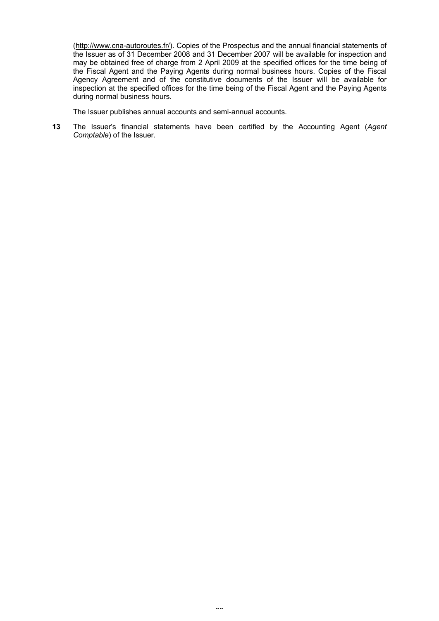[\(http://](http://www.cna-autoroutes.fr/)<www.cna-autoroutes.fr/>). Copies of the Prospectus and the annual financial statements of the Issuer as of 31 December 2008 and 31 December 2007 will be available for inspection and may be obtained free of charge from 2 April 2009 at the specified offices for the time being of the Fiscal Agent and the Paying Agents during normal business hours. Copies of the Fiscal Agency Agreement and of the constitutive documents of the Issuer will be available for inspection at the specified offices for the time being of the Fiscal Agent and the Paying Agents during normal business hours.

The Issuer publishes annual accounts and semi-annual accounts.

**13** The Issuer's financial statements have been certified by the Accounting Agent (*Agent Comptable*) of the Issuer.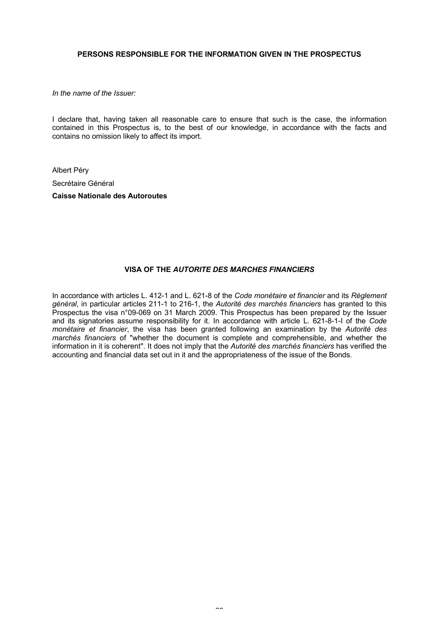# **PERSONS RESPONSIBLE FOR THE INFORMATION GIVEN IN THE PROSPECTUS**

*In the name of the Issuer:*

I declare that, having taken all reasonable care to ensure that such is the case, the information contained in this Prospectus is, to the best of our knowledge, in accordance with the facts and contains no omission likely to affect its import.

Albert Péry Secrétaire Général **Caisse Nationale des Autoroutes**

# **VISA OF THE** *AUTORITE DES MARCHES FINANCIERS*

In accordance with articles L. 412-1 and L. 621-8 of the *Code monétaire et financier* and its *Règlement général*, in particular articles 211-1 to 216-1, the *Autorité des marchés financiers* has granted to this Prospectus the visa n°09-069 on 31 March 2009. This Prospectus has been prepared by the Issuer and its signatories assume responsibility for it. In accordance with article L. 621-8-1-I of the *Code monétaire et financier*, the visa has been granted following an examination by the *Autorité des marchés financiers* of "whether the document is complete and comprehensible, and whether the information in it is coherent". It does not imply that the *Autorité des marchés financiers* has verified the accounting and financial data set out in it and the appropriateness of the issue of the Bonds.